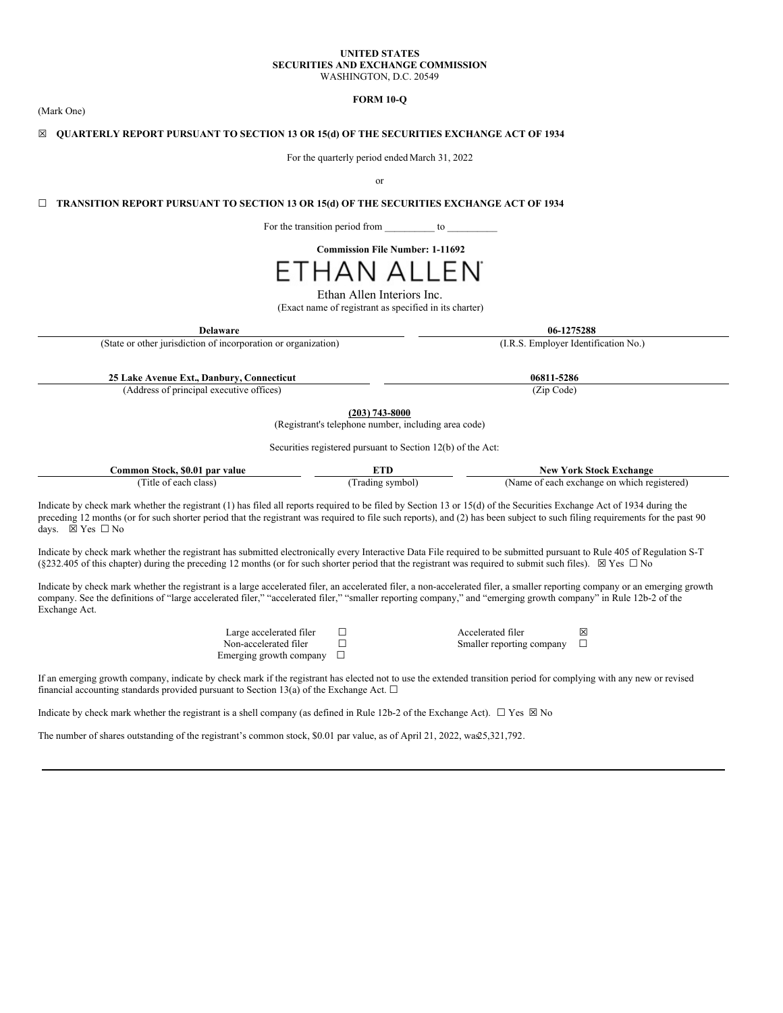## **UNITED STATES SECURITIES AND EXCHANGE COMMISSION** WASHINGTON, D.C. 20549

**FORM 10-Q**

**☒ QUARTERLY REPORT PURSUANT TO SECTION 13 OR 15(d) OF THE SECURITIES EXCHANGE ACT OF 1934**

For the quarterly period ended March 31, 2022

or

**☐ TRANSITION REPORT PURSUANT TO SECTION 13 OR 15(d) OF THE SECURITIES EXCHANGE ACT OF 1934**

For the transition period from \_\_\_\_\_\_\_\_\_\_ to \_



Ethan Allen Interiors Inc.

(Exact name of registrant as specified in its charter) **Delaware 06-1275288**

(State or other jurisdiction of incorporation or organization) (I.R.S. Employer Identification No.) **25 Lake Avenue Ext., Danbury, Connecticut 06811-5286** (Address of principal executive offices) (Zip Code) **(203) 743-8000** (Registrant's telephone number, including area code)

Securities registered pursuant to Section 12(b) of the Act:

| Common Stock. \$0.01 par value         | ETD            | <b>New York Stock Exchange</b>                  |
|----------------------------------------|----------------|-------------------------------------------------|
| l'itle of each o<br>class <sup>-</sup> | Trading symbol | Name of each<br>i exchange on which registered) |

Indicate by check mark whether the registrant (1) has filed all reports required to be filed by Section 13 or 15(d) of the Securities Exchange Act of 1934 during the preceding 12 months (or for such shorter period that the registrant was required to file such reports), and (2) has been subject to such filing requirements for the past 90 days. ☒ Yes ☐ No

Indicate by check mark whether the registrant has submitted electronically every Interactive Data File required to be submitted pursuant to Rule 405 of Regulation S-T (§232.405 of this chapter) during the preceding 12 months (or for such shorter period that the registrant was required to submit such files). ☒ Yes ☐ No

Indicate by check mark whether the registrant is a large accelerated filer, an accelerated filer, a non-accelerated filer, a smaller reporting company or an emerging growth company. See the definitions of "large accelerated filer," "accelerated filer," "smaller reporting company," and "emerging growth company" in Rule 12b-2 of the Exchange Act.

> Large accelerated filer  $\hfill \Box$ Non-accelerated filer □ Smaller reporting company □ Emerging growth company □

If an emerging growth company, indicate by check mark if the registrant has elected not to use the extended transition period for complying with any new or revised financial accounting standards provided pursuant to Section 13(a) of the Exchange Act.  $\Box$ 

Indicate by check mark whether the registrant is a shell company (as defined in Rule 12b-2 of the Exchange Act).  $\Box$  Yes  $\boxtimes$  No

The number of shares outstanding of the registrant's common stock, \$0.01 par value, as of April 21, 2022, was25,321,792.

(Mark One)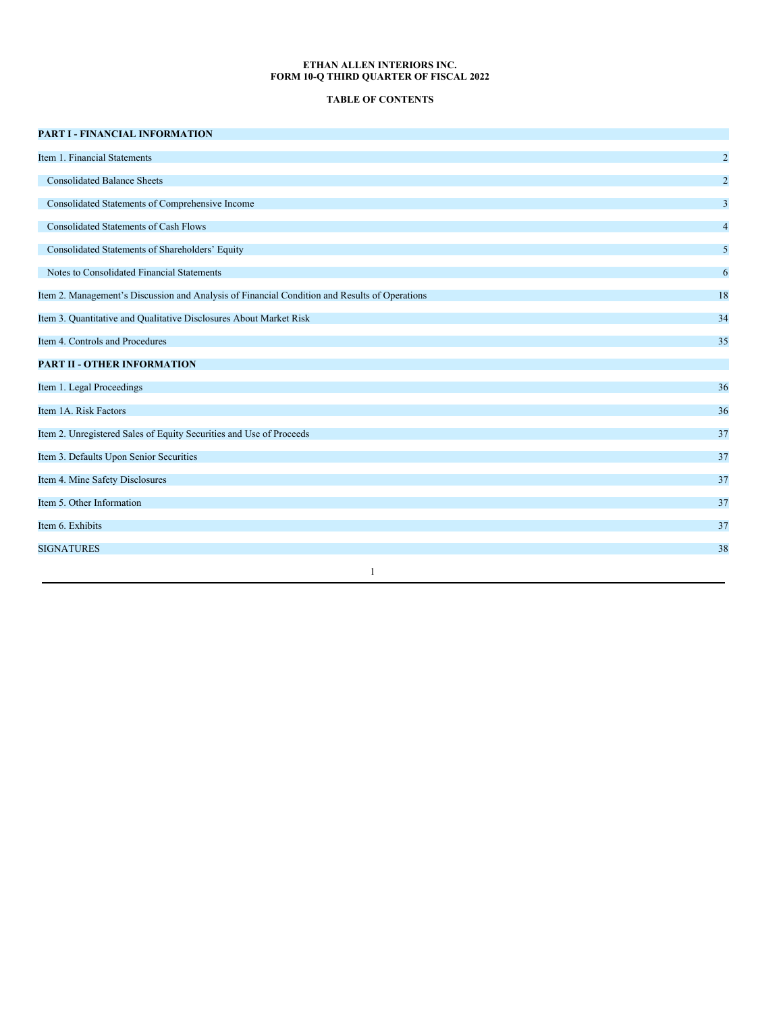## **ETHAN ALLEN INTERIORS INC. FORM 10-Q THIRD QUARTER OF FISCAL 2022**

# **TABLE OF CONTENTS**

| <b>PART I - FINANCIAL INFORMATION</b>                                                         |                |
|-----------------------------------------------------------------------------------------------|----------------|
| Item 1. Financial Statements                                                                  | $\overline{c}$ |
| <b>Consolidated Balance Sheets</b>                                                            | $\overline{c}$ |
| Consolidated Statements of Comprehensive Income                                               | 3              |
| <b>Consolidated Statements of Cash Flows</b>                                                  | $\overline{4}$ |
| Consolidated Statements of Shareholders' Equity                                               | 5              |
| Notes to Consolidated Financial Statements                                                    | 6              |
| Item 2. Management's Discussion and Analysis of Financial Condition and Results of Operations | 18             |
| Item 3. Quantitative and Qualitative Disclosures About Market Risk                            | 34             |
| Item 4. Controls and Procedures                                                               | 35             |
| <b>PART II - OTHER INFORMATION</b>                                                            |                |
| Item 1. Legal Proceedings                                                                     | 36             |
| Item 1A. Risk Factors                                                                         | 36             |
| Item 2. Unregistered Sales of Equity Securities and Use of Proceeds                           | 37             |
| Item 3. Defaults Upon Senior Securities                                                       | 37             |
| Item 4. Mine Safety Disclosures                                                               | 37             |
| Item 5. Other Information                                                                     | 37             |
| Item 6. Exhibits                                                                              | 37             |
| <b>SIGNATURES</b>                                                                             | 38             |
| 1                                                                                             |                |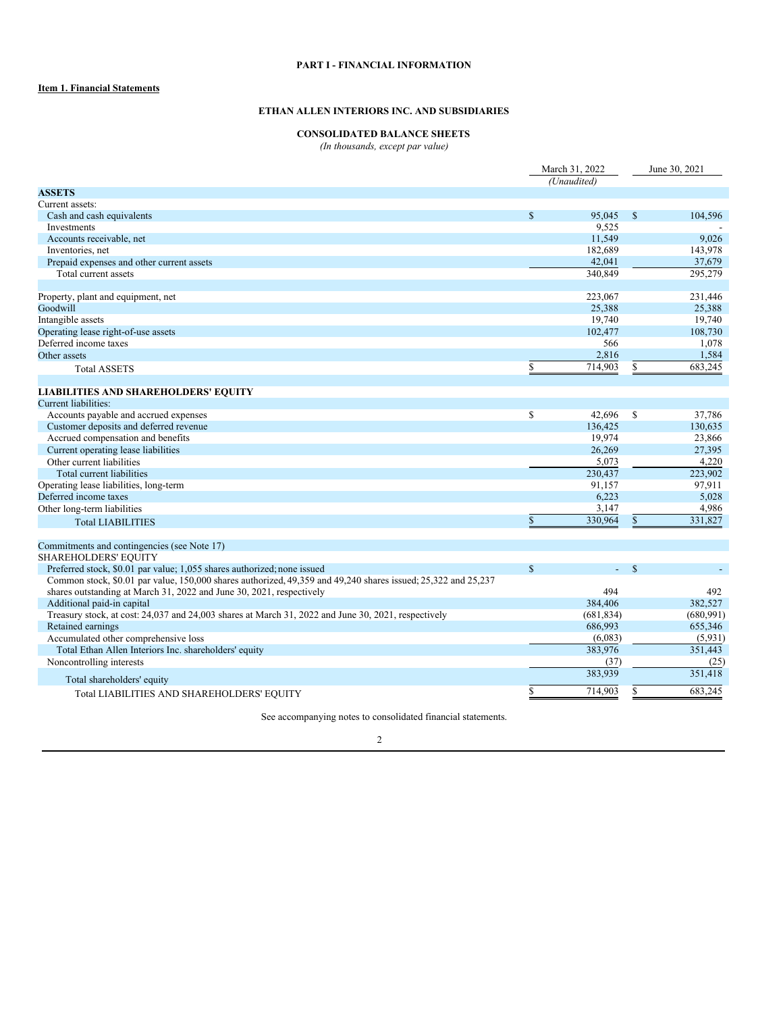# **PART I - FINANCIAL INFORMATION**

# **Item 1. Financial Statements**

# **ETHAN ALLEN INTERIORS INC. AND SUBSIDIARIES**

# **CONSOLIDATED BALANCE SHEETS**

*(In thousands, except par value)*

|                                                                                                               | March 31, 2022 |             |               | June 30, 2021 |  |  |
|---------------------------------------------------------------------------------------------------------------|----------------|-------------|---------------|---------------|--|--|
|                                                                                                               |                | (Unaudited) |               |               |  |  |
| <b>ASSETS</b>                                                                                                 |                |             |               |               |  |  |
| Current assets:                                                                                               |                |             |               |               |  |  |
| Cash and cash equivalents                                                                                     | $\mathbf S$    | 95.045      | $\mathbb{S}$  | 104.596       |  |  |
| Investments                                                                                                   |                | 9.525       |               |               |  |  |
| Accounts receivable, net                                                                                      |                | 11.549      |               | 9.026         |  |  |
| Inventories, net                                                                                              |                | 182,689     |               | 143,978       |  |  |
| Prepaid expenses and other current assets                                                                     |                | 42,041      |               | 37,679        |  |  |
| Total current assets                                                                                          |                | 340,849     |               | 295,279       |  |  |
| Property, plant and equipment, net                                                                            |                | 223,067     |               | 231.446       |  |  |
| Goodwill                                                                                                      |                | 25,388      |               | 25,388        |  |  |
| Intangible assets                                                                                             |                | 19,740      |               | 19,740        |  |  |
| Operating lease right-of-use assets                                                                           |                | 102,477     |               | 108,730       |  |  |
| Deferred income taxes                                                                                         |                | 566         |               | 1,078         |  |  |
| Other assets                                                                                                  |                | 2,816       |               | 1,584         |  |  |
| <b>Total ASSETS</b>                                                                                           | \$             | 714,903     | \$            | 683,245       |  |  |
| <b>LIABILITIES AND SHAREHOLDERS' EQUITY</b>                                                                   |                |             |               |               |  |  |
| Current liabilities:                                                                                          |                |             |               |               |  |  |
| Accounts payable and accrued expenses                                                                         | $\mathbb{S}$   | 42,696      | S             | 37,786        |  |  |
| Customer deposits and deferred revenue                                                                        |                | 136,425     |               | 130,635       |  |  |
| Accrued compensation and benefits                                                                             |                | 19,974      |               | 23,866        |  |  |
| Current operating lease liabilities                                                                           |                | 26,269      |               | 27,395        |  |  |
| Other current liabilities                                                                                     |                | 5,073       |               | 4,220         |  |  |
| Total current liabilities                                                                                     |                | 230.437     |               | 223.902       |  |  |
| Operating lease liabilities, long-term                                                                        |                | 91,157      |               | 97,911        |  |  |
| Deferred income taxes                                                                                         |                |             |               |               |  |  |
|                                                                                                               |                | 6,223       |               | 5,028         |  |  |
| Other long-term liabilities                                                                                   |                | 3,147       |               | 4,986         |  |  |
| <b>Total LIABILITIES</b>                                                                                      | $\mathbb S$    | 330,964     | $\mathbb{S}$  | 331,827       |  |  |
| Commitments and contingencies (see Note 17)                                                                   |                |             |               |               |  |  |
| <b>SHAREHOLDERS' EQUITY</b>                                                                                   |                |             |               |               |  |  |
| Preferred stock, \$0.01 par value; 1,055 shares authorized; none issued                                       | $\mathbf S$    |             | <sup>\$</sup> |               |  |  |
| Common stock, \$0.01 par value, 150,000 shares authorized, 49,359 and 49,240 shares issued; 25,322 and 25,237 |                |             |               |               |  |  |
| shares outstanding at March 31, 2022 and June 30, 2021, respectively                                          |                | 494         |               | 492           |  |  |
| Additional paid-in capital                                                                                    |                | 384,406     |               | 382,527       |  |  |
| Treasury stock, at cost: 24,037 and 24,003 shares at March 31, 2022 and June 30, 2021, respectively           |                | (681, 834)  |               | (680, 991)    |  |  |
| Retained earnings                                                                                             |                | 686,993     |               | 655,346       |  |  |
| Accumulated other comprehensive loss                                                                          |                | (6,083)     |               | (5,931)       |  |  |
| Total Ethan Allen Interiors Inc. shareholders' equity                                                         |                | 383,976     |               | 351.443       |  |  |
| Noncontrolling interests                                                                                      |                | (37)        |               | (25)          |  |  |
|                                                                                                               |                | 383,939     |               | 351,418       |  |  |
| Total shareholders' equity                                                                                    |                |             |               |               |  |  |
| Total LIABILITIES AND SHAREHOLDERS' EQUITY                                                                    |                | 714,903     |               | 683,245       |  |  |

See accompanying notes to consolidated financial statements.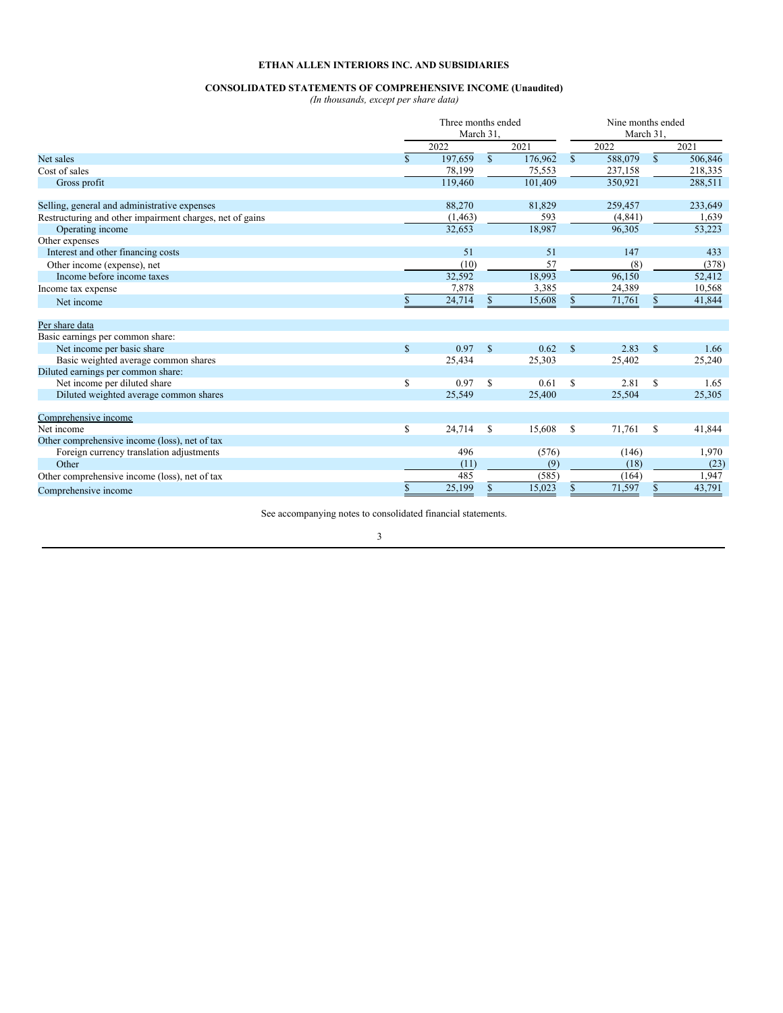#### **CONSOLIDATED STATEMENTS OF COMPREHENSIVE INCOME (Unaudited)**

*(In thousands, except per share data)*

|                                                          |              | Three months ended<br>March 31. |               |         | Nine months ended<br>March 31. |          |               |         |  |
|----------------------------------------------------------|--------------|---------------------------------|---------------|---------|--------------------------------|----------|---------------|---------|--|
|                                                          |              | 2022                            |               | 2021    |                                | 2022     |               | 2021    |  |
| Net sales                                                | S.           | 197,659                         | $\mathbb{S}$  | 176,962 | $\mathbb{S}$                   | 588,079  | $\mathbb{S}$  | 506,846 |  |
| Cost of sales                                            |              | 78,199                          |               | 75,553  |                                | 237,158  |               | 218,335 |  |
| Gross profit                                             |              | 119,460                         |               | 101,409 |                                | 350,921  |               | 288,511 |  |
| Selling, general and administrative expenses             |              | 88,270                          |               | 81,829  |                                | 259,457  |               | 233,649 |  |
| Restructuring and other impairment charges, net of gains |              | (1, 463)                        |               | 593     |                                | (4, 841) |               | 1,639   |  |
| Operating income                                         |              | 32,653                          |               | 18,987  |                                | 96.305   |               | 53,223  |  |
| Other expenses                                           |              |                                 |               |         |                                |          |               |         |  |
| Interest and other financing costs                       |              | 51                              |               | 51      |                                | 147      |               | 433     |  |
| Other income (expense), net                              |              | (10)                            |               | 57      |                                | (8)      |               | (378)   |  |
| Income before income taxes                               |              | 32,592                          |               | 18,993  |                                | 96.150   |               | 52,412  |  |
| Income tax expense                                       |              | 7,878                           |               | 3,385   |                                | 24,389   |               | 10,568  |  |
| Net income                                               | S.           | 24,714                          | \$            | 15,608  | \$                             | 71,761   | \$            | 41,844  |  |
| Per share data                                           |              |                                 |               |         |                                |          |               |         |  |
| Basic earnings per common share:                         |              |                                 |               |         |                                |          |               |         |  |
| Net income per basic share                               | $\mathbb{S}$ | 0.97                            | $\mathbf S$   | 0.62    | $\mathbb{S}$                   | 2.83     | $\mathbb{S}$  | 1.66    |  |
| Basic weighted average common shares                     |              | 25,434                          |               | 25,303  |                                | 25,402   |               | 25,240  |  |
| Diluted earnings per common share:                       |              |                                 |               |         |                                |          |               |         |  |
| Net income per diluted share                             | $\mathbb{S}$ | 0.97                            | <sup>\$</sup> | 0.61    | $\mathbb{S}$                   | 2.81     | <sup>\$</sup> | 1.65    |  |
| Diluted weighted average common shares                   |              | 25,549                          |               | 25,400  |                                | 25,504   |               | 25,305  |  |
| Comprehensive income                                     |              |                                 |               |         |                                |          |               |         |  |
| Net income                                               | $\mathbb{S}$ | 24,714                          | S             | 15,608  | \$                             | 71,761   | \$            | 41,844  |  |
| Other comprehensive income (loss), net of tax            |              |                                 |               |         |                                |          |               |         |  |
| Foreign currency translation adjustments                 |              | 496                             |               | (576)   |                                | (146)    |               | 1,970   |  |
| Other                                                    |              | (11)                            |               | (9)     |                                | (18)     |               | (23)    |  |
| Other comprehensive income (loss), net of tax            |              | 485                             |               | (585)   |                                | (164)    |               | 1,947   |  |
| Comprehensive income                                     | \$           | 25,199                          | \$            | 15,023  | \$                             | 71,597   | \$            | 43,791  |  |

See accompanying notes to consolidated financial statements.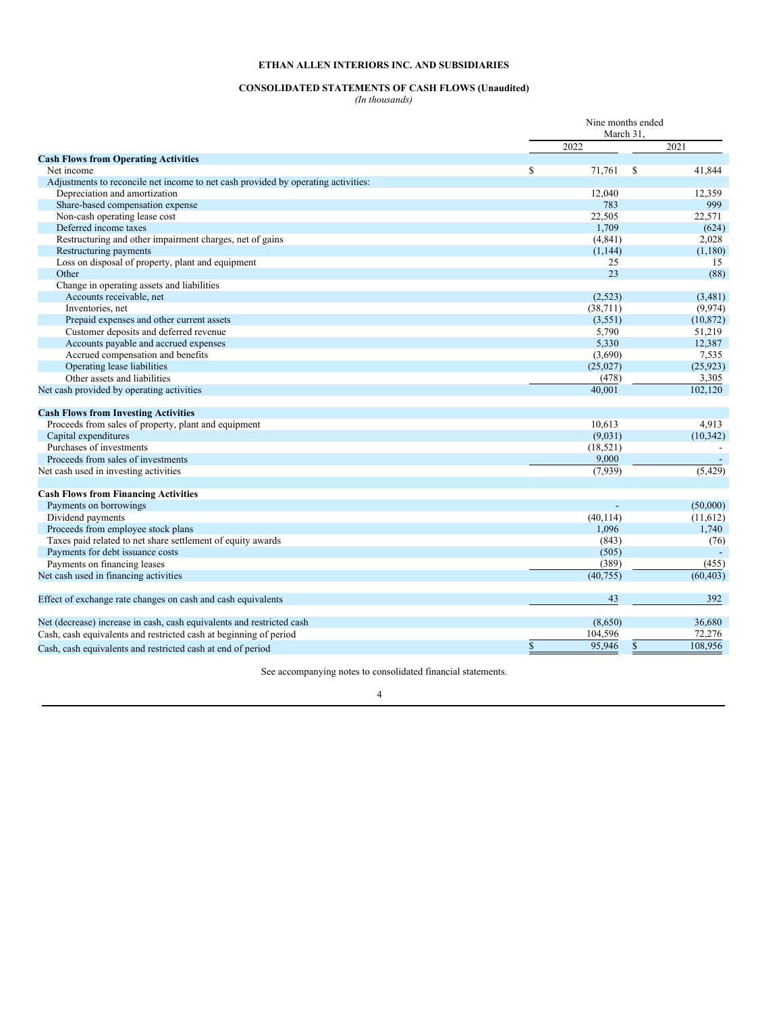### **CONSOLIDATED STATEMENTS OF CASH FLOWS (Unaudited)**

*(In thousands)*

|                                                                                   |    | Nine months ended<br>March 31, |                          |  |  |  |  |  |
|-----------------------------------------------------------------------------------|----|--------------------------------|--------------------------|--|--|--|--|--|
|                                                                                   |    | 2022                           | 2021                     |  |  |  |  |  |
| <b>Cash Flows from Operating Activities</b>                                       |    |                                |                          |  |  |  |  |  |
| Net income                                                                        | S  | 71,761<br><sup>S</sup>         | 41,844                   |  |  |  |  |  |
| Adjustments to reconcile net income to net cash provided by operating activities: |    |                                |                          |  |  |  |  |  |
| Depreciation and amortization                                                     |    | 12,040                         | 12,359                   |  |  |  |  |  |
| Share-based compensation expense                                                  |    | 783                            | 999                      |  |  |  |  |  |
| Non-cash operating lease cost                                                     |    | 22,505                         | 22,571                   |  |  |  |  |  |
| Deferred income taxes                                                             |    | 1,709                          | (624)                    |  |  |  |  |  |
| Restructuring and other impairment charges, net of gains                          |    | (4, 841)                       | 2,028                    |  |  |  |  |  |
| Restructuring payments                                                            |    | (1, 144)                       | (1,180)                  |  |  |  |  |  |
| Loss on disposal of property, plant and equipment                                 |    | 25                             | 15                       |  |  |  |  |  |
| Other                                                                             |    | 23                             | (88)                     |  |  |  |  |  |
| Change in operating assets and liabilities                                        |    |                                |                          |  |  |  |  |  |
| Accounts receivable, net                                                          |    | (2,523)                        | (3,481)                  |  |  |  |  |  |
| Inventories, net                                                                  |    | (38, 711)                      | (9,974)                  |  |  |  |  |  |
| Prepaid expenses and other current assets                                         |    | (3,551)                        | (10, 872)                |  |  |  |  |  |
| Customer deposits and deferred revenue                                            |    | 5,790                          | 51,219                   |  |  |  |  |  |
| Accounts payable and accrued expenses                                             |    | 5,330                          | 12,387                   |  |  |  |  |  |
| Accrued compensation and benefits                                                 |    | (3,690)                        | 7,535                    |  |  |  |  |  |
| Operating lease liabilities                                                       |    | (25,027)                       | (25, 923)                |  |  |  |  |  |
| Other assets and liabilities                                                      |    | (478)                          | 3,305                    |  |  |  |  |  |
| Net cash provided by operating activities                                         |    | 40,001                         | 102,120                  |  |  |  |  |  |
| <b>Cash Flows from Investing Activities</b>                                       |    |                                |                          |  |  |  |  |  |
| Proceeds from sales of property, plant and equipment                              |    | 10,613                         | 4,913                    |  |  |  |  |  |
| Capital expenditures                                                              |    | (9,031)                        | (10, 342)                |  |  |  |  |  |
| Purchases of investments                                                          |    | (18, 521)                      |                          |  |  |  |  |  |
| Proceeds from sales of investments                                                |    | 9,000                          | $\overline{\phantom{a}}$ |  |  |  |  |  |
| Net cash used in investing activities                                             |    | (7,939)                        | (5, 429)                 |  |  |  |  |  |
| <b>Cash Flows from Financing Activities</b>                                       |    |                                |                          |  |  |  |  |  |
| Payments on borrowings                                                            |    |                                | (50,000)                 |  |  |  |  |  |
| Dividend payments                                                                 |    | (40, 114)                      | (11,612)                 |  |  |  |  |  |
| Proceeds from employee stock plans                                                |    | 1,096                          | 1,740                    |  |  |  |  |  |
| Taxes paid related to net share settlement of equity awards                       |    | (843)                          | (76)                     |  |  |  |  |  |
| Payments for debt issuance costs                                                  |    | (505)                          |                          |  |  |  |  |  |
| Payments on financing leases                                                      |    | (389)                          | (455)                    |  |  |  |  |  |
| Net cash used in financing activities                                             |    | (40, 755)                      | (60, 403)                |  |  |  |  |  |
| Effect of exchange rate changes on cash and cash equivalents                      |    | 43                             | 392                      |  |  |  |  |  |
| Net (decrease) increase in cash, cash equivalents and restricted cash             |    | (8,650)                        | 36,680                   |  |  |  |  |  |
| Cash, cash equivalents and restricted cash at beginning of period                 |    | 104,596                        | 72,276                   |  |  |  |  |  |
| Cash, cash equivalents and restricted cash at end of period                       | \$ | 95,946<br><b>S</b>             | 108,956                  |  |  |  |  |  |

See accompanying notes to consolidated financial statements.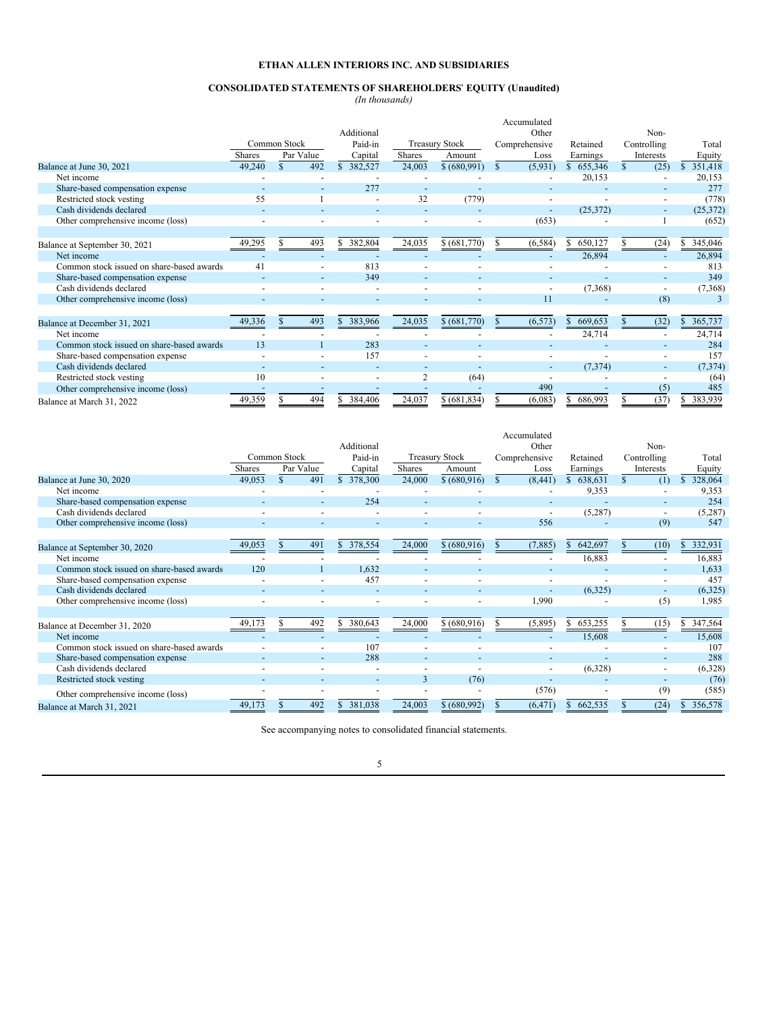#### **CONSOLIDATED STATEMENTS OF SHAREHOLDERS**' **EQUITY (Unaudited)**

*(In thousands)*

| Balance at June 30, 2021<br>Net income    | <b>Shares</b><br>49,240 | Common Stock<br>Par Value | 492                      | Additional<br>Paid-in<br>Capital<br>\$ 382,527 | <b>Shares</b><br>24,003  | <b>Treasury Stock</b><br>Amount<br>\$ (680,991) | Accumulated<br>Other<br>Comprehensive<br>Loss<br>(5,931)<br>\$ | Retained<br>Earnings<br>655,346<br>S.<br>20,153 | Non-<br>Controlling<br>Interests<br>(25)<br>$\mathbb{S}$ | Total<br>Equity<br>351,418<br>20,153 |
|-------------------------------------------|-------------------------|---------------------------|--------------------------|------------------------------------------------|--------------------------|-------------------------------------------------|----------------------------------------------------------------|-------------------------------------------------|----------------------------------------------------------|--------------------------------------|
| Share-based compensation expense          |                         |                           | $\overline{\phantom{0}}$ | 277                                            | ٠                        |                                                 |                                                                |                                                 | $\overline{\phantom{a}}$                                 | 277                                  |
| Restricted stock vesting                  | 55                      |                           |                          |                                                | 32                       | (779)                                           |                                                                |                                                 | $\overline{\phantom{0}}$                                 | (778)                                |
| Cash dividends declared                   |                         |                           |                          |                                                |                          |                                                 |                                                                | (25,372)                                        | $\overline{\phantom{a}}$                                 | (25, 372)                            |
| Other comprehensive income (loss)         |                         |                           |                          |                                                |                          |                                                 | (653)                                                          |                                                 |                                                          | (652)                                |
|                                           |                         |                           |                          |                                                |                          |                                                 |                                                                |                                                 |                                                          |                                      |
| Balance at September 30, 2021             | 49,295                  |                           | 493                      | 382,804<br>\$                                  | 24,035                   | \$ (681,770)                                    | (6, 584)<br>\$                                                 | 650,127<br>S                                    | (24)                                                     | 345,046                              |
| Net income                                |                         |                           |                          |                                                |                          |                                                 |                                                                | 26,894                                          |                                                          | 26,894                               |
| Common stock issued on share-based awards | 41                      |                           |                          | 813                                            |                          |                                                 |                                                                |                                                 |                                                          | 813                                  |
| Share-based compensation expense          |                         |                           |                          | 349                                            |                          |                                                 |                                                                |                                                 |                                                          | 349                                  |
| Cash dividends declared                   |                         |                           |                          |                                                |                          |                                                 |                                                                | (7,368)                                         | $\overline{\phantom{a}}$                                 | (7, 368)                             |
| Other comprehensive income (loss)         |                         |                           |                          |                                                |                          |                                                 | 11                                                             |                                                 | (8)                                                      | 3                                    |
|                                           |                         |                           |                          |                                                |                          |                                                 |                                                                |                                                 |                                                          |                                      |
| Balance at December 31, 2021              | 49,336                  |                           | 493                      | 383,966<br>$\mathbb{S}$                        | 24,035                   | \$ (681,770)                                    | (6, 573)<br>\$.                                                | 669,653<br>\$.                                  | (32)                                                     | 365,737                              |
| Net income                                |                         |                           |                          |                                                |                          |                                                 |                                                                | 24,714                                          | $\overline{\phantom{a}}$                                 | 24,714                               |
| Common stock issued on share-based awards | 13                      |                           |                          | 283                                            |                          |                                                 |                                                                |                                                 |                                                          | 284                                  |
| Share-based compensation expense          |                         |                           |                          | 157                                            |                          |                                                 |                                                                |                                                 |                                                          | 157                                  |
| Cash dividends declared                   | ٠                       |                           |                          |                                                | $\overline{\phantom{a}}$ |                                                 | ۰                                                              | (7, 374)                                        | $\overline{\phantom{a}}$                                 | (7, 374)                             |
| Restricted stock vesting                  | 10                      |                           |                          |                                                | $\overline{2}$           | (64)                                            |                                                                |                                                 |                                                          | (64)                                 |
| Other comprehensive income (loss)         |                         |                           |                          |                                                |                          |                                                 | 490                                                            |                                                 | (5)                                                      | 485                                  |
| Balance at March 31, 2022                 | 49,359                  |                           | 494                      | 384,406                                        | 24,037                   | \$ (681, 834)                                   | (6,083)                                                        | 686,993                                         | (37)                                                     | 383,939                              |

|                                           | Common Stock  |   |                          | Additional<br>Paid-in |               | <b>Treasury Stock</b>    |              | Accumulated<br>Other<br>Comprehensive | Retained     | Non-<br>Controlling      | Total         |
|-------------------------------------------|---------------|---|--------------------------|-----------------------|---------------|--------------------------|--------------|---------------------------------------|--------------|--------------------------|---------------|
|                                           | <b>Shares</b> |   | Par Value                | Capital               | <b>Shares</b> | Amount                   |              | Loss                                  | Earnings     | Interests                | Equity        |
| Balance at June 30, 2020                  | 49,053        | S | 491                      | \$378,300             | 24,000        | \$ (680,916)             | $\mathbb{S}$ | (8,441)                               | \$638,631    | (1)                      | 328,064<br>\$ |
| Net income                                |               |   |                          |                       |               |                          |              |                                       | 9,353        | $\overline{\phantom{a}}$ | 9,353         |
| Share-based compensation expense          |               |   | $\overline{\phantom{a}}$ | 254                   |               |                          |              |                                       |              | $\overline{\phantom{a}}$ | 254           |
| Cash dividends declared                   |               |   |                          |                       |               |                          |              |                                       | (5,287)      | $\overline{\phantom{a}}$ | (5, 287)      |
| Other comprehensive income (loss)         |               |   |                          |                       |               |                          |              | 556                                   |              | (9)                      | 547           |
|                                           |               |   |                          |                       |               |                          |              |                                       |              |                          |               |
| Balance at September 30, 2020             | 49,053        |   | 491                      | 378,554               | 24,000        | \$ (680,916)             | \$           | (7, 885)                              | 642,697      | (10)                     | 332,931       |
| Net income                                |               |   |                          |                       |               |                          |              |                                       | 16,883       |                          | 16,883        |
| Common stock issued on share-based awards | 120           |   |                          | 1,632                 |               |                          |              |                                       |              |                          | 1,633         |
| Share-based compensation expense          |               |   | $\overline{\phantom{0}}$ | 457                   | ٠             | $\overline{\phantom{0}}$ |              |                                       |              | $\overline{\phantom{a}}$ | 457           |
| Cash dividends declared                   |               |   |                          |                       |               |                          |              |                                       | (6,325)      | $\overline{\phantom{a}}$ | (6,325)       |
| Other comprehensive income (loss)         |               |   |                          |                       |               |                          |              | 1,990                                 |              | (5)                      | 1,985         |
|                                           |               |   |                          |                       |               |                          |              |                                       |              |                          |               |
| Balance at December 31, 2020              | 49,173        |   | 492                      | 380,643<br>\$         | 24,000        | \$ (680,916)             | S            | (5,895)                               | 653,255<br>S | (15)                     | 347,564       |
| Net income                                |               |   |                          |                       |               |                          |              |                                       | 15,608       |                          | 15,608        |
| Common stock issued on share-based awards |               |   |                          | 107                   |               |                          |              |                                       |              |                          | 107           |
| Share-based compensation expense          |               |   | $\overline{\phantom{a}}$ | 288                   |               |                          |              |                                       |              | $\overline{\phantom{a}}$ | 288           |
| Cash dividends declared                   |               |   |                          |                       | ٠             |                          |              |                                       | (6,328)      | $\overline{\phantom{a}}$ | (6,328)       |
| Restricted stock vesting                  |               |   |                          |                       | 3             | (76)                     |              |                                       |              |                          | (76)          |
| Other comprehensive income (loss)         |               |   |                          |                       |               |                          |              | (576)                                 |              | (9)                      | (585)         |
| Balance at March 31, 2021                 | 49,173        |   | 492                      | 381,038               | 24,003        | \$ (680,992)             |              | (6, 471)                              | 662,535      | (24)                     | 356,578       |

See accompanying notes to consolidated financial statements.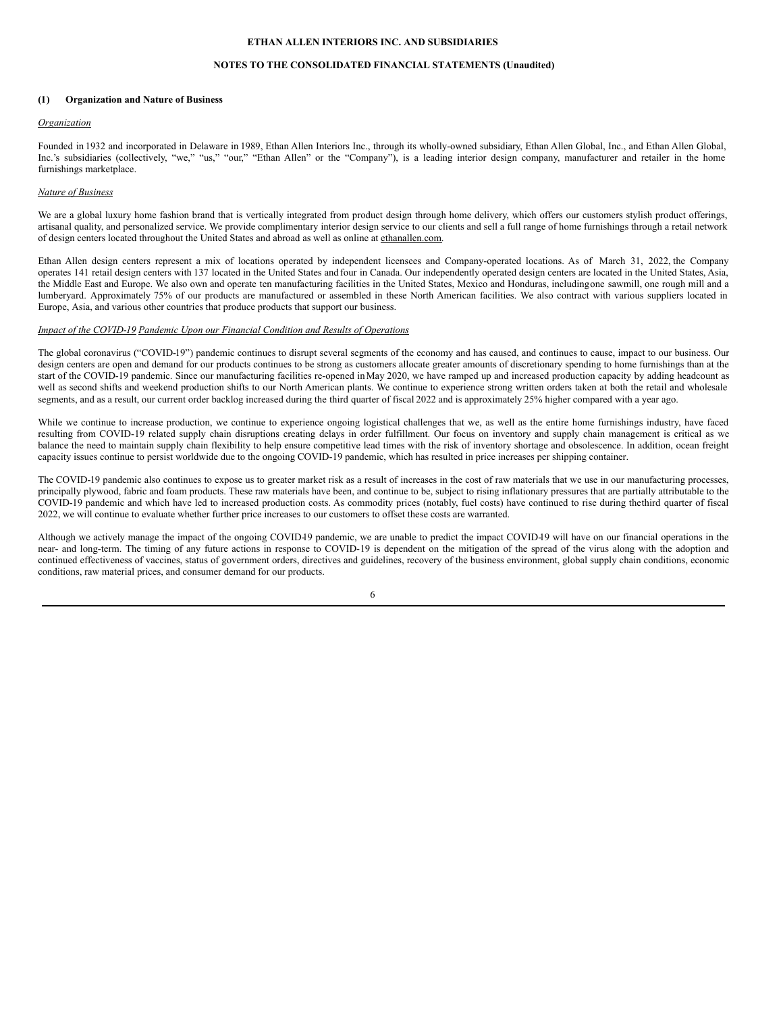## **NOTES TO THE CONSOLIDATED FINANCIAL STATEMENTS (Unaudited)**

#### **(1) Organization and Nature of Business**

### *Organization*

Founded in 1932 and incorporated in Delaware in 1989, Ethan Allen Interiors Inc., through its wholly-owned subsidiary, Ethan Allen Global, Inc., and Ethan Allen Global, Inc.'s subsidiaries (collectively, "we," "us," "our," "Ethan Allen" or the "Company"), is a leading interior design company, manufacturer and retailer in the home furnishings marketplace.

### *Nature of Business*

We are a global luxury home fashion brand that is vertically integrated from product design through home delivery, which offers our customers stylish product offerings, artisanal quality, and personalized service. We provide complimentary interior design service to our clients and sell a full range of home furnishings through a retail network of design centers located throughout the United States and abroad as well as online at ethanallen.com.

Ethan Allen design centers represent a mix of locations operated by independent licensees and Company-operated locations. As of March 31, 2022, the Company operates 141 retail design centers with 137 located in the United States and four in Canada. Our independently operated design centers are located in the United States, Asia, the Middle East and Europe. We also own and operate ten manufacturing facilities in the United States, Mexico and Honduras, includingone sawmill, one rough mill and a lumberyard. Approximately 75% of our products are manufactured or assembled in these North American facilities. We also contract with various suppliers located in Europe, Asia, and various other countries that produce products that support our business.

## *Impact of the COVID-19 Pandemic Upon our Financial Condition and Results of Operations*

The global coronavirus ("COVID-19") pandemic continues to disrupt several segments of the economy and has caused, and continues to cause, impact to our business. Our design centers are open and demand for our products continues to be strong as customers allocate greater amounts of discretionary spending to home furnishings than at the start of the COVID-19 pandemic. Since our manufacturing facilities re-opened inMay 2020, we have ramped up and increased production capacity by adding headcount as well as second shifts and weekend production shifts to our North American plants. We continue to experience strong written orders taken at both the retail and wholesale segments, and as a result, our current order backlog increased during the third quarter of fiscal 2022 and is approximately 25% higher compared with a year ago.

While we continue to increase production, we continue to experience ongoing logistical challenges that we, as well as the entire home furnishings industry, have faced resulting from COVID-19 related supply chain disruptions creating delays in order fulfillment. Our focus on inventory and supply chain management is critical as we balance the need to maintain supply chain flexibility to help ensure competitive lead times with the risk of inventory shortage and obsolescence. In addition, ocean freight capacity issues continue to persist worldwide due to the ongoing COVID-19 pandemic, which has resulted in price increases per shipping container.

The COVID-19 pandemic also continues to expose us to greater market risk as a result of increases in the cost of raw materials that we use in our manufacturing processes, principally plywood, fabric and foam products. These raw materials have been, and continue to be, subject to rising inflationary pressures that are partially attributable to the COVID-19 pandemic and which have led to increased production costs. As commodity prices (notably, fuel costs) have continued to rise during thethird quarter of fiscal 2022, we will continue to evaluate whether further price increases to our customers to offset these costs are warranted.

Although we actively manage the impact of the ongoing COVID-19 pandemic, we are unable to predict the impact COVID-19 will have on our financial operations in the near- and long-term. The timing of any future actions in response to COVID-19 is dependent on the mitigation of the spread of the virus along with the adoption and continued effectiveness of vaccines, status of government orders, directives and guidelines, recovery of the business environment, global supply chain conditions, economic conditions, raw material prices, and consumer demand for our products.

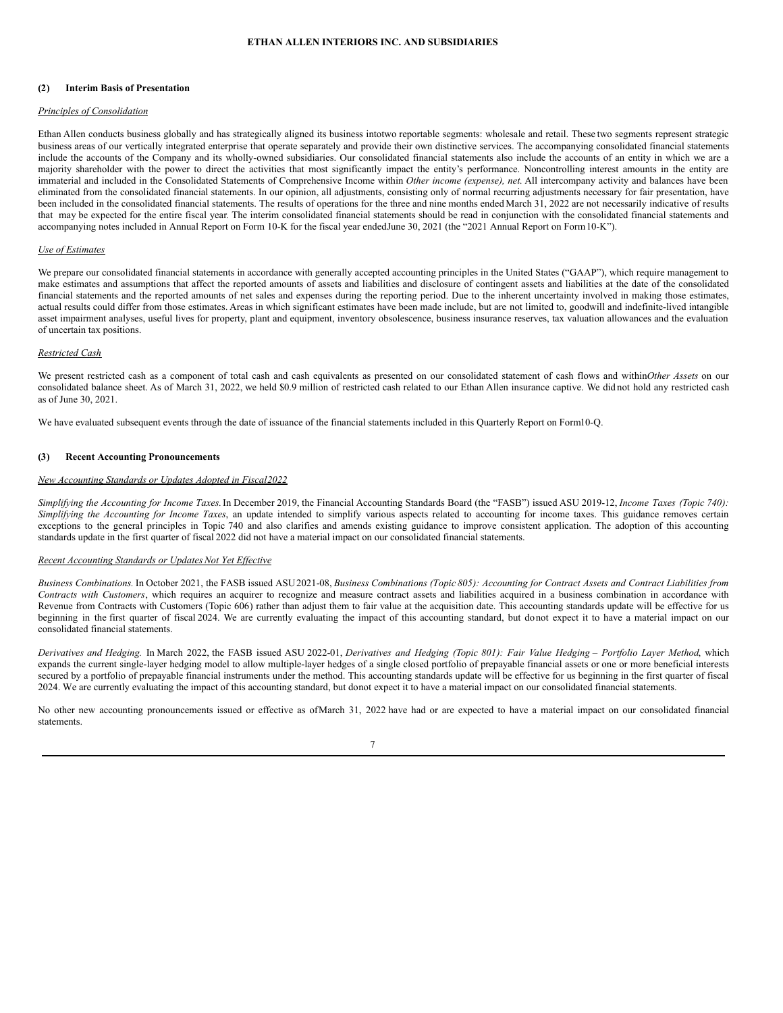#### **(2) Interim Basis of Presentation**

### *Principles of Consolidation*

Ethan Allen conducts business globally and has strategically aligned its business intotwo reportable segments: wholesale and retail. These two segments represent strategic business areas of our vertically integrated enterprise that operate separately and provide their own distinctive services. The accompanying consolidated financial statements include the accounts of the Company and its wholly-owned subsidiaries. Our consolidated financial statements also include the accounts of an entity in which we are a majority shareholder with the power to direct the activities that most significantly impact the entity's performance. Noncontrolling interest amounts in the entity are immaterial and included in the Consolidated Statements of Comprehensive Income within *Other income (expense), net*. All intercompany activity and balances have been eliminated from the consolidated financial statements. In our opinion, all adjustments, consisting only of normal recurring adjustments necessary for fair presentation, have been included in the consolidated financial statements. The results of operations for the three and nine months ended March 31, 2022 are not necessarily indicative of results that may be expected for the entire fiscal year. The interim consolidated financial statements should be read in conjunction with the consolidated financial statements and accompanying notes included in Annual Report on Form 10-K for the fiscal year endedJune 30, 2021 (the "2021 Annual Report on Form10-K").

### *Use of Estimates*

We prepare our consolidated financial statements in accordance with generally accepted accounting principles in the United States ("GAAP"), which require management to make estimates and assumptions that affect the reported amounts of assets and liabilities and disclosure of contingent assets and liabilities at the date of the consolidated financial statements and the reported amounts of net sales and expenses during the reporting period. Due to the inherent uncertainty involved in making those estimates, actual results could differ from those estimates. Areas in which significant estimates have been made include, but are not limited to, goodwill and indefinite-lived intangible asset impairment analyses, useful lives for property, plant and equipment, inventory obsolescence, business insurance reserves, tax valuation allowances and the evaluation of uncertain tax positions.

### *Restricted Cash*

We present restricted cash as a component of total cash and cash equivalents as presented on our consolidated statement of cash flows and within*Other Assets* on our consolidated balance sheet. As of March 31, 2022, we held \$0.9 million of restricted cash related to our Ethan Allen insurance captive. We did not hold any restricted cash as of June 30, 2021.

We have evaluated subsequent events through the date of issuance of the financial statements included in this Quarterly Report on Form10-Q.

#### **(3) Recent Accounting Pronouncements**

# *New Accounting Standards or Updates Adopted in Fiscal2022*

Simplifying the Accounting for Income Taxes. In December 2019, the Financial Accounting Standards Board (the "FASB") issued ASU 2019-12, Income Taxes (Topic 740): *Simplifying the Accounting for Income Taxes*, an update intended to simplify various aspects related to accounting for income taxes. This guidance removes certain exceptions to the general principles in Topic 740 and also clarifies and amends existing guidance to improve consistent application. The adoption of this accounting standards update in the first quarter of fiscal 2022 did not have a material impact on our consolidated financial statements.

### *Recent Accounting Standards or Updates Not Yet Effective*

Business Combinations. In October 2021, the FASB issued ASU 2021-08, Business Combinations (Topic 805): Accounting for Contract Assets and Contract Liabilities from *Contracts with Customers*, which requires an acquirer to recognize and measure contract assets and liabilities acquired in a business combination in accordance with Revenue from Contracts with Customers (Topic 606) rather than adjust them to fair value at the acquisition date. This accounting standards update will be effective for us beginning in the first quarter of fiscal 2024. We are currently evaluating the impact of this accounting standard, but donot expect it to have a material impact on our consolidated financial statements.

Derivatives and Hedging. In March 2022, the FASB issued ASU 2022-01, Derivatives and Hedging (Topic 801): Fair Value Hedging - Portfolio Layer Method, which expands the current single-layer hedging model to allow multiple-layer hedges of a single closed portfolio of prepayable financial assets or one or more beneficial interests secured by a portfolio of prepayable financial instruments under the method. This accounting standards update will be effective for us beginning in the first quarter of fiscal 2024. We are currently evaluating the impact of this accounting standard, but donot expect it to have a material impact on our consolidated financial statements.

No other new accounting pronouncements issued or effective as ofMarch 31, 2022 have had or are expected to have a material impact on our consolidated financial statements.

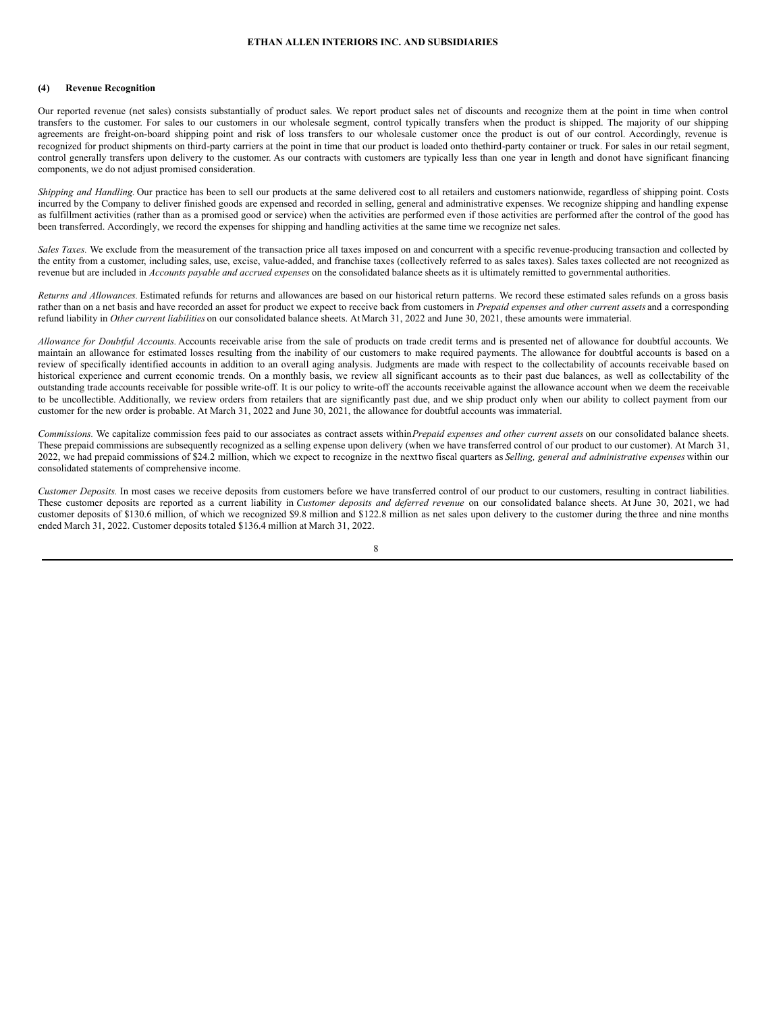## **(4) Revenue Recognition**

Our reported revenue (net sales) consists substantially of product sales. We report product sales net of discounts and recognize them at the point in time when control transfers to the customer. For sales to our customers in our wholesale segment, control typically transfers when the product is shipped. The majority of our shipping agreements are freight-on-board shipping point and risk of loss transfers to our wholesale customer once the product is out of our control. Accordingly, revenue is recognized for product shipments on third-party carriers at the point in time that our product is loaded onto thethird-party container or truck. For sales in our retail segment, control generally transfers upon delivery to the customer. As our contracts with customers are typically less than one year in length and donot have significant financing components, we do not adjust promised consideration.

*Shipping and Handling.* Our practice has been to sell our products at the same delivered cost to all retailers and customers nationwide, regardless of shipping point. Costs incurred by the Company to deliver finished goods are expensed and recorded in selling, general and administrative expenses. We recognize shipping and handling expense as fulfillment activities (rather than as a promised good or service) when the activities are performed even if those activities are performed after the control of the good has been transferred. Accordingly, we record the expenses for shipping and handling activities at the same time we recognize net sales.

*Sales Taxes.* We exclude from the measurement of the transaction price all taxes imposed on and concurrent with a specific revenue-producing transaction and collected by the entity from a customer, including sales, use, excise, value-added, and franchise taxes (collectively referred to as sales taxes). Sales taxes collected are not recognized as revenue but are included in *Accounts payable and accrued expenses* on the consolidated balance sheets as it is ultimately remitted to governmental authorities.

*Returns and Allowances.* Estimated refunds for returns and allowances are based on our historical return patterns. We record these estimated sales refunds on a gross basis rather than on a net basis and have recorded an asset for product we expect to receive back from customers in *Prepaid expenses and other current assets* and a corresponding refund liability in *Other current liabilities* on our consolidated balance sheets. AtMarch 31, 2022 and June 30, 2021, these amounts were immaterial.

*Allowance for Doubtful Accounts.* Accounts receivable arise from the sale of products on trade credit terms and is presented net of allowance for doubtful accounts. We maintain an allowance for estimated losses resulting from the inability of our customers to make required payments. The allowance for doubtful accounts is based on a review of specifically identified accounts in addition to an overall aging analysis. Judgments are made with respect to the collectability of accounts receivable based on historical experience and current economic trends. On a monthly basis, we review all significant accounts as to their past due balances, as well as collectability of the outstanding trade accounts receivable for possible write-off. It is our policy to write-off the accounts receivable against the allowance account when we deem the receivable to be uncollectible. Additionally, we review orders from retailers that are significantly past due, and we ship product only when our ability to collect payment from our customer for the new order is probable. At March 31, 2022 and June 30, 2021, the allowance for doubtful accounts was immaterial.

*Commissions.* We capitalize commission fees paid to our associates as contract assets within*Prepaid expenses and other current assets* on our consolidated balance sheets. These prepaid commissions are subsequently recognized as a selling expense upon delivery (when we have transferred control of our product to our customer). At March 31, 2022, we had prepaid commissions of \$24.2 million, which we expect to recognize in the nexttwo fiscal quarters as *Selling, general and administrative expenses* within our consolidated statements of comprehensive income.

*Customer Deposits.* In most cases we receive deposits from customers before we have transferred control of our product to our customers, resulting in contract liabilities. These customer deposits are reported as a current liability in *Customer deposits and deferred revenue* on our consolidated balance sheets. At June 30, 2021, we had customer deposits of \$130.6 million, of which we recognized \$9.8 million and \$122.8 million as net sales upon delivery to the customer during the three and nine months ended March 31, 2022. Customer deposits totaled \$136.4 million at March 31, 2022.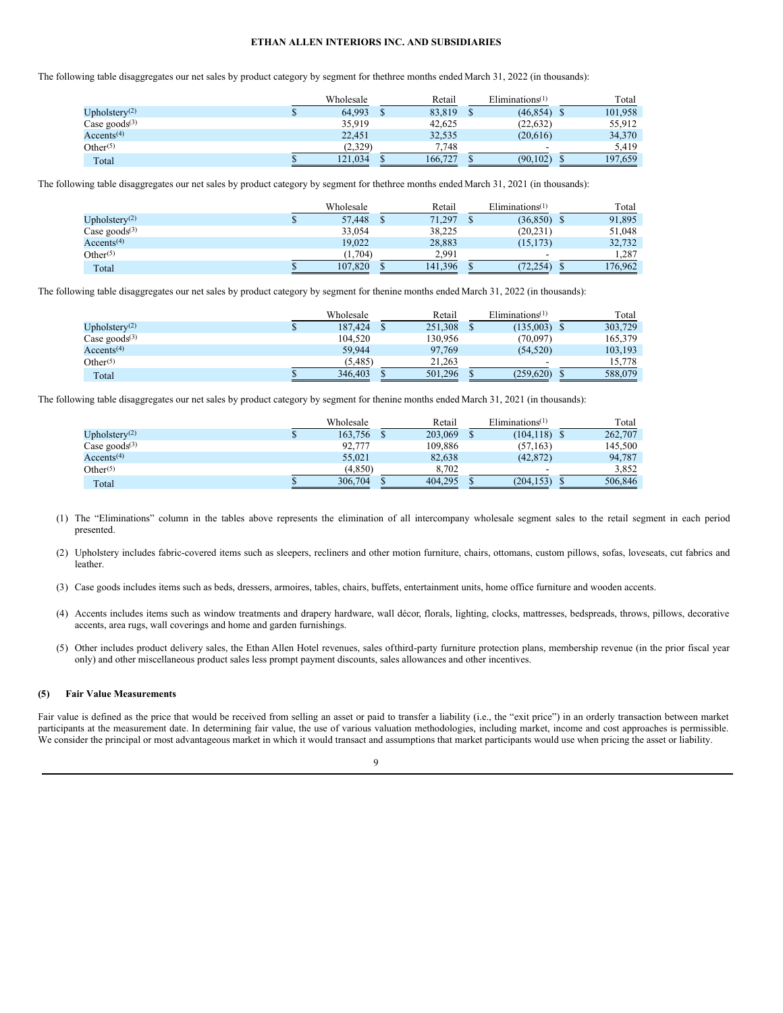The following table disaggregates our net sales by product category by segment for thethree months ended March 31, 2022 (in thousands):

|                           | Wholesale | Retail  | Eliminations <sup>(1)</sup> | Total   |
|---------------------------|-----------|---------|-----------------------------|---------|
| Upholstery <sup>(2)</sup> | 64.993    | 83.819  | (46.854)                    | 101,958 |
| Case goods $(3)$          | 35.919    | 42,625  | (22, 632)                   | 55.912  |
| Access <sup>(4)</sup>     | 22.451    | 32,535  | (20,616)                    | 34,370  |
| Other $(5)$               | (2,329)   | 7.748   | $\overline{\phantom{a}}$    | 5.419   |
| Total                     | 121.034   | 166,727 | (90.102)                    | 197.659 |

The following table disaggregates our net sales by product category by segment for thethree months ended March 31, 2021 (in thousands):

|                           |   | Wholesale | Retail  | Eliminations(1) | Total   |
|---------------------------|---|-----------|---------|-----------------|---------|
| Upholstery <sup>(2)</sup> | Æ | 57.448    | 71.297  | (36.850)        | 91.895  |
| Case goods $(3)$          |   | 33,054    | 38,225  | (20.231)        | 51,048  |
| Access <sup>(4)</sup>     |   | 19.022    | 28,883  | (15, 173)       | 32.732  |
| Other <sup>(5)</sup>      |   | (1,704)   | 2.991   | -               | 1.287   |
| Total                     |   | 107.820   | 141.396 | (72, 254)       | 176.962 |

The following table disaggregates our net sales by product category by segment for thenine months ended March 31, 2022 (in thousands):

|                           |   | Wholesale | Retail  | Eliminations(1)          | Total   |
|---------------------------|---|-----------|---------|--------------------------|---------|
| Upholstery <sup>(2)</sup> | Φ | 187.424   | 251,308 | (135,003)                | 303,729 |
| Case goods $(3)$          |   | 104.520   | 130.956 | (70.097)                 | 165.379 |
| $\text{Access}^{(4)}$     |   | 59.944    | 97,769  | (54, 520)                | 103,193 |
| Other <sup>(5)</sup>      |   | (5.485)   | 21.263  | $\overline{\phantom{a}}$ | 15.778  |
| Total                     |   | 346,403   | 501.296 | (259.620)                | 588,079 |

The following table disaggregates our net sales by product category by segment for thenine months ended March 31, 2021 (in thousands):

|                           | Wholesale    | Retail  | Eliminations(1) | Total   |
|---------------------------|--------------|---------|-----------------|---------|
| Upholstery <sup>(2)</sup> | 163,756<br>ъ | 203,069 | (104.118)       | 262,707 |
| Case goods $(3)$          | 92,777       | 109.886 | (57, 163)       | 145.500 |
| Access <sup>(4)</sup>     | 55,021       | 82.638  | (42, 872)       | 94,787  |
| Other $(5)$               | (4, 850)     | 8.702   | -               | 3.852   |
| Total                     | 306,704      | 404.295 | (204.153)       | 506,846 |

- (1) The "Eliminations" column in the tables above represents the elimination of all intercompany wholesale segment sales to the retail segment in each period presented.
- (2) Upholstery includes fabric-covered items such as sleepers, recliners and other motion furniture, chairs, ottomans, custom pillows, sofas, loveseats, cut fabrics and leather.
- (3) Case goods includes items such as beds, dressers, armoires, tables, chairs, buffets, entertainment units, home office furniture and wooden accents.
- (4) Accents includes items such as window treatments and drapery hardware, wall décor, florals, lighting, clocks, mattresses, bedspreads, throws, pillows, decorative accents, area rugs, wall coverings and home and garden furnishings.
- (5) Other includes product delivery sales, the Ethan Allen Hotel revenues, sales ofthird-party furniture protection plans, membership revenue (in the prior fiscal year only) and other miscellaneous product sales less prompt payment discounts, sales allowances and other incentives.

## **(5) Fair Value Measurements**

Fair value is defined as the price that would be received from selling an asset or paid to transfer a liability (i.e., the "exit price") in an orderly transaction between market participants at the measurement date. In determining fair value, the use of various valuation methodologies, including market, income and cost approaches is permissible. We consider the principal or most advantageous market in which it would transact and assumptions that market participants would use when pricing the asset or liability.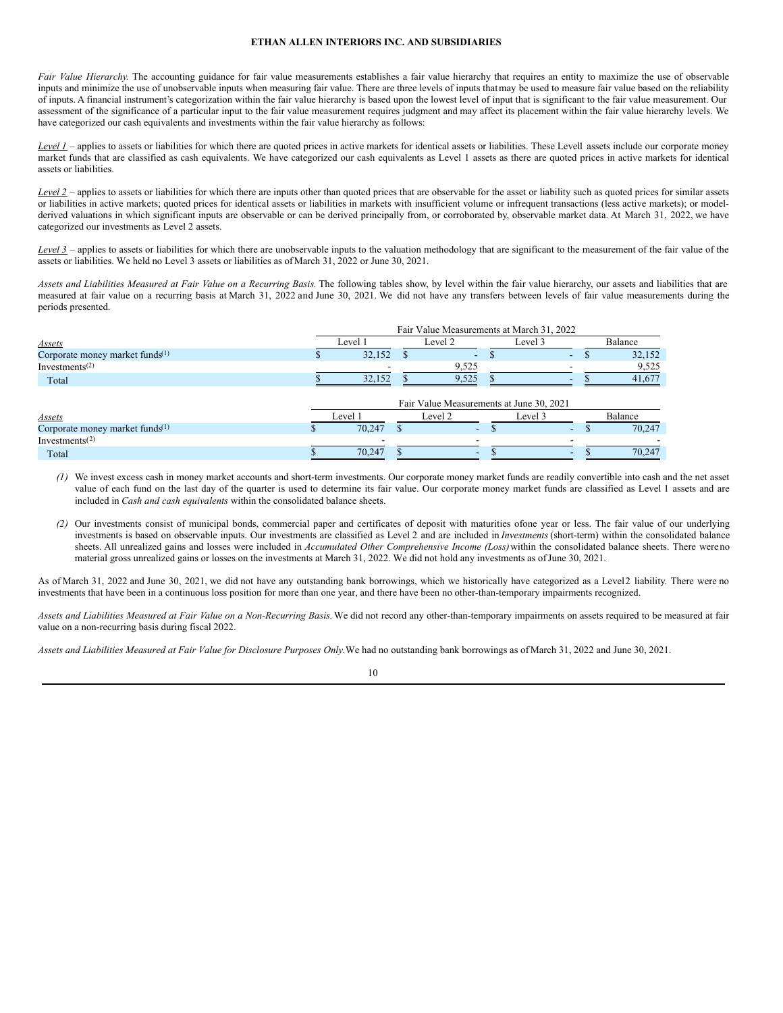Fair Value Hierarchy. The accounting guidance for fair value measurements establishes a fair value hierarchy that requires an entity to maximize the use of observable inputs and minimize the use of unobservable inputs when measuring fair value. There are three levels of inputs thatmay be used to measure fair value based on the reliability of inputs. A financial instrument's categorization within the fair value hierarchy is based upon the lowest level of input that is significant to the fair value measurement. Our assessment of the significance of a particular input to the fair value measurement requires judgment and may affect its placement within the fair value hierarchy levels. We have categorized our cash equivalents and investments within the fair value hierarchy as follows:

*Level 1* – applies to assets or liabilities for which there are quoted prices in active markets for identical assets or liabilities. These Level1 assets include our corporate money market funds that are classified as cash equivalents. We have categorized our cash equivalents as Level 1 assets as there are quoted prices in active markets for identical assets or liabilities.

*Level 2* – applies to assets or liabilities for which there are inputs other than quoted prices that are observable for the asset or liability such as quoted prices for similar assets or liabilities in active markets; quoted prices for identical assets or liabilities in markets with insufficient volume or infrequent transactions (less active markets); or modelderived valuations in which significant inputs are observable or can be derived principally from, or corroborated by, observable market data. At March 31, 2022, we have categorized our investments as Level 2 assets.

Level 3 – applies to assets or liabilities for which there are unobservable inputs to the valuation methodology that are significant to the measurement of the fair value of the assets or liabilities. We held no Level 3 assets or liabilities as ofMarch 31, 2022 or June 30, 2021.

Assets and Liabilities Measured at Fair Value on a Recurring Basis. The following tables show, by level within the fair value hierarchy, our assets and liabilities that are measured at fair value on a recurring basis at March 31, 2022 and June 30, 2021. We did not have any transfers between levels of fair value measurements during the periods presented.

|                                             | Fair Value Measurements at March 31, 2022 |         |  |                          |         |         |  |         |  |  |  |
|---------------------------------------------|-------------------------------------------|---------|--|--------------------------|---------|---------|--|---------|--|--|--|
| Assets                                      |                                           | Level 1 |  | Level 2                  | Level 3 |         |  | Balance |  |  |  |
| Corporate money market funds <sup>(1)</sup> |                                           | 32,152  |  | $\sim$                   |         |         |  | 32,152  |  |  |  |
| Investments $(2)$                           |                                           |         |  | 9,525                    |         |         |  | 9,525   |  |  |  |
| Total                                       |                                           | 32.152  |  | 9,525                    |         |         |  | 41,677  |  |  |  |
|                                             | Fair Value Measurements at June 30, 2021  |         |  |                          |         |         |  |         |  |  |  |
| <i>Assets</i>                               |                                           | Level 1 |  | Level 2                  |         | Level 3 |  | Balance |  |  |  |
| Corporate money market funds <sup>(1)</sup> |                                           | 70.247  |  | $\overline{\phantom{0}}$ |         |         |  | 70,247  |  |  |  |
| Investments $(2)$                           |                                           |         |  |                          |         |         |  |         |  |  |  |
| Total                                       |                                           | 70,247  |  | -                        |         |         |  | 70,247  |  |  |  |

*(1)* We invest excess cash in money market accounts and short-term investments. Our corporate money market funds are readily convertible into cash and the net asset value of each fund on the last day of the quarter is used to determine its fair value. Our corporate money market funds are classified as Level 1 assets and are included in *Cash and cash equivalents* within the consolidated balance sheets.

*(2)* Our investments consist of municipal bonds, commercial paper and certificates of deposit with maturities ofone year or less. The fair value of our underlying investments is based on observable inputs. Our investments are classified as Level 2 and are included in *Investments* (short-term) within the consolidated balance sheets. All unrealized gains and losses were included in *Accumulated Other Comprehensive Income (Loss)*within the consolidated balance sheets. There wereno material gross unrealized gains or losses on the investments at March 31, 2022. We did not hold any investments as ofJune 30, 2021.

As of March 31, 2022 and June 30, 2021, we did not have any outstanding bank borrowings, which we historically have categorized as a Level2 liability. There were no investments that have been in a continuous loss position for more than one year, and there have been no other-than-temporary impairments recognized.

Assets and Liabilities Measured at Fair Value on a Non-Recurring Basis. We did not record any other-than-temporary impairments on assets required to be measured at fair value on a non-recurring basis during fiscal 2022.

Assets and Liabilities Measured at Fair Value for Disclosure Purposes Only. We had no outstanding bank borrowings as of March 31, 2022 and June 30, 2021.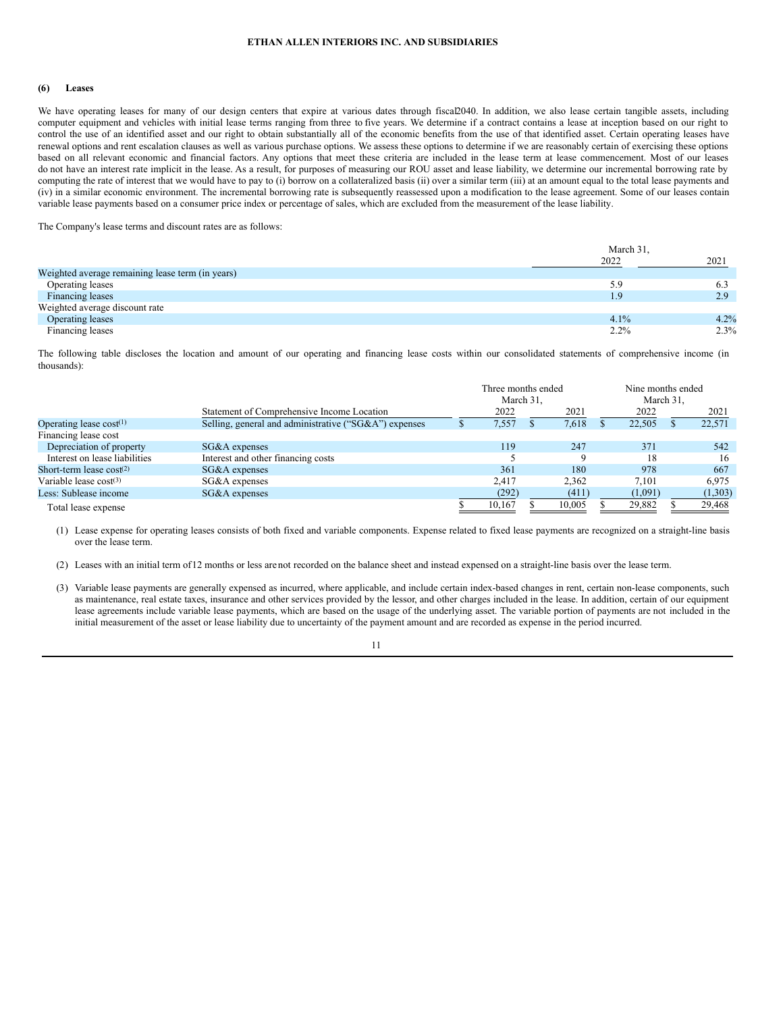### **(6) Leases**

We have operating leases for many of our design centers that expire at various dates through fiscal2040. In addition, we also lease certain tangible assets, including computer equipment and vehicles with initial lease terms ranging from three to five years. We determine if a contract contains a lease at inception based on our right to control the use of an identified asset and our right to obtain substantially all of the economic benefits from the use of that identified asset. Certain operating leases have renewal options and rent escalation clauses as well as various purchase options. We assess these options to determine if we are reasonably certain of exercising these options based on all relevant economic and financial factors. Any options that meet these criteria are included in the lease term at lease commencement. Most of our leases do not have an interest rate implicit in the lease. As a result, for purposes of measuring our ROU asset and lease liability, we determine our incremental borrowing rate by computing the rate of interest that we would have to pay to (i) borrow on a collateralized basis (ii) over a similar term (iii) at an amount equal to the total lease payments and (iv) in a similar economic environment. The incremental borrowing rate is subsequently reassessed upon a modification to the lease agreement. Some of our leases contain variable lease payments based on a consumer price index or percentage of sales, which are excluded from the measurement of the lease liability.

The Company's lease terms and discount rates are as follows:

|                                                  | March 31. |      |  |  |
|--------------------------------------------------|-----------|------|--|--|
|                                                  | 2022      | 2021 |  |  |
| Weighted average remaining lease term (in years) |           |      |  |  |
| Operating leases                                 | 5.9       | 6.3  |  |  |
| Financing leases                                 | 1.9       | 2.9  |  |  |
| Weighted average discount rate                   |           |      |  |  |
| <b>Operating leases</b>                          | 4.1%      | 4.2% |  |  |
| Financing leases                                 | 2.2%      | 2.3% |  |  |

The following table discloses the location and amount of our operating and financing lease costs within our consolidated statements of comprehensive income (in thousands):

|                               |                                                       | Three months ended<br>March 31, |  | Nine months ended<br>March 31, |  |         |  |         |
|-------------------------------|-------------------------------------------------------|---------------------------------|--|--------------------------------|--|---------|--|---------|
|                               | Statement of Comprehensive Income Location            | 2022                            |  | 2021                           |  | 2022    |  | 2021    |
| Operating lease $cost^{(1)}$  | Selling, general and administrative ("SG&A") expenses | 7.557                           |  | 7.618                          |  | 22,505  |  | 22,571  |
| Financing lease cost          |                                                       |                                 |  |                                |  |         |  |         |
| Depreciation of property      | SG&A expenses                                         | 119                             |  | 247                            |  | 371     |  | 542     |
| Interest on lease liabilities | Interest and other financing costs                    |                                 |  | Q                              |  | 18      |  | 16      |
| Short-term lease $cost^{(2)}$ | SG&A expenses                                         | 361                             |  | 180                            |  | 978     |  | 667     |
| Variable lease $cost^{(3)}$   | SG&A expenses                                         | 2.417                           |  | 2,362                          |  | 7.101   |  | 6,975   |
| Less: Sublease income         | SG&A expenses                                         | (292)                           |  | (411)                          |  | (1,091) |  | (1,303) |
| Total lease expense           |                                                       | 10,167                          |  | 10.005                         |  | 29,882  |  | 29,468  |

(1) Lease expense for operating leases consists of both fixed and variable components. Expense related to fixed lease payments are recognized on a straight-line basis over the lease term.

(2) Leases with an initial term of12 months or less are not recorded on the balance sheet and instead expensed on a straight-line basis over the lease term.

(3) Variable lease payments are generally expensed as incurred, where applicable, and include certain index-based changes in rent, certain non-lease components, such as maintenance, real estate taxes, insurance and other services provided by the lessor, and other charges included in the lease. In addition, certain of our equipment lease agreements include variable lease payments, which are based on the usage of the underlying asset. The variable portion of payments are not included in the initial measurement of the asset or lease liability due to uncertainty of the payment amount and are recorded as expense in the period incurred.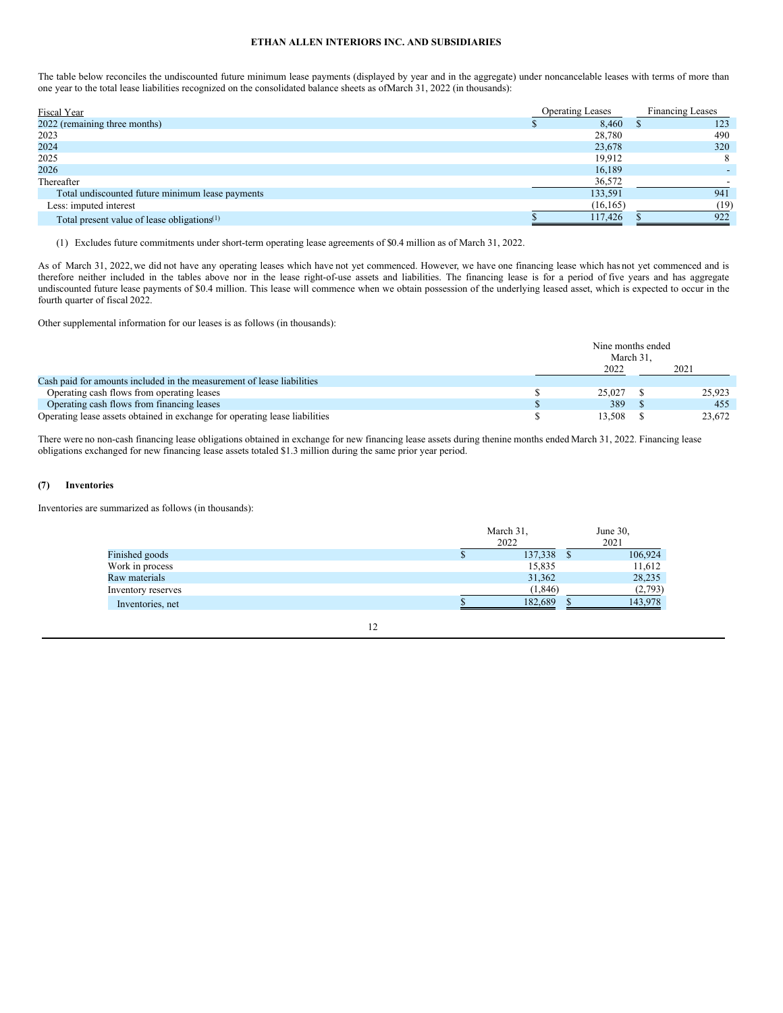The table below reconciles the undiscounted future minimum lease payments (displayed by year and in the aggregate) under noncancelable leases with terms of more than one year to the total lease liabilities recognized on the consolidated balance sheets as ofMarch 31, 2022 (in thousands):

| Fiscal Year                                             |  | <b>Operating Leases</b> |  |      |  | <b>Financing Leases</b> |
|---------------------------------------------------------|--|-------------------------|--|------|--|-------------------------|
| 2022 (remaining three months)                           |  | 8,460                   |  | 123  |  |                         |
| 2023                                                    |  | 28,780                  |  | 490  |  |                         |
| 2024                                                    |  | 23,678                  |  | 320  |  |                         |
| 2025                                                    |  | 19,912                  |  | 8    |  |                         |
| 2026                                                    |  | 16,189                  |  |      |  |                         |
| Thereafter                                              |  | 36,572                  |  |      |  |                         |
| Total undiscounted future minimum lease payments        |  | 133,591                 |  | 941  |  |                         |
| Less: imputed interest                                  |  | (16, 165)               |  | (19) |  |                         |
| Total present value of lease obligations <sup>(1)</sup> |  | 117.426                 |  | 922  |  |                         |

(1) Excludes future commitments under short-term operating lease agreements of \$0.4 million as of March 31, 2022.

As of March 31, 2022, we did not have any operating leases which have not yet commenced. However, we have one financing lease which has not yet commenced and is therefore neither included in the tables above nor in the lease right-of-use assets and liabilities. The financing lease is for a period of five years and has aggregate undiscounted future lease payments of \$0.4 million. This lease will commence when we obtain possession of the underlying leased asset, which is expected to occur in the fourth quarter of fiscal 2022.

Other supplemental information for our leases is as follows (in thousands):

|                                                                             | Nine months ended<br>March 31. |        |  |        |
|-----------------------------------------------------------------------------|--------------------------------|--------|--|--------|
|                                                                             |                                | 2022   |  | 2021   |
| Cash paid for amounts included in the measurement of lease liabilities      |                                |        |  |        |
| Operating cash flows from operating leases                                  |                                | 25.027 |  | 25.923 |
| Operating cash flows from financing leases                                  |                                | 389    |  | 455    |
| Operating lease assets obtained in exchange for operating lease liabilities |                                | 13.508 |  | 23.672 |

There were no non-cash financing lease obligations obtained in exchange for new financing lease assets during thenine months ended March 31, 2022*.* Financing lease obligations exchanged for new financing lease assets totaled \$1.3 million during the same prior year period.

### **(7) Inventories**

Inventories are summarized as follows (in thousands):

|                    | March 31,<br>2022 | June 30,<br>2021 |
|--------------------|-------------------|------------------|
| Finished goods     | 137,338           | 106,924          |
| Work in process    | 15,835            | 11,612           |
| Raw materials      | 31,362            | 28,235           |
| Inventory reserves | (1, 846)          | (2,793)          |
| Inventories, net   | 182,689           | 143,978          |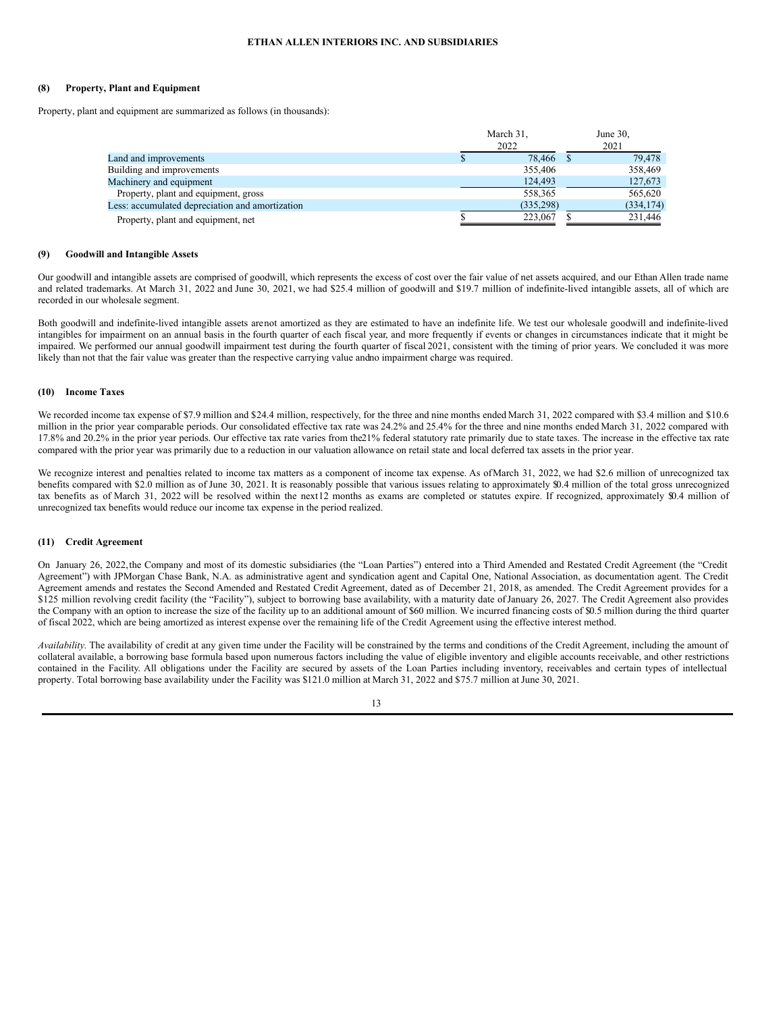### **(8) Property, Plant and Equipment**

Property, plant and equipment are summarized as follows (in thousands):

|                                                 | March 31,<br>2022 | June 30,<br>2021 |
|-------------------------------------------------|-------------------|------------------|
| Land and improvements                           | 78,466 \$         | 79,478           |
| Building and improvements                       | 355,406           | 358,469          |
| Machinery and equipment                         | 124,493           | 127,673          |
| Property, plant and equipment, gross            | 558.365           | 565,620          |
| Less: accumulated depreciation and amortization | (335, 298)        | (334, 174)       |
| Property, plant and equipment, net              | 223,067           | 231,446          |

### **(9) Goodwill and Intangible Assets**

Our goodwill and intangible assets are comprised of goodwill, which represents the excess of cost over the fair value of net assets acquired, and our Ethan Allen trade name and related trademarks. At March 31, 2022 and June 30, 2021, we had \$25.4 million of goodwill and \$19.7 million of indefinite-lived intangible assets, all of which are recorded in our wholesale segment.

Both goodwill and indefinite-lived intangible assets arenot amortized as they are estimated to have an indefinite life. We test our wholesale goodwill and indefinite-lived intangibles for impairment on an annual basis in the fourth quarter of each fiscal year, and more frequently if events or changes in circumstances indicate that it might be impaired. We performed our annual goodwill impairment test during the fourth quarter of fiscal 2021, consistent with the timing of prior years. We concluded it was more likely than not that the fair value was greater than the respective carrying value andno impairment charge was required.

### **(10) Income Taxes**

We recorded income tax expense of \$7.9 million and \$24.4 million, respectively, for the three and nine months ended March 31, 2022 compared with \$3.4 million and \$10.6 million in the prior year comparable periods. Our consolidated effective tax rate was 24.2% and 25.4% for the three and nine months ended March 31, 2022 compared with 17.8% and 20.2% in the prior year periods. Our effective tax rate varies from the21% federal statutory rate primarily due to state taxes. The increase in the effective tax rate compared with the prior year was primarily due to a reduction in our valuation allowance on retail state and local deferred tax assets in the prior year.

We recognize interest and penalties related to income tax matters as a component of income tax expense. As of March 31, 2022, we had \$2.6 million of unrecognized tax benefits compared with \$2.0 million as of June 30, 2021. It is reasonably possible that various issues relating to approximately \$0.4 million of the total gross unrecognized tax benefits as of March 31, 2022 will be resolved within the next12 months as exams are completed or statutes expire. If recognized, approximately \$0.4 million of unrecognized tax benefits would reduce our income tax expense in the period realized.

### **(11) Credit Agreement**

On January 26, 2022,the Company and most of its domestic subsidiaries (the "Loan Parties") entered into a Third Amended and Restated Credit Agreement (the "Credit Agreement") with JPMorgan Chase Bank, N.A. as administrative agent and syndication agent and Capital One, National Association, as documentation agent. The Credit Agreement amends and restates the Second Amended and Restated Credit Agreement, dated as of December 21, 2018, as amended. The Credit Agreement provides for a \$125 million revolving credit facility (the "Facility"), subject to borrowing base availability, with a maturity date of January 26, 2027. The Credit Agreement also provides the Company with an option to increase the size of the facility up to an additional amount of \$60 million. We incurred financing costs of \$0.5 million during the third quarter of fiscal 2022, which are being amortized as interest expense over the remaining life of the Credit Agreement using the effective interest method.

*Availability.* The availability of credit at any given time under the Facility will be constrained by the terms and conditions of the Credit Agreement, including the amount of collateral available, a borrowing base formula based upon numerous factors including the value of eligible inventory and eligible accounts receivable, and other restrictions contained in the Facility. All obligations under the Facility are secured by assets of the Loan Parties including inventory, receivables and certain types of intellectual property. Total borrowing base availability under the Facility was \$121.0 million at March 31, 2022 and \$75.7 million at June 30, 2021.

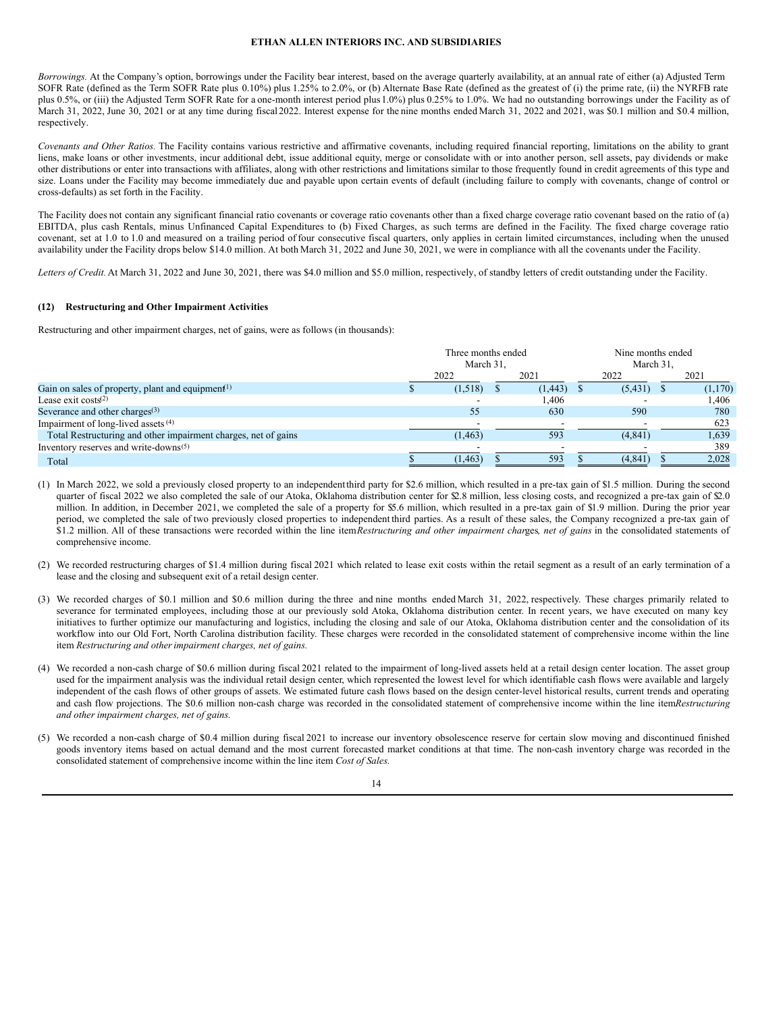*Borrowings.* At the Company's option, borrowings under the Facility bear interest, based on the average quarterly availability, at an annual rate of either (a) Adjusted Term SOFR Rate (defined as the Term SOFR Rate plus 0.10%) plus 1.25% to 2.0%, or (b) Alternate Base Rate (defined as the greatest of (i) the prime rate, (ii) the NYRFB rate plus 0.5%, or (iii) the Adjusted Term SOFR Rate for a one-month interest period plus 1.0%) plus 0.25% to 1.0%. We had no outstanding borrowings under the Facility as of March 31, 2022, June 30, 2021 or at any time during fiscal 2022. Interest expense for the nine months ended March 31, 2022 and 2021, was \$0.1 million and \$0.4 million, respectively.

*Covenants and Other Ratios.* The Facility contains various restrictive and affirmative covenants, including required financial reporting, limitations on the ability to grant liens, make loans or other investments, incur additional debt, issue additional equity, merge or consolidate with or into another person, sell assets, pay dividends or make other distributions or enter into transactions with affiliates, along with other restrictions and limitations similar to those frequently found in credit agreements of this type and size. Loans under the Facility may become immediately due and payable upon certain events of default (including failure to comply with covenants, change of control or cross-defaults) as set forth in the Facility.

The Facility does not contain any significant financial ratio covenants or coverage ratio covenants other than a fixed charge coverage ratio covenant based on the ratio of (a) EBITDA, plus cash Rentals, minus Unfinanced Capital Expenditures to (b) Fixed Charges, as such terms are defined in the Facility. The fixed charge coverage ratio covenant, set at 1.0 to 1.0 and measured on a trailing period of four consecutive fiscal quarters, only applies in certain limited circumstances, including when the unused availability under the Facility drops below \$14.0 million. At both March 31, 2022 and June 30, 2021, we were in compliance with all the covenants under the Facility.

*Letters of Credit.* At March 31, 2022 and June 30, 2021, there was \$4.0 million and \$5.0 million, respectively, of standby letters of credit outstanding under the Facility.

# **(12) Restructuring and Other Impairment Activities**

Restructuring and other impairment charges, net of gains, were as follows (in thousands):

|                                                                | Three months ended | Nine months ended |          |  |           |  |         |  |
|----------------------------------------------------------------|--------------------|-------------------|----------|--|-----------|--|---------|--|
|                                                                | March 31.          |                   |          |  | March 31, |  |         |  |
|                                                                | 2022               |                   | 2021     |  | 2022      |  | 2021    |  |
| Gain on sales of property, plant and equipment <sup>1)</sup>   | (1,518)            |                   | (1, 443) |  | (5, 431)  |  | (1,170) |  |
| Lease exit $costs^{(2)}$                                       |                    |                   | 1,406    |  |           |  | 1,406   |  |
| Severance and other charges $(3)$                              | 55                 |                   | 630      |  | 590       |  | 780     |  |
| Impairment of long-lived assets (4)                            |                    |                   |          |  |           |  | 623     |  |
| Total Restructuring and other impairment charges, net of gains | (1, 463)           |                   | 593      |  | (4,841)   |  | 1,639   |  |
| Inventory reserves and write-downs <sup>(5)</sup>              |                    |                   |          |  |           |  | 389     |  |
| Total                                                          | (1, 463)           |                   | 593      |  | (4, 841)  |  | 2.028   |  |

(1) In March 2022, we sold a previously closed property to an independentthird party for \$2.6 million, which resulted in a pre-tax gain of \$1.5 million. During the second quarter of fiscal 2022 we also completed the sale of our Atoka, Oklahoma distribution center for \$2.8 million, less closing costs, and recognized a pre-tax gain of \$2.0 million. In addition, in December 2021, we completed the sale of a property for \$5.6 million, which resulted in a pre-tax gain of \$1.9 million. During the prior year period, we completed the sale of two previously closed properties to independent third parties. As a result of these sales, the Company recognized a pre-tax gain of \$1.2 million. All of these transactions were recorded within the line item Restructuring and other impairment charges, net of gains in the consolidated statements of comprehensive income.

- (2) We recorded restructuring charges of \$1.4 million during fiscal 2021 which related to lease exit costs within the retail segment as a result of an early termination of a lease and the closing and subsequent exit of a retail design center.
- (3) We recorded charges of \$0.1 million and \$0.6 million during the three and nine months ended March 31, 2022, respectively. These charges primarily related to severance for terminated employees, including those at our previously sold Atoka, Oklahoma distribution center. In recent years, we have executed on many key initiatives to further optimize our manufacturing and logistics, including the closing and sale of our Atoka, Oklahoma distribution center and the consolidation of its workflow into our Old Fort, North Carolina distribution facility. These charges were recorded in the consolidated statement of comprehensive income within the line item *Restructuring and otherimpairment charges, net of gains.*
- (4) We recorded a non-cash charge of \$0.6 million during fiscal 2021 related to the impairment of long-lived assets held at a retail design center location. The asset group used for the impairment analysis was the individual retail design center, which represented the lowest level for which identifiable cash flows were available and largely independent of the cash flows of other groups of assets. We estimated future cash flows based on the design center-level historical results, current trends and operating and cash flow projections. The \$0.6 million non-cash charge was recorded in the consolidated statement of comprehensive income within the line item*Restructuring and other impairment charges, net of gains.*
- (5) We recorded a non-cash charge of \$0.4 million during fiscal 2021 to increase our inventory obsolescence reserve for certain slow moving and discontinued finished goods inventory items based on actual demand and the most current forecasted market conditions at that time. The non-cash inventory charge was recorded in the consolidated statement of comprehensive income within the line item *Cost of Sales.*

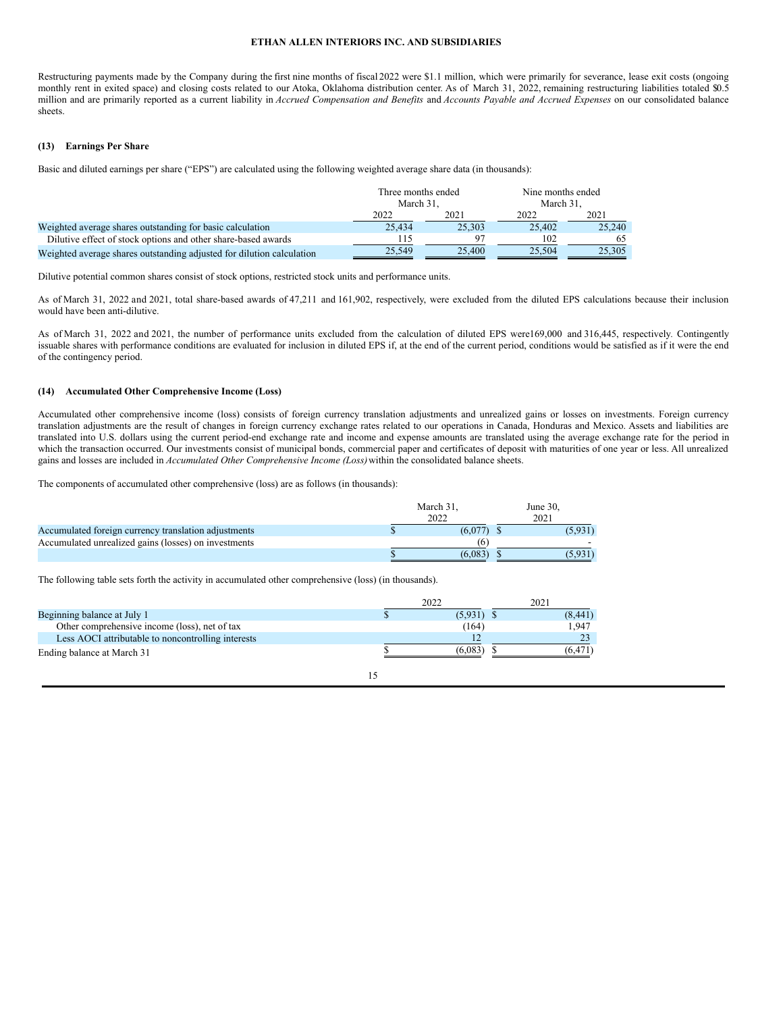Restructuring payments made by the Company during the first nine months of fiscal 2022 were \$1.1 million, which were primarily for severance, lease exit costs (ongoing monthly rent in exited space) and closing costs related to our Atoka, Oklahoma distribution center. As of March 31, 2022, remaining restructuring liabilities totaled \$0.5 million and are primarily reported as a current liability in Accrued Compensation and Benefits and Accounts Payable and Accrued Expenses on our consolidated balance sheets.

## **(13) Earnings Per Share**

Basic and diluted earnings per share ("EPS") are calculated using the following weighted average share data (in thousands):

|                                                                       | Three months ended<br>March 31. |        | Nine months ended<br>March 31. |        |  |
|-----------------------------------------------------------------------|---------------------------------|--------|--------------------------------|--------|--|
|                                                                       | 2022                            | 2021   | 2022                           | 2021   |  |
| Weighted average shares outstanding for basic calculation             | 25.434                          | 25,303 | 25,402                         | 25,240 |  |
| Dilutive effect of stock options and other share-based awards         | 15                              | 07     | 102                            |        |  |
| Weighted average shares outstanding adjusted for dilution calculation | 25.549                          | 25,400 | 25,504                         | 25.305 |  |

Dilutive potential common shares consist of stock options, restricted stock units and performance units.

As of March 31, 2022 and 2021, total share-based awards of 47,211 and 161,902, respectively, were excluded from the diluted EPS calculations because their inclusion would have been anti-dilutive.

As of March 31, 2022 and 2021, the number of performance units excluded from the calculation of diluted EPS were169,000 and 316,445, respectively*.* Contingently issuable shares with performance conditions are evaluated for inclusion in diluted EPS if, at the end of the current period, conditions would be satisfied as if it were the end of the contingency period.

## **(14) Accumulated Other Comprehensive Income (Loss)**

Accumulated other comprehensive income (loss) consists of foreign currency translation adjustments and unrealized gains or losses on investments. Foreign currency translation adjustments are the result of changes in foreign currency exchange rates related to our operations in Canada, Honduras and Mexico. Assets and liabilities are translated into U.S. dollars using the current period-end exchange rate and income and expense amounts are translated using the average exchange rate for the period in which the transaction occurred. Our investments consist of municipal bonds, commercial paper and certificates of deposit with maturities of one year or less. All unrealized gains and losses are included in *Accumulated Other Comprehensive Income (Loss)*within the consolidated balance sheets.

15

The components of accumulated other comprehensive (loss) are as follows (in thousands):

|                                                      | March 31,    | June 30, |
|------------------------------------------------------|--------------|----------|
|                                                      | 2022         | 2021     |
| Accumulated foreign currency translation adjustments | $(6.077)$ \$ | (5, 931) |
| Accumulated unrealized gains (losses) on investments |              |          |
|                                                      | (6.083)      | (5.931)  |

The following table sets forth the activity in accumulated other comprehensive (loss) (in thousands).

|                                                    | 2022 | 2021    |          |
|----------------------------------------------------|------|---------|----------|
| Beginning balance at July 1                        |      | (5,931) | (8, 441) |
| Other comprehensive income (loss), net of tax      |      | (164)   | 1,947    |
| Less AOCI attributable to noncontrolling interests |      |         |          |
| Ending balance at March 31                         |      | (6.083) | (6, 471) |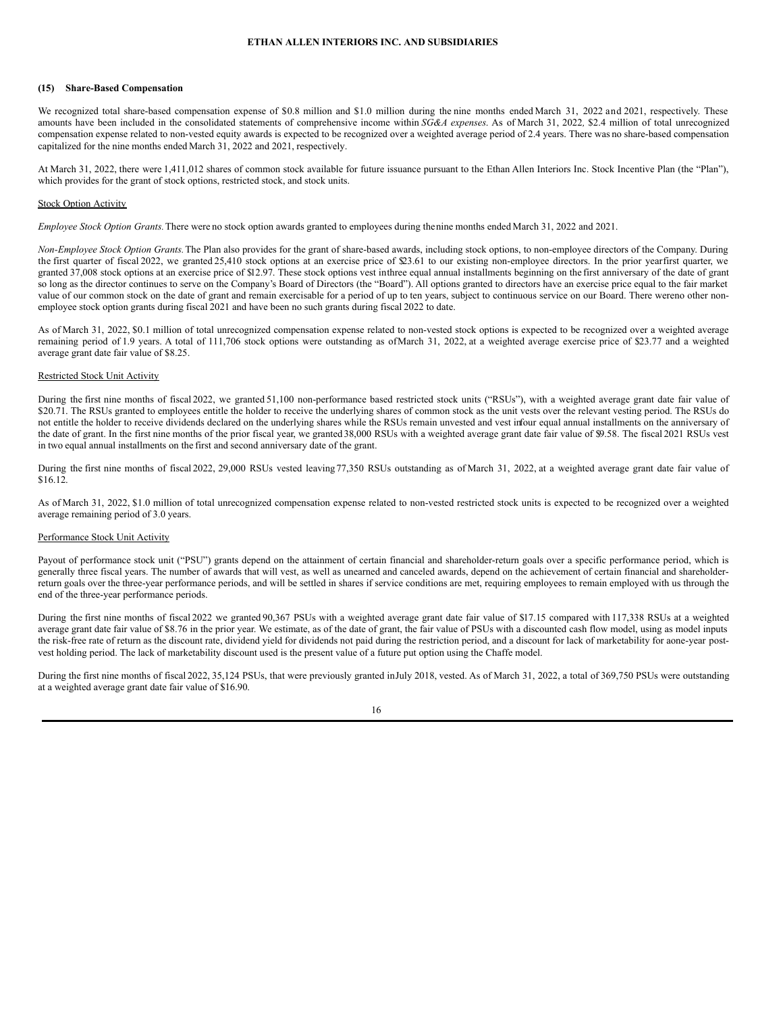### **(15) Share-Based Compensation**

We recognized total share-based compensation expense of \$0.8 million and \$1.0 million during the nine months ended March 31, 2022 and 2021, respectively. These amounts have been included in the consolidated statements of comprehensive income within *SG&A expenses*. As of March 31, 2022*,* \$2.4 million of total unrecognized compensation expense related to non-vested equity awards is expected to be recognized over a weighted average period of 2.4 years. There was no share-based compensation capitalized for the nine months ended March 31, 2022 and 2021, respectively.

At March 31, 2022, there were 1,411,012 shares of common stock available for future issuance pursuant to the Ethan Allen Interiors Inc. Stock Incentive Plan (the "Plan"), which provides for the grant of stock options, restricted stock, and stock units.

#### Stock Option Activity

*Employee Stock Option Grants.*There were no stock option awards granted to employees during thenine months ended March 31, 2022 and 2021.

*Non-Employee Stock Option Grants.*The Plan also provides for the grant of share-based awards, including stock options, to non-employee directors of the Company. During the first quarter of fiscal 2022, we granted 25,410 stock options at an exercise price of \$23.61 to our existing non-employee directors. In the prior yearfirst quarter, we granted 37,008 stock options at an exercise price of \$12.97. These stock options vest inthree equal annual installments beginning on the first anniversary of the date of grant so long as the director continues to serve on the Company's Board of Directors (the "Board"). All options granted to directors have an exercise price equal to the fair market value of our common stock on the date of grant and remain exercisable for a period of up to ten years, subject to continuous service on our Board. There wereno other nonemployee stock option grants during fiscal 2021 and have been no such grants during fiscal 2022 to date.

As of March 31, 2022, \$0.1 million of total unrecognized compensation expense related to non-vested stock options is expected to be recognized over a weighted average remaining period of 1.9 years. A total of 111,706 stock options were outstanding as ofMarch 31, 2022, at a weighted average exercise price of \$23.77 and a weighted average grant date fair value of \$8.25.

### Restricted Stock Unit Activity

During the first nine months of fiscal 2022, we granted 51,100 non-performance based restricted stock units ("RSUs"), with a weighted average grant date fair value of \$20.71. The RSUs granted to employees entitle the holder to receive the underlying shares of common stock as the unit vests over the relevant vesting period. The RSUs do not entitle the holder to receive dividends declared on the underlying shares while the RSUs remain unvested and vest infour equal annual installments on the anniversary of the date of grant. In the first nine months of the prior fiscal year, we granted 38,000 RSUs with a weighted average grant date fair value of \$9.58. The fiscal 2021 RSUs vest in two equal annual installments on the first and second anniversary date of the grant.

During the first nine months of fiscal 2022, 29,000 RSUs vested leaving77,350 RSUs outstanding as of March 31, 2022, at a weighted average grant date fair value of \$16.12.

As of March 31, 2022, \$1.0 million of total unrecognized compensation expense related to non-vested restricted stock units is expected to be recognized over a weighted average remaining period of 3.0 years.

### Performance Stock Unit Activity

Payout of performance stock unit ("PSU") grants depend on the attainment of certain financial and shareholder-return goals over a specific performance period, which is generally three fiscal years. The number of awards that will vest, as well as unearned and canceled awards, depend on the achievement of certain financial and shareholderreturn goals over the three-year performance periods, and will be settled in shares if service conditions are met, requiring employees to remain employed with us through the end of the three-year performance periods.

During the first nine months of fiscal 2022 we granted 90,367 PSUs with a weighted average grant date fair value of \$17.15 compared with 117,338 RSUs at a weighted average grant date fair value of \$8.76 in the prior year. We estimate, as of the date of grant, the fair value of PSUs with a discounted cash flow model, using as model inputs the risk-free rate of return as the discount rate, dividend yield for dividends not paid during the restriction period, and a discount for lack of marketability for aone-year postvest holding period. The lack of marketability discount used is the present value of a future put option using the Chaffe model.

During the first nine months of fiscal 2022, 35,124 PSUs, that were previously granted inJuly 2018, vested. As of March 31, 2022, a total of 369,750 PSUs were outstanding at a weighted average grant date fair value of \$16.90.

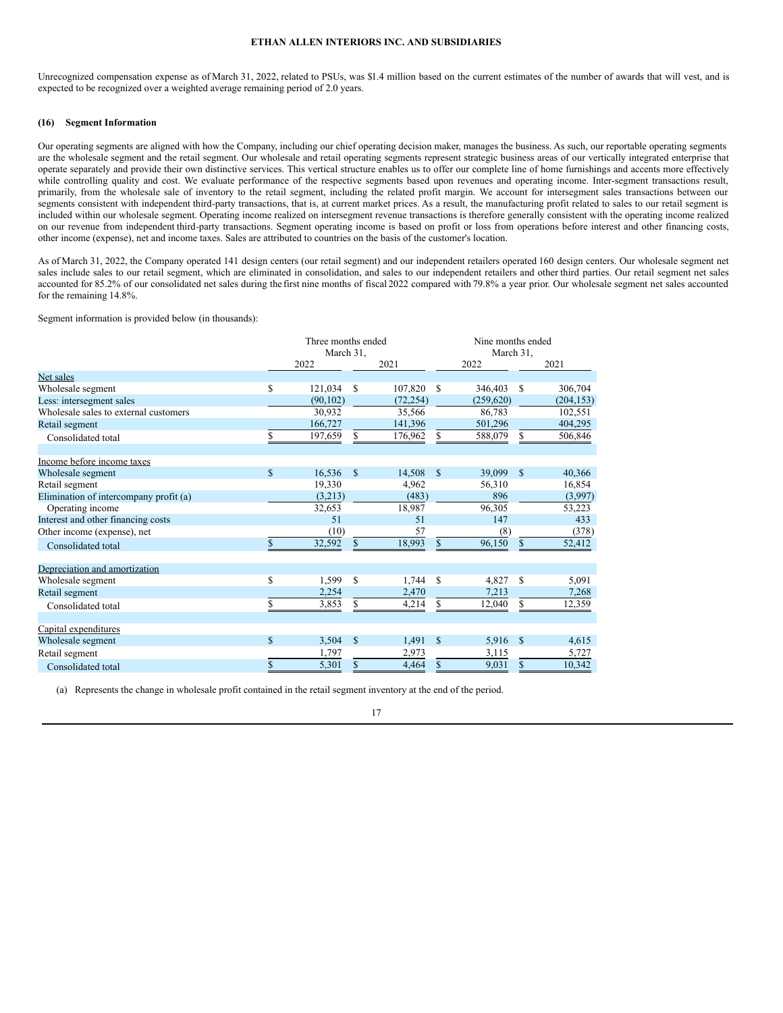Unrecognized compensation expense as of March 31, 2022, related to PSUs, was \$1.4 million based on the current estimates of the number of awards that will vest, and is expected to be recognized over a weighted average remaining period of 2.0 years.

#### **(16) Segment Information**

Our operating segments are aligned with how the Company, including our chief operating decision maker, manages the business. As such, our reportable operating segments are the wholesale segment and the retail segment. Our wholesale and retail operating segments represent strategic business areas of our vertically integrated enterprise that operate separately and provide their own distinctive services. This vertical structure enables us to offer our complete line of home furnishings and accents more effectively while controlling quality and cost. We evaluate performance of the respective segments based upon revenues and operating income. Inter-segment transactions result, primarily, from the wholesale sale of inventory to the retail segment, including the related profit margin. We account for intersegment sales transactions between our segments consistent with independent third*-*party transactions, that is, at current market prices. As a result, the manufacturing profit related to sales to our retail segment is included within our wholesale segment. Operating income realized on intersegment revenue transactions is therefore generally consistent with the operating income realized on our revenue from independent third*-*party transactions. Segment operating income is based on profit or loss from operations before interest and other financing costs, other income (expense), net and income taxes. Sales are attributed to countries on the basis of the customer's location.

As of March 31, 2022, the Company operated 141 design centers (our retail segment) and our independent retailers operated 160 design centers. Our wholesale segment net sales include sales to our retail segment, which are eliminated in consolidation, and sales to our independent retailers and other third parties. Our retail segment net sales accounted for 85.2% of our consolidated net sales during the first nine months of fiscal 2022 compared with 79.8% a year prior. Our wholesale segment net sales accounted for the remaining 14.8%.

Segment information is provided below (in thousands):

|                                        |              | Three months ended<br>March 31, |     |           | Nine months ended<br>March 31, |            |               |            |
|----------------------------------------|--------------|---------------------------------|-----|-----------|--------------------------------|------------|---------------|------------|
|                                        |              | 2022                            |     | 2021      |                                | 2022       |               | 2021       |
| Net sales                              |              |                                 |     |           |                                |            |               |            |
| Wholesale segment                      | S            | 121.034                         | \$  | 107,820   | <sup>S</sup>                   | 346,403    | <sup>\$</sup> | 306,704    |
| Less: intersegment sales               |              | (90, 102)                       |     | (72, 254) |                                | (259, 620) |               | (204, 153) |
| Wholesale sales to external customers  |              | 30,932                          |     | 35,566    |                                | 86,783     |               | 102,551    |
| Retail segment                         |              | 166,727                         |     | 141,396   |                                | 501,296    |               | 404,295    |
| Consolidated total                     | S            | 197,659                         | S   | 176,962   | S                              | 588,079    | S.            | 506,846    |
| Income before income taxes             |              |                                 |     |           |                                |            |               |            |
| Wholesale segment                      | $\mathbb{S}$ | 16.536                          | S   | 14.508    | <sup>\$</sup>                  | 39,099     | <sup>\$</sup> | 40,366     |
| Retail segment                         |              | 19,330                          |     | 4,962     |                                | 56,310     |               | 16,854     |
| Elimination of intercompany profit (a) |              | (3,213)                         |     | (483)     |                                | 896        |               | (3,997)    |
| Operating income                       |              | 32,653                          |     | 18.987    |                                | 96,305     |               | 53,223     |
| Interest and other financing costs     |              | 51                              |     | 51        |                                | 147        |               | 433        |
| Other income (expense), net            |              | (10)                            |     | 57        |                                | (8)        |               | (378)      |
| Consolidated total                     | \$.          | 32,592                          | \$  | 18,993    | \$                             | 96,150     | <sup>\$</sup> | 52,412     |
| Depreciation and amortization          |              |                                 |     |           |                                |            |               |            |
| Wholesale segment                      | $\mathbf S$  | 1,599                           | S   | 1.744     | <sup>S</sup>                   | 4,827      | <sup>\$</sup> | 5,091      |
| Retail segment                         |              | 2,254                           |     | 2,470     |                                | 7,213      |               | 7,268      |
| Consolidated total                     | S.           | 3,853                           | \$  | 4,214     | S                              | 12,040     | S.            | 12,359     |
| Capital expenditures                   |              |                                 |     |           |                                |            |               |            |
| Wholesale segment                      | \$           | 3,504                           | \$  | 1,491     | $\mathcal{S}$                  | 5,916      | $\mathcal{S}$ | 4,615      |
| Retail segment                         |              | 1,797                           |     | 2,973     |                                | 3,115      |               | 5,727      |
| Consolidated total                     |              | 5,301                           | \$. | 4,464     | \$                             | 9,031      | \$            | 10,342     |

(a) Represents the change in wholesale profit contained in the retail segment inventory at the end of the period.

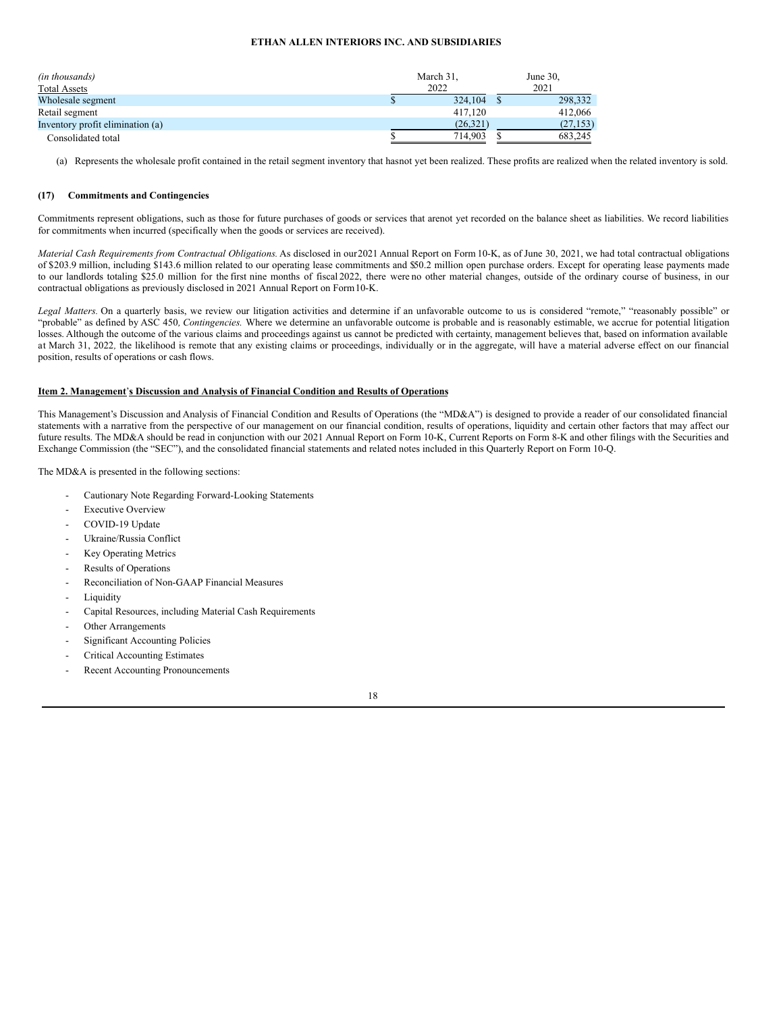| (in thousands)                   | March 31. |          | June 30,  |
|----------------------------------|-----------|----------|-----------|
| <b>Total Assets</b>              | 2022      |          | 2021      |
| Wholesale segment                | w         | 324,104  | 298,332   |
| Retail segment                   |           | 417.120  | 412,066   |
| Inventory profit elimination (a) |           | (26.321) | (27, 153) |
| Consolidated total               |           | 714,903  | 683.245   |

(a) Represents the wholesale profit contained in the retail segment inventory that hasnot yet been realized. These profits are realized when the related inventory is sold.

## **(17) Commitments and Contingencies**

Commitments represent obligations, such as those for future purchases of goods or services that arenot yet recorded on the balance sheet as liabilities. We record liabilities for commitments when incurred (specifically when the goods or services are received).

*Material Cash Requirements from Contractual Obligations.* As disclosed in our2021 Annual Report on Form 10-K, as of June 30, 2021, we had total contractual obligations of \$203.9 million, including \$143.6 million related to our operating lease commitments and \$50.2 million open purchase orders. Except for operating lease payments made to our landlords totaling \$25.0 million for the first nine months of fiscal 2022, there were no other material changes, outside of the ordinary course of business, in our contractual obligations as previously disclosed in 2021 Annual Report on Form10-K.

*Legal Matters.* On a quarterly basis, we review our litigation activities and determine if an unfavorable outcome to us is considered "remote," "reasonably possible" or "probable" as defined by ASC 450*, Contingencies.* Where we determine an unfavorable outcome is probable and is reasonably estimable, we accrue for potential litigation losses. Although the outcome of the various claims and proceedings against us cannot be predicted with certainty, management believes that, based on information available at March 31, 2022*,* the likelihood is remote that any existing claims or proceedings, individually or in the aggregate, will have a material adverse effect on our financial position, results of operations or cash flows.

## **Item 2. Management**'**s Discussion and Analysis of Financial Condition and Results of Operations**

This Management's Discussion and Analysis of Financial Condition and Results of Operations (the "MD&A") is designed to provide a reader of our consolidated financial statements with a narrative from the perspective of our management on our financial condition, results of operations, liquidity and certain other factors that may affect our future results. The MD&A should be read in conjunction with our 2021 Annual Report on Form 10-K, Current Reports on Form 8-K and other filings with the Securities and Exchange Commission (the "SEC"), and the consolidated financial statements and related notes included in this Quarterly Report on Form 10-Q.

The MD&A is presented in the following sections:

- Cautionary Note Regarding Forward-Looking Statements
- **Executive Overview**
- COVID-19 Update
- Ukraine/Russia Conflict
- Key Operating Metrics
- Results of Operations
- Reconciliation of Non-GAAP Financial Measures
- Liquidity
- Capital Resources, including Material Cash Requirements
- Other Arrangements
- Significant Accounting Policies
- Critical Accounting Estimates
- Recent Accounting Pronouncements

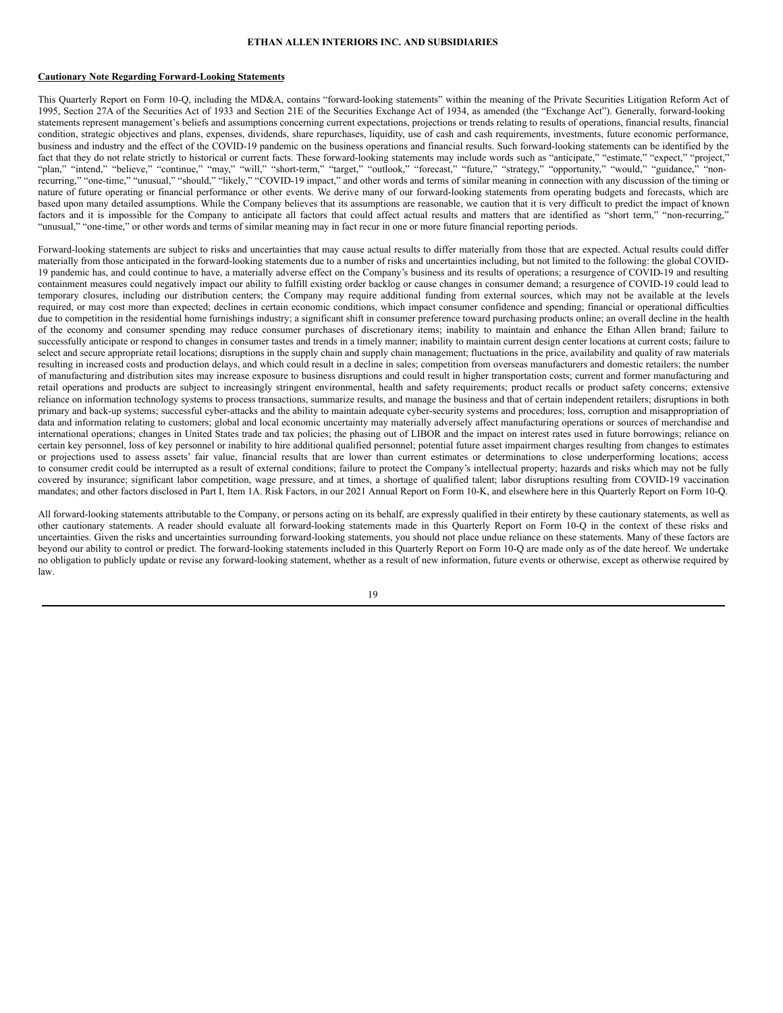## **Cautionary Note Regarding Forward-Looking Statements**

This Quarterly Report on Form 10-Q, including the MD&A, contains "forward-looking statements" within the meaning of the Private Securities Litigation Reform Act of 1995, Section 27A of the Securities Act of 1933 and Section 21E of the Securities Exchange Act of 1934, as amended (the "Exchange Act"). Generally, forward-looking statements represent management's beliefs and assumptions concerning current expectations, projections or trends relating to results of operations, financial results, financial condition, strategic objectives and plans, expenses, dividends, share repurchases, liquidity, use of cash and cash requirements, investments, future economic performance, business and industry and the effect of the COVID-19 pandemic on the business operations and financial results. Such forward-looking statements can be identified by the fact that they do not relate strictly to historical or current facts. These forward-looking statements may include words such as "anticipate," "estimate," "expect," "project," "plan," "intend," "believe," "continue," "may," "will," "short-term," "target," "outlook," "forecast," "future," "strategy," "opportunity," "would," "guidance," "nonrecurring," "one-time," "unusual," "should," "likely," "COVID-19 impact," and other words and terms of similar meaning in connection with any discussion of the timing or nature of future operating or financial performance or other events. We derive many of our forward-looking statements from operating budgets and forecasts, which are based upon many detailed assumptions. While the Company believes that its assumptions are reasonable, we caution that it is very difficult to predict the impact of known factors and it is impossible for the Company to anticipate all factors that could affect actual results and matters that are identified as "short term," "non-recurring," "unusual," "one-time," or other words and terms of similar meaning may in fact recur in one or more future financial reporting periods.

Forward-looking statements are subject to risks and uncertainties that may cause actual results to differ materially from those that are expected. Actual results could differ materially from those anticipated in the forward-looking statements due to a number of risks and uncertainties including, but not limited to the following: the global COVID-19 pandemic has, and could continue to have, a materially adverse effect on the Company's business and its results of operations; a resurgence of COVID-19 and resulting containment measures could negatively impact our ability to fulfill existing order backlog or cause changes in consumer demand; a resurgence of COVID-19 could lead to temporary closures, including our distribution centers; the Company may require additional funding from external sources, which may not be available at the levels required, or may cost more than expected; declines in certain economic conditions, which impact consumer confidence and spending; financial or operational difficulties due to competition in the residential home furnishings industry; a significant shift in consumer preference toward purchasing products online; an overall decline in the health of the economy and consumer spending may reduce consumer purchases of discretionary items; inability to maintain and enhance the Ethan Allen brand; failure to successfully anticipate or respond to changes in consumer tastes and trends in a timely manner; inability to maintain current design center locations at current costs; failure to select and secure appropriate retail locations; disruptions in the supply chain and supply chain management; fluctuations in the price, availability and quality of raw materials resulting in increased costs and production delays, and which could result in a decline in sales; competition from overseas manufacturers and domestic retailers; the number of manufacturing and distribution sites may increase exposure to business disruptions and could result in higher transportation costs; current and former manufacturing and retail operations and products are subject to increasingly stringent environmental, health and safety requirements; product recalls or product safety concerns; extensive reliance on information technology systems to process transactions, summarize results, and manage the business and that of certain independent retailers; disruptions in both primary and back-up systems; successful cyber-attacks and the ability to maintain adequate cyber-security systems and procedures; loss, corruption and misappropriation of data and information relating to customers; global and local economic uncertainty may materially adversely affect manufacturing operations or sources of merchandise and international operations; changes in United States trade and tax policies; the phasing out of LIBOR and the impact on interest rates used in future borrowings; reliance on certain key personnel, loss of key personnel or inability to hire additional qualified personnel; potential future asset impairment charges resulting from changes to estimates or projections used to assess assets' fair value, financial results that are lower than current estimates or determinations to close underperforming locations; access to consumer credit could be interrupted as a result of external conditions; failure to protect the Company's intellectual property; hazards and risks which may not be fully covered by insurance; significant labor competition, wage pressure, and at times, a shortage of qualified talent; labor disruptions resulting from COVID-19 vaccination mandates; and other factors disclosed in Part I, Item 1A. Risk Factors, in our 2021 Annual Report on Form 10-K, and elsewhere here in this Quarterly Report on Form 10-Q.

All forward-looking statements attributable to the Company, or persons acting on its behalf, are expressly qualified in their entirety by these cautionary statements, as well as other cautionary statements. A reader should evaluate all forward-looking statements made in this Quarterly Report on Form 10-Q in the context of these risks and uncertainties. Given the risks and uncertainties surrounding forward-looking statements, you should not place undue reliance on these statements. Many of these factors are beyond our ability to control or predict. The forward-looking statements included in this Quarterly Report on Form 10-Q are made only as of the date hereof. We undertake no obligation to publicly update or revise any forward-looking statement, whether as a result of new information, future events or otherwise, except as otherwise required by law.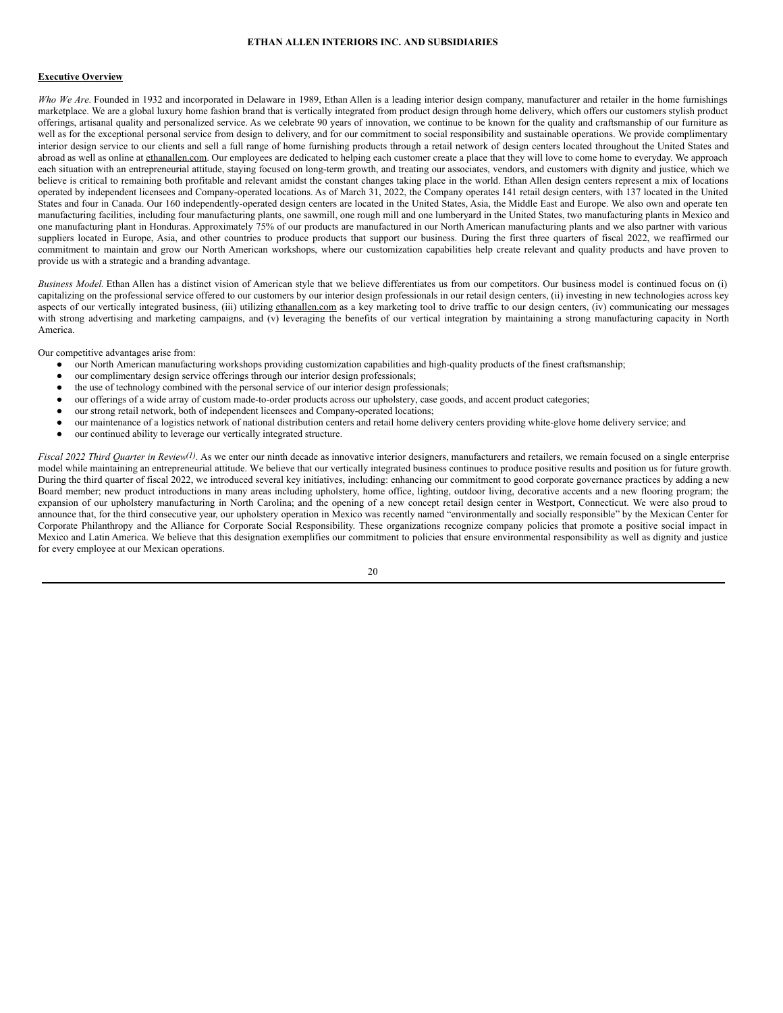## **Executive Overview**

*Who We Are.* Founded in 1932 and incorporated in Delaware in 1989, Ethan Allen is a leading interior design company, manufacturer and retailer in the home furnishings marketplace. We are a global luxury home fashion brand that is vertically integrated from product design through home delivery, which offers our customers stylish product offerings, artisanal quality and personalized service. As we celebrate 90 years of innovation, we continue to be known for the quality and craftsmanship of our furniture as well as for the exceptional personal service from design to delivery, and for our commitment to social responsibility and sustainable operations. We provide complimentary interior design service to our clients and sell a full range of home furnishing products through a retail network of design centers located throughout the United States and abroad as well as online at ethanallen.com. Our employees are dedicated to helping each customer create a place that they will love to come home to everyday. We approach each situation with an entrepreneurial attitude, staying focused on long-term growth, and treating our associates, vendors, and customers with dignity and justice, which we believe is critical to remaining both profitable and relevant amidst the constant changes taking place in the world. Ethan Allen design centers represent a mix of locations operated by independent licensees and Company-operated locations. As of March 31, 2022, the Company operates 141 retail design centers, with 137 located in the United States and four in Canada. Our 160 independently-operated design centers are located in the United States, Asia, the Middle East and Europe. We also own and operate ten manufacturing facilities, including four manufacturing plants, one sawmill, one rough mill and one lumberyard in the United States, two manufacturing plants in Mexico and one manufacturing plant in Honduras. Approximately 75% of our products are manufactured in our North American manufacturing plants and we also partner with various suppliers located in Europe, Asia, and other countries to produce products that support our business. During the first three quarters of fiscal 2022, we reaffirmed our commitment to maintain and grow our North American workshops, where our customization capabilities help create relevant and quality products and have proven to provide us with a strategic and a branding advantage.

*Business Model.* Ethan Allen has a distinct vision of American style that we believe differentiates us from our competitors. Our business model is continued focus on (i) capitalizing on the professional service offered to our customers by our interior design professionals in our retail design centers, (ii) investing in new technologies across key aspects of our vertically integrated business, (iii) utilizing ethanallen.com as a key marketing tool to drive traffic to our design centers, (iv) communicating our messages with strong advertising and marketing campaigns, and (v) leveraging the benefits of our vertical integration by maintaining a strong manufacturing capacity in North America.

Our competitive advantages arise from:

- our North American manufacturing workshops providing customization capabilities and high-quality products of the finest craftsmanship;
- our complimentary design service offerings through our interior design professionals;
- the use of technology combined with the personal service of our interior design professionals;
- our offerings of a wide array of custom made-to-order products across our upholstery, case goods, and accent product categories;
- our strong retail network, both of independent licensees and Company-operated locations;
- our maintenance of a logistics network of national distribution centers and retail home delivery centers providing white-glove home delivery service; and
- our continued ability to leverage our vertically integrated structure.

Fiscal 2022 Third Quarter in Review(1). As we enter our ninth decade as innovative interior designers, manufacturers and retailers, we remain focused on a single enterprise model while maintaining an entrepreneurial attitude. We believe that our vertically integrated business continues to produce positive results and position us for future growth. During the third quarter of fiscal 2022, we introduced several key initiatives, including: enhancing our commitment to good corporate governance practices by adding a new Board member; new product introductions in many areas including upholstery, home office, lighting, outdoor living, decorative accents and a new flooring program; the expansion of our upholstery manufacturing in North Carolina; and the opening of a new concept retail design center in Westport, Connecticut. We were also proud to announce that, for the third consecutive year, our upholstery operation in Mexico was recently named "environmentally and socially responsible" by the Mexican Center for Corporate Philanthropy and the Alliance for Corporate Social Responsibility. These organizations recognize company policies that promote a positive social impact in Mexico and Latin America. We believe that this designation exemplifies our commitment to policies that ensure environmental responsibility as well as dignity and justice for every employee at our Mexican operations.

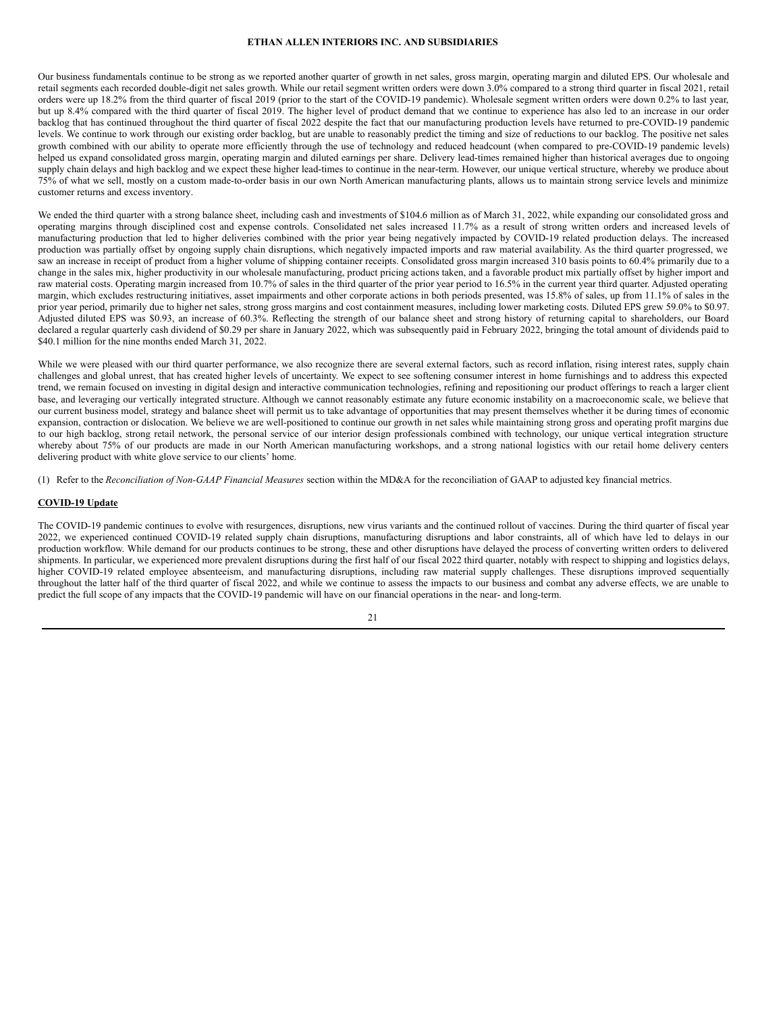Our business fundamentals continue to be strong as we reported another quarter of growth in net sales, gross margin, operating margin and diluted EPS. Our wholesale and retail segments each recorded double-digit net sales growth. While our retail segment written orders were down 3.0% compared to a strong third quarter in fiscal 2021, retail orders were up 18.2% from the third quarter of fiscal 2019 (prior to the start of the COVID-19 pandemic). Wholesale segment written orders were down 0.2% to last year, but up 8.4% compared with the third quarter of fiscal 2019. The higher level of product demand that we continue to experience has also led to an increase in our order backlog that has continued throughout the third quarter of fiscal 2022 despite the fact that our manufacturing production levels have returned to pre-COVID-19 pandemic levels. We continue to work through our existing order backlog, but are unable to reasonably predict the timing and size of reductions to our backlog. The positive net sales growth combined with our ability to operate more efficiently through the use of technology and reduced headcount (when compared to pre-COVID-19 pandemic levels) helped us expand consolidated gross margin, operating margin and diluted earnings per share. Delivery lead-times remained higher than historical averages due to ongoing supply chain delays and high backlog and we expect these higher lead-times to continue in the near-term. However, our unique vertical structure, whereby we produce about 75% of what we sell, mostly on a custom made-to-order basis in our own North American manufacturing plants, allows us to maintain strong service levels and minimize customer returns and excess inventory.

We ended the third quarter with a strong balance sheet, including cash and investments of \$104.6 million as of March 31, 2022, while expanding our consolidated gross and operating margins through disciplined cost and expense controls. Consolidated net sales increased 11.7% as a result of strong written orders and increased levels of manufacturing production that led to higher deliveries combined with the prior year being negatively impacted by COVID-19 related production delays. The increased production was partially offset by ongoing supply chain disruptions, which negatively impacted imports and raw material availability. As the third quarter progressed, we saw an increase in receipt of product from a higher volume of shipping container receipts. Consolidated gross margin increased 310 basis points to 60.4% primarily due to a change in the sales mix, higher productivity in our wholesale manufacturing, product pricing actions taken, and a favorable product mix partially offset by higher import and raw material costs. Operating margin increased from 10.7% of sales in the third quarter of the prior year period to 16.5% in the current year third quarter. Adjusted operating margin, which excludes restructuring initiatives, asset impairments and other corporate actions in both periods presented, was 15.8% of sales, up from 11.1% of sales in the prior year period, primarily due to higher net sales, strong gross margins and cost containment measures, including lower marketing costs. Diluted EPS grew 59.0% to \$0.97. Adjusted diluted EPS was \$0.93, an increase of 60.3%. Reflecting the strength of our balance sheet and strong history of returning capital to shareholders, our Board declared a regular quarterly cash dividend of \$0.29 per share in January 2022, which was subsequently paid in February 2022, bringing the total amount of dividends paid to \$40.1 million for the nine months ended March 31, 2022.

While we were pleased with our third quarter performance, we also recognize there are several external factors, such as record inflation, rising interest rates, supply chain challenges and global unrest, that has created higher levels of uncertainty. We expect to see softening consumer interest in home furnishings and to address this expected trend, we remain focused on investing in digital design and interactive communication technologies, refining and repositioning our product offerings to reach a larger client base, and leveraging our vertically integrated structure. Although we cannot reasonably estimate any future economic instability on a macroeconomic scale, we believe that our current business model, strategy and balance sheet will permit us to take advantage of opportunities that may present themselves whether it be during times of economic expansion, contraction or dislocation. We believe we are well-positioned to continue our growth in net sales while maintaining strong gross and operating profit margins due to our high backlog, strong retail network, the personal service of our interior design professionals combined with technology, our unique vertical integration structure whereby about 75% of our products are made in our North American manufacturing workshops, and a strong national logistics with our retail home delivery centers delivering product with white glove service to our clients' home.

(1) Refer to the *Reconciliation of Non-GAAP Financial Measures* section within the MD&A for the reconciliation of GAAP to adjusted key financial metrics.

### **COVID-19 Update**

The COVID-19 pandemic continues to evolve with resurgences, disruptions, new virus variants and the continued rollout of vaccines. During the third quarter of fiscal year 2022, we experienced continued COVID-19 related supply chain disruptions, manufacturing disruptions and labor constraints, all of which have led to delays in our production workflow. While demand for our products continues to be strong, these and other disruptions have delayed the process of converting written orders to delivered shipments. In particular, we experienced more prevalent disruptions during the first half of our fiscal 2022 third quarter, notably with respect to shipping and logistics delays, higher COVID-19 related employee absenteeism, and manufacturing disruptions, including raw material supply challenges. These disruptions improved sequentially throughout the latter half of the third quarter of fiscal 2022, and while we continue to assess the impacts to our business and combat any adverse effects, we are unable to predict the full scope of any impacts that the COVID-19 pandemic will have on our financial operations in the near- and long-term.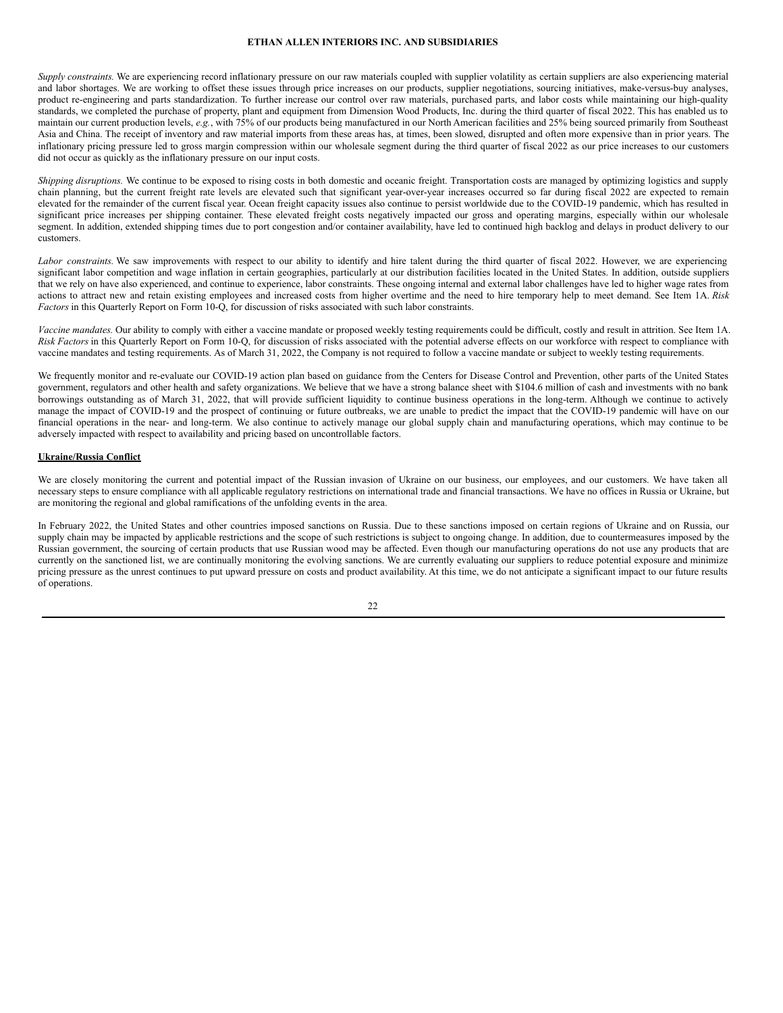*Supply constraints.* We are experiencing record inflationary pressure on our raw materials coupled with supplier volatility as certain suppliers are also experiencing material and labor shortages. We are working to offset these issues through price increases on our products, supplier negotiations, sourcing initiatives, make-versus-buy analyses, product re-engineering and parts standardization. To further increase our control over raw materials, purchased parts, and labor costs while maintaining our high-quality standards, we completed the purchase of property, plant and equipment from Dimension Wood Products, Inc. during the third quarter of fiscal 2022. This has enabled us to maintain our current production levels, *e.g.*, with 75% of our products being manufactured in our North American facilities and 25% being sourced primarily from Southeast Asia and China. The receipt of inventory and raw material imports from these areas has, at times, been slowed, disrupted and often more expensive than in prior years. The inflationary pricing pressure led to gross margin compression within our wholesale segment during the third quarter of fiscal 2022 as our price increases to our customers did not occur as quickly as the inflationary pressure on our input costs.

*Shipping disruptions.* We continue to be exposed to rising costs in both domestic and oceanic freight. Transportation costs are managed by optimizing logistics and supply chain planning, but the current freight rate levels are elevated such that significant year-over-year increases occurred so far during fiscal 2022 are expected to remain elevated for the remainder of the current fiscal year. Ocean freight capacity issues also continue to persist worldwide due to the COVID-19 pandemic, which has resulted in significant price increases per shipping container. These elevated freight costs negatively impacted our gross and operating margins, especially within our wholesale segment. In addition, extended shipping times due to port congestion and/or container availability, have led to continued high backlog and delays in product delivery to our customers.

*Labor constraints.* We saw improvements with respect to our ability to identify and hire talent during the third quarter of fiscal 2022. However, we are experiencing significant labor competition and wage inflation in certain geographies, particularly at our distribution facilities located in the United States. In addition, outside suppliers that we rely on have also experienced, and continue to experience, labor constraints. These ongoing internal and external labor challenges have led to higher wage rates from actions to attract new and retain existing employees and increased costs from higher overtime and the need to hire temporary help to meet demand. See Item 1A. *Risk Factors* in this Quarterly Report on Form 10-Q, for discussion of risks associated with such labor constraints.

*Vaccine mandates.* Our ability to comply with either a vaccine mandate or proposed weekly testing requirements could be difficult, costly and result in attrition. See Item 1A. *Risk Factors* in this Quarterly Report on Form 10-Q, for discussion of risks associated with the potential adverse effects on our workforce with respect to compliance with vaccine mandates and testing requirements. As of March 31, 2022, the Company is not required to follow a vaccine mandate or subject to weekly testing requirements.

We frequently monitor and re-evaluate our COVID-19 action plan based on guidance from the Centers for Disease Control and Prevention, other parts of the United States government, regulators and other health and safety organizations. We believe that we have a strong balance sheet with \$104.6 million of cash and investments with no bank borrowings outstanding as of March 31, 2022, that will provide sufficient liquidity to continue business operations in the long-term. Although we continue to actively manage the impact of COVID-19 and the prospect of continuing or future outbreaks, we are unable to predict the impact that the COVID-19 pandemic will have on our financial operations in the near- and long-term. We also continue to actively manage our global supply chain and manufacturing operations, which may continue to be adversely impacted with respect to availability and pricing based on uncontrollable factors.

### **Ukraine/Russia Conflict**

We are closely monitoring the current and potential impact of the Russian invasion of Ukraine on our business, our employees, and our customers. We have taken all necessary steps to ensure compliance with all applicable regulatory restrictions on international trade and financial transactions. We have no offices in Russia or Ukraine, but are monitoring the regional and global ramifications of the unfolding events in the area.

In February 2022, the United States and other countries imposed sanctions on Russia. Due to these sanctions imposed on certain regions of Ukraine and on Russia, our supply chain may be impacted by applicable restrictions and the scope of such restrictions is subject to ongoing change. In addition, due to countermeasures imposed by the Russian government, the sourcing of certain products that use Russian wood may be affected. Even though our manufacturing operations do not use any products that are currently on the sanctioned list, we are continually monitoring the evolving sanctions. We are currently evaluating our suppliers to reduce potential exposure and minimize pricing pressure as the unrest continues to put upward pressure on costs and product availability. At this time, we do not anticipate a significant impact to our future results of operations.

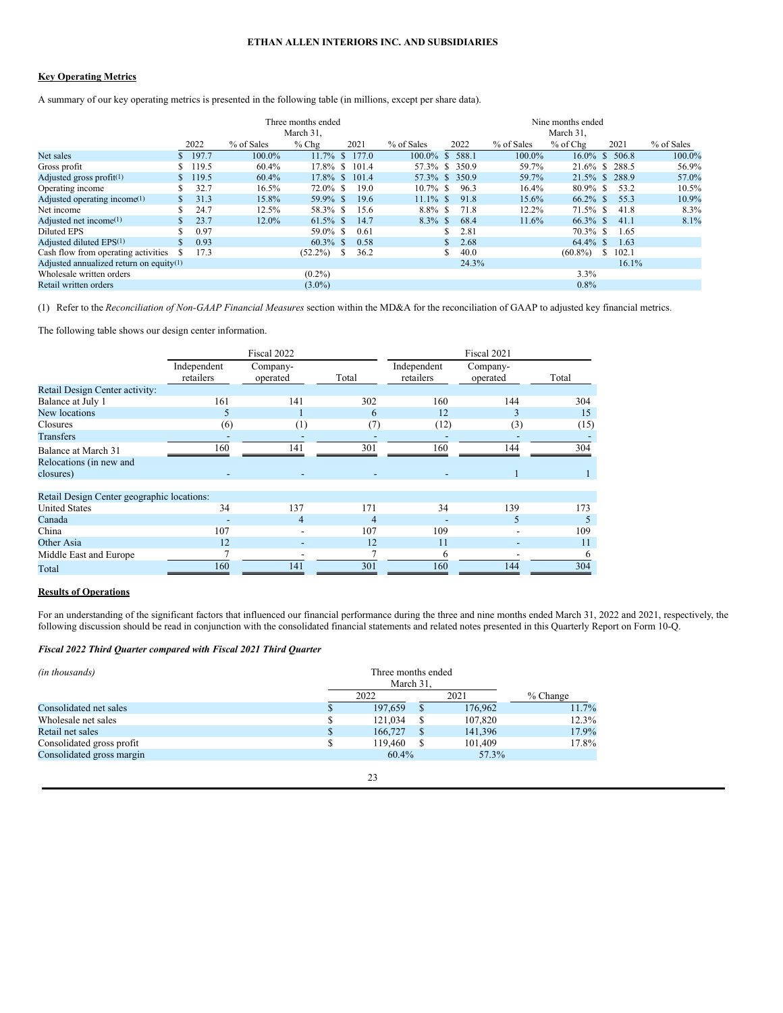# **Key Operating Metrics**

A summary of our key operating metrics is presented in the following table (in millions, except per share data).

|                                            | Three months ended<br>March 31, |       |  |            |         |             | Nine months ended<br>March 31, |                |                 |     |       |  |            |  |             |   |       |            |        |
|--------------------------------------------|---------------------------------|-------|--|------------|---------|-------------|--------------------------------|----------------|-----------------|-----|-------|--|------------|--|-------------|---|-------|------------|--------|
|                                            |                                 | 2022  |  | % of Sales | $%$ Chg |             |                                | 2021           | % of Sales      |     | 2022  |  | % of Sales |  | $%$ of Chg  |   | 2021  | % of Sales |        |
| Net sales                                  |                                 | 197.7 |  | 100.0%     |         | 11.7%       |                                | \$177.0        | 100.0% \$ 588.1 |     |       |  | 100.0%     |  | $16.0\%$ \$ |   | 506.8 |            | 100.0% |
| Gross profit                               |                                 | 119.5 |  | 60.4%      |         |             |                                | 17.8% \$ 101.4 | 57.3% \$ 350.9  |     |       |  | 59.7%      |  | $21.6\%$ \$ |   | 288.5 |            | 56.9%  |
| Adjusted gross $profit(1)$                 |                                 | 119.5 |  | 60.4%      |         |             |                                | 17.8% \$ 101.4 | 57.3% \$ 350.9  |     |       |  | 59.7%      |  | $21.5\%$ \$ |   | 288.9 |            | 57.0%  |
| Operating income                           |                                 | 32.7  |  | 16.5%      |         | $72.0\%$ \$ |                                | 19.0           | $10.7\%$ \$     |     | 96.3  |  | 16.4%      |  | $80.9\%$ \$ |   | 53.2  |            | 10.5%  |
| Adjusted operating income $(1)$            |                                 | 31.3  |  | 15.8%      |         | $59.9\%$ \$ |                                | 19.6           | $11.1\%$ \$     |     | 91.8  |  | 15.6%      |  | $66.2\%$ \$ |   | 55.3  |            | 10.9%  |
| Net income                                 |                                 | 24.7  |  | 12.5%      |         | 58.3% \$    |                                | 15.6           | $8.8\%$ \$      |     | 71.8  |  | 12.2%      |  | $71.5\%$ \$ |   | 41.8  |            | 8.3%   |
| Adjusted net income <sup>(1)</sup>         |                                 | 23.7  |  | 12.0%      |         | $61.5\%$ \$ |                                | 14.7           | $8.3\%$ \$      |     | 68.4  |  | 11.6%      |  | $66.3\%$ \$ |   | 41.1  |            | 8.1%   |
| Diluted EPS                                |                                 | 0.97  |  |            |         | $59.0\%$ \$ |                                | 0.61           |                 | \$. | 2.81  |  |            |  | $70.3\%$ \$ |   | 1.65  |            |        |
| Adjusted diluted EPS(1)                    | \$.                             | 0.93  |  |            |         | $60.3\%$ \$ |                                | 0.58           |                 |     | 2.68  |  |            |  | $64.4\%$ \$ |   | 1.63  |            |        |
| Cash flow from operating activities        |                                 | 17.3  |  |            |         | $(52.2\%)$  | S                              | 36.2           |                 | \$  | 40.0  |  |            |  | $(60.8\%)$  | S | 102.1 |            |        |
| Adjusted annualized return on equity $(1)$ |                                 |       |  |            |         |             |                                |                |                 |     | 24.3% |  |            |  |             |   | 16.1% |            |        |
| Wholesale written orders                   |                                 |       |  |            |         | $(0.2\%)$   |                                |                |                 |     |       |  |            |  | 3.3%        |   |       |            |        |
| Retail written orders                      |                                 |       |  |            |         | $(3.0\%)$   |                                |                |                 |     |       |  |            |  | $0.8\%$     |   |       |            |        |

(1) Refer to the *Reconciliation of Non-GAAP Financial Measures* section within the MD&A for the reconciliation of GAAP to adjusted key financial metrics.

The following table shows our design center information.

|                                            |                          | Fiscal 2022          |       |                          | Fiscal 2021          |       |
|--------------------------------------------|--------------------------|----------------------|-------|--------------------------|----------------------|-------|
|                                            | Independent<br>retailers | Company-<br>operated | Total | Independent<br>retailers | Company-<br>operated | Total |
| Retail Design Center activity:             |                          |                      |       |                          |                      |       |
| Balance at July 1                          | 161                      | 141                  | 302   | 160                      | 144                  | 304   |
| New locations                              | 5                        |                      | 6     | 12                       | 3                    | 15    |
| Closures                                   | (6)                      | (1)                  | (7)   | (12)                     | (3)                  | (15)  |
| Transfers                                  |                          |                      |       |                          |                      |       |
| Balance at March 31                        | 160                      | 141                  | 301   | 160                      | 144                  | 304   |
| Relocations (in new and                    |                          |                      |       |                          |                      |       |
| closures)                                  |                          |                      |       |                          |                      |       |
| Retail Design Center geographic locations: |                          |                      |       |                          |                      |       |
| <b>United States</b>                       | 34                       | 137                  | 171   | 34                       | 139                  | 173   |
| Canada                                     |                          | 4                    | 4     |                          | 5                    | 5     |
| China                                      | 107                      |                      | 107   | 109                      |                      | 109   |
| Other Asia                                 | 12                       |                      | 12    | 11                       |                      | 11    |
| Middle East and Europe                     |                          |                      |       | 6                        |                      | 6     |
| Total                                      | 160                      | 141                  | 301   | 160                      | 144                  | 304   |

# **Results of Operations**

For an understanding of the significant factors that influenced our financial performance during the three and nine months ended March 31, 2022 and 2021, respectively, the following discussion should be read in conjunction with the consolidated financial statements and related notes presented in this Quarterly Report on Form 10-Q.

# *Fiscal 2022 Third Quarter compared with Fiscal 2021 Third Quarter*

| (in thousands)            |   | Three months ended<br>March 31. |   |         |            |  |  |  |
|---------------------------|---|---------------------------------|---|---------|------------|--|--|--|
|                           |   | 2022                            |   | 2021    | $%$ Change |  |  |  |
| Consolidated net sales    |   | 197,659                         | S | 176,962 | 11.7%      |  |  |  |
| Wholesale net sales       |   | 121.034                         |   | 107,820 | $12.3\%$   |  |  |  |
| Retail net sales          | D | 166,727                         | S | 141,396 | 17.9%      |  |  |  |
| Consolidated gross profit |   | 119.460                         |   | 101.409 | 17.8%      |  |  |  |
| Consolidated gross margin |   | 60.4%                           |   | 57.3%   |            |  |  |  |
|                           |   | 23                              |   |         |            |  |  |  |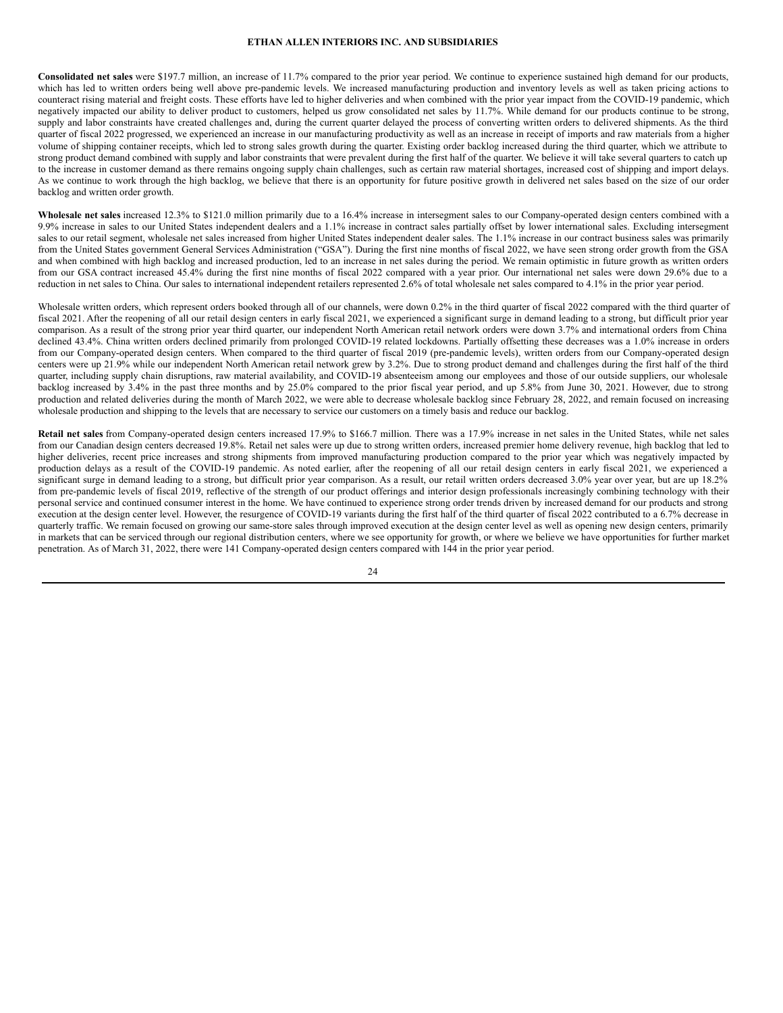**Consolidated net sales** were \$197.7 million, an increase of 11.7% compared to the prior year period. We continue to experience sustained high demand for our products, which has led to written orders being well above pre-pandemic levels. We increased manufacturing production and inventory levels as well as taken pricing actions to counteract rising material and freight costs. These efforts have led to higher deliveries and when combined with the prior year impact from the COVID-19 pandemic, which negatively impacted our ability to deliver product to customers, helped us grow consolidated net sales by 11.7%. While demand for our products continue to be strong, supply and labor constraints have created challenges and, during the current quarter delayed the process of converting written orders to delivered shipments. As the third quarter of fiscal 2022 progressed, we experienced an increase in our manufacturing productivity as well as an increase in receipt of imports and raw materials from a higher volume of shipping container receipts, which led to strong sales growth during the quarter. Existing order backlog increased during the third quarter, which we attribute to strong product demand combined with supply and labor constraints that were prevalent during the first half of the quarter. We believe it will take several quarters to catch up to the increase in customer demand as there remains ongoing supply chain challenges, such as certain raw material shortages, increased cost of shipping and import delays. As we continue to work through the high backlog, we believe that there is an opportunity for future positive growth in delivered net sales based on the size of our order backlog and written order growth.

**Wholesale net sales** increased 12.3% to \$121.0 million primarily due to a 16.4% increase in intersegment sales to our Company-operated design centers combined with a 9.9% increase in sales to our United States independent dealers and a 1.1% increase in contract sales partially offset by lower international sales. Excluding intersegment sales to our retail segment, wholesale net sales increased from higher United States independent dealer sales. The 1.1% increase in our contract business sales was primarily from the United States government General Services Administration ("GSA"). During the first nine months of fiscal 2022, we have seen strong order growth from the GSA and when combined with high backlog and increased production, led to an increase in net sales during the period. We remain optimistic in future growth as written orders from our GSA contract increased 45.4% during the first nine months of fiscal 2022 compared with a year prior. Our international net sales were down 29.6% due to a reduction in net sales to China. Our sales to international independent retailers represented 2.6% of total wholesale net sales compared to 4.1% in the prior year period.

Wholesale written orders, which represent orders booked through all of our channels, were down 0.2% in the third quarter of fiscal 2022 compared with the third quarter of fiscal 2021. After the reopening of all our retail design centers in early fiscal 2021, we experienced a significant surge in demand leading to a strong, but difficult prior year comparison. As a result of the strong prior year third quarter, our independent North American retail network orders were down 3.7% and international orders from China declined 43.4%. China written orders declined primarily from prolonged COVID-19 related lockdowns. Partially offsetting these decreases was a 1.0% increase in orders from our Company-operated design centers. When compared to the third quarter of fiscal 2019 (pre-pandemic levels), written orders from our Company-operated design centers were up 21.9% while our independent North American retail network grew by 3.2%. Due to strong product demand and challenges during the first half of the third quarter, including supply chain disruptions, raw material availability, and COVID-19 absenteeism among our employees and those of our outside suppliers, our wholesale backlog increased by 3.4% in the past three months and by 25.0% compared to the prior fiscal year period, and up 5.8% from June 30, 2021. However, due to strong production and related deliveries during the month of March 2022, we were able to decrease wholesale backlog since February 28, 2022, and remain focused on increasing wholesale production and shipping to the levels that are necessary to service our customers on a timely basis and reduce our backlog.

**Retail net sales** from Company-operated design centers increased 17.9% to \$166.7 million. There was a 17.9% increase in net sales in the United States, while net sales from our Canadian design centers decreased 19.8%. Retail net sales were up due to strong written orders, increased premier home delivery revenue, high backlog that led to higher deliveries, recent price increases and strong shipments from improved manufacturing production compared to the prior year which was negatively impacted by production delays as a result of the COVID-19 pandemic. As noted earlier, after the reopening of all our retail design centers in early fiscal 2021, we experienced a significant surge in demand leading to a strong, but difficult prior year comparison. As a result, our retail written orders decreased 3.0% year over year, but are up 18.2% from pre-pandemic levels of fiscal 2019, reflective of the strength of our product offerings and interior design professionals increasingly combining technology with their personal service and continued consumer interest in the home. We have continued to experience strong order trends driven by increased demand for our products and strong execution at the design center level. However, the resurgence of COVID-19 variants during the first half of the third quarter of fiscal 2022 contributed to a 6.7% decrease in quarterly traffic. We remain focused on growing our same-store sales through improved execution at the design center level as well as opening new design centers, primarily in markets that can be serviced through our regional distribution centers, where we see opportunity for growth, or where we believe we have opportunities for further market penetration. As of March 31, 2022, there were 141 Company-operated design centers compared with 144 in the prior year period.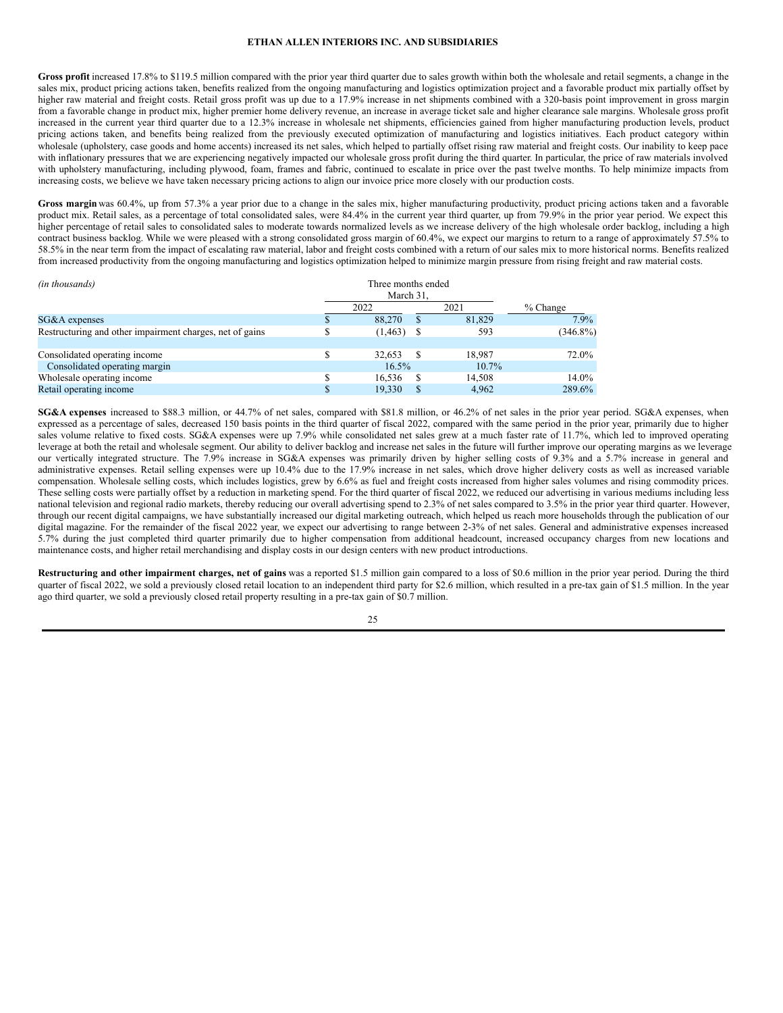**Gross profit** increased 17.8% to \$119.5 million compared with the prior year third quarter due to sales growth within both the wholesale and retail segments, a change in the sales mix, product pricing actions taken, benefits realized from the ongoing manufacturing and logistics optimization project and a favorable product mix partially offset by higher raw material and freight costs. Retail gross profit was up due to a 17.9% increase in net shipments combined with a 320-basis point improvement in gross margin from a favorable change in product mix, higher premier home delivery revenue, an increase in average ticket sale and higher clearance sale margins. Wholesale gross profit increased in the current year third quarter due to a 12.3% increase in wholesale net shipments, efficiencies gained from higher manufacturing production levels, product pricing actions taken, and benefits being realized from the previously executed optimization of manufacturing and logistics initiatives. Each product category within wholesale (upholstery, case goods and home accents) increased its net sales, which helped to partially offset rising raw material and freight costs. Our inability to keep pace with inflationary pressures that we are experiencing negatively impacted our wholesale gross profit during the third quarter. In particular, the price of raw materials involved with upholstery manufacturing, including plywood, foam, frames and fabric, continued to escalate in price over the past twelve months. To help minimize impacts from increasing costs, we believe we have taken necessary pricing actions to align our invoice price more closely with our production costs.

**Gross margin** was 60.4%, up from 57.3% a year prior due to a change in the sales mix, higher manufacturing productivity, product pricing actions taken and a favorable product mix. Retail sales, as a percentage of total consolidated sales, were 84.4% in the current year third quarter, up from 79.9% in the prior year period. We expect this higher percentage of retail sales to consolidated sales to moderate towards normalized levels as we increase delivery of the high wholesale order backlog, including a high contract business backlog. While we were pleased with a strong consolidated gross margin of 60.4%, we expect our margins to return to a range of approximately 57.5% to 58.5% in the near term from the impact of escalating raw material, labor and freight costs combined with a return of our sales mix to more historical norms. Benefits realized from increased productivity from the ongoing manufacturing and logistics optimization helped to minimize margin pressure from rising freight and raw material costs.

| (in thousands)                                           |  |          |          |             |
|----------------------------------------------------------|--|----------|----------|-------------|
|                                                          |  | 2022     | 2021     | $%$ Change  |
| SG&A expenses                                            |  | 88,270   | 81,829   | $7.9\%$     |
| Restructuring and other impairment charges, net of gains |  | (1, 463) | 593      | $(346.8\%)$ |
|                                                          |  |          |          |             |
| Consolidated operating income                            |  | 32.653   | 18.987   | 72.0%       |
| Consolidated operating margin                            |  | $16.5\%$ | $10.7\%$ |             |
| Wholesale operating income                               |  | 16.536   | 14.508   | 14.0%       |
| Retail operating income                                  |  | 19.330   | 4.962    | 289.6%      |

**SG&A expenses** increased to \$88.3 million, or 44.7% of net sales, compared with \$81.8 million, or 46.2% of net sales in the prior year period. SG&A expenses, when expressed as a percentage of sales, decreased 150 basis points in the third quarter of fiscal 2022, compared with the same period in the prior year, primarily due to higher sales volume relative to fixed costs. SG&A expenses were up 7.9% while consolidated net sales grew at a much faster rate of 11.7%, which led to improved operating leverage at both the retail and wholesale segment. Our ability to deliver backlog and increase net sales in the future will further improve our operating margins as we leverage our vertically integrated structure. The 7.9% increase in SG&A expenses was primarily driven by higher selling costs of 9.3% and a 5.7% increase in general and administrative expenses. Retail selling expenses were up 10.4% due to the 17.9% increase in net sales, which drove higher delivery costs as well as increased variable compensation. Wholesale selling costs, which includes logistics, grew by 6.6% as fuel and freight costs increased from higher sales volumes and rising commodity prices. These selling costs were partially offset by a reduction in marketing spend. For the third quarter of fiscal 2022, we reduced our advertising in various mediums including less national television and regional radio markets, thereby reducing our overall advertising spend to 2.3% of net sales compared to 3.5% in the prior year third quarter. However, through our recent digital campaigns, we have substantially increased our digital marketing outreach, which helped us reach more households through the publication of our digital magazine. For the remainder of the fiscal 2022 year, we expect our advertising to range between 2-3% of net sales. General and administrative expenses increased 5.7% during the just completed third quarter primarily due to higher compensation from additional headcount, increased occupancy charges from new locations and maintenance costs, and higher retail merchandising and display costs in our design centers with new product introductions.

**Restructuring and other impairment charges, net of gains** was a reported \$1.5 million gain compared to a loss of \$0.6 million in the prior year period. During the third quarter of fiscal 2022, we sold a previously closed retail location to an independent third party for \$2.6 million, which resulted in a pre-tax gain of \$1.5 million. In the year ago third quarter, we sold a previously closed retail property resulting in a pre-tax gain of \$0.7 million.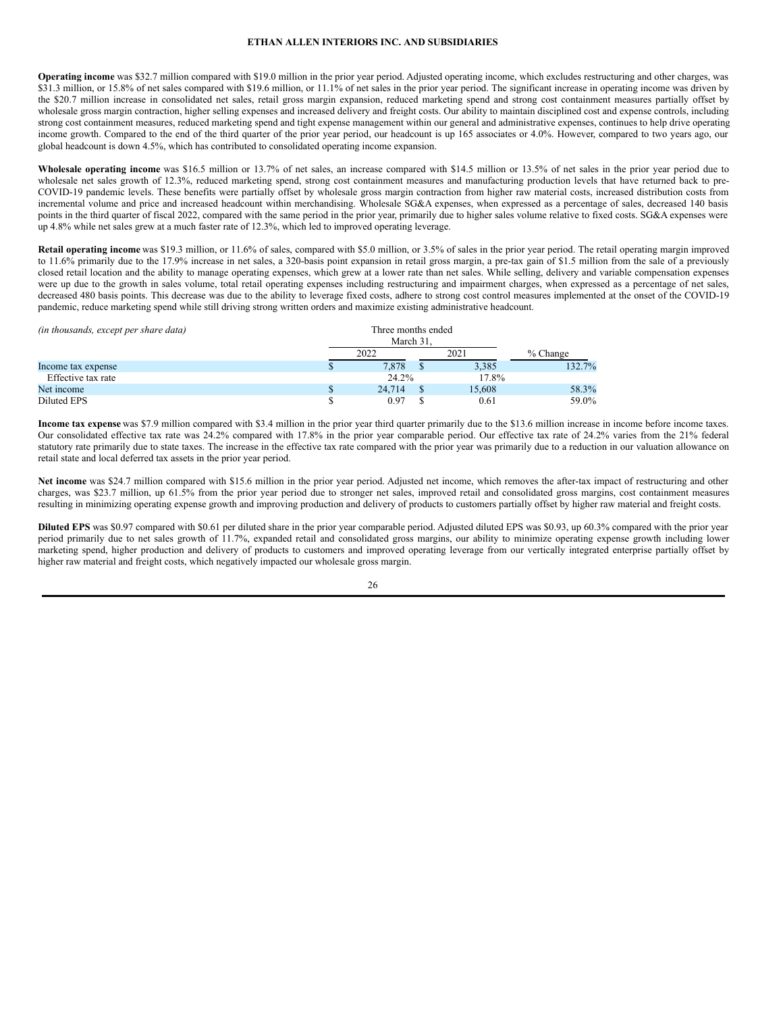**Operating income** was \$32.7 million compared with \$19.0 million in the prior year period. Adjusted operating income, which excludes restructuring and other charges, was \$31.3 million, or 15.8% of net sales compared with \$19.6 million, or 11.1% of net sales in the prior year period. The significant increase in operating income was driven by the \$20.7 million increase in consolidated net sales, retail gross margin expansion, reduced marketing spend and strong cost containment measures partially offset by wholesale gross margin contraction, higher selling expenses and increased delivery and freight costs. Our ability to maintain disciplined cost and expense controls, including strong cost containment measures, reduced marketing spend and tight expense management within our general and administrative expenses, continues to help drive operating income growth. Compared to the end of the third quarter of the prior year period, our headcount is up 165 associates or 4.0%. However, compared to two years ago, our global headcount is down 4.5%, which has contributed to consolidated operating income expansion.

**Wholesale operating income** was \$16.5 million or 13.7% of net sales, an increase compared with \$14.5 million or 13.5% of net sales in the prior year period due to wholesale net sales growth of 12.3%, reduced marketing spend, strong cost containment measures and manufacturing production levels that have returned back to pre-COVID-19 pandemic levels. These benefits were partially offset by wholesale gross margin contraction from higher raw material costs, increased distribution costs from incremental volume and price and increased headcount within merchandising. Wholesale SG&A expenses, when expressed as a percentage of sales, decreased 140 basis points in the third quarter of fiscal 2022, compared with the same period in the prior year, primarily due to higher sales volume relative to fixed costs. SG&A expenses were up 4.8% while net sales grew at a much faster rate of 12.3%, which led to improved operating leverage.

**Retail operating income** was \$19.3 million, or 11.6% of sales, compared with \$5.0 million, or 3.5% of sales in the prior year period. The retail operating margin improved to 11.6% primarily due to the 17.9% increase in net sales, a 320-basis point expansion in retail gross margin, a pre-tax gain of \$1.5 million from the sale of a previously closed retail location and the ability to manage operating expenses, which grew at a lower rate than net sales. While selling, delivery and variable compensation expenses were up due to the growth in sales volume, total retail operating expenses including restructuring and impairment charges, when expressed as a percentage of net sales, decreased 480 basis points. This decrease was due to the ability to leverage fixed costs, adhere to strong cost control measures implemented at the onset of the COVID-19 pandemic, reduce marketing spend while still driving strong written orders and maximize existing administrative headcount.

| (in thousands, except per share data) |  |        |        |            |
|---------------------------------------|--|--------|--------|------------|
|                                       |  | 2022   | 2021   | $%$ Change |
| Income tax expense                    |  | 7.878  | 3.385  | 132.7%     |
| Effective tax rate                    |  | 24.2%  | 17.8%  |            |
| Net income                            |  | 24,714 | 15,608 | 58.3%      |
| Diluted EPS                           |  | 0.97   | 0.61   | 59.0%      |

**Income tax expense** was \$7.9 million compared with \$3.4 million in the prior year third quarter primarily due to the \$13.6 million increase in income before income taxes. Our consolidated effective tax rate was 24.2% compared with 17.8% in the prior year comparable period. Our effective tax rate of 24.2% varies from the 21% federal statutory rate primarily due to state taxes. The increase in the effective tax rate compared with the prior year was primarily due to a reduction in our valuation allowance on retail state and local deferred tax assets in the prior year period.

Net income was \$24.7 million compared with \$15.6 million in the prior year period. Adjusted net income, which removes the after-tax impact of restructuring and other charges, was \$23.7 million, up 61.5% from the prior year period due to stronger net sales, improved retail and consolidated gross margins, cost containment measures resulting in minimizing operating expense growth and improving production and delivery of products to customers partially offset by higher raw material and freight costs.

**Diluted EPS** was \$0.97 compared with \$0.61 per diluted share in the prior year comparable period. Adjusted diluted EPS was \$0.93, up 60.3% compared with the prior year period primarily due to net sales growth of 11.7%, expanded retail and consolidated gross margins, our ability to minimize operating expense growth including lower marketing spend, higher production and delivery of products to customers and improved operating leverage from our vertically integrated enterprise partially offset by higher raw material and freight costs, which negatively impacted our wholesale gross margin.

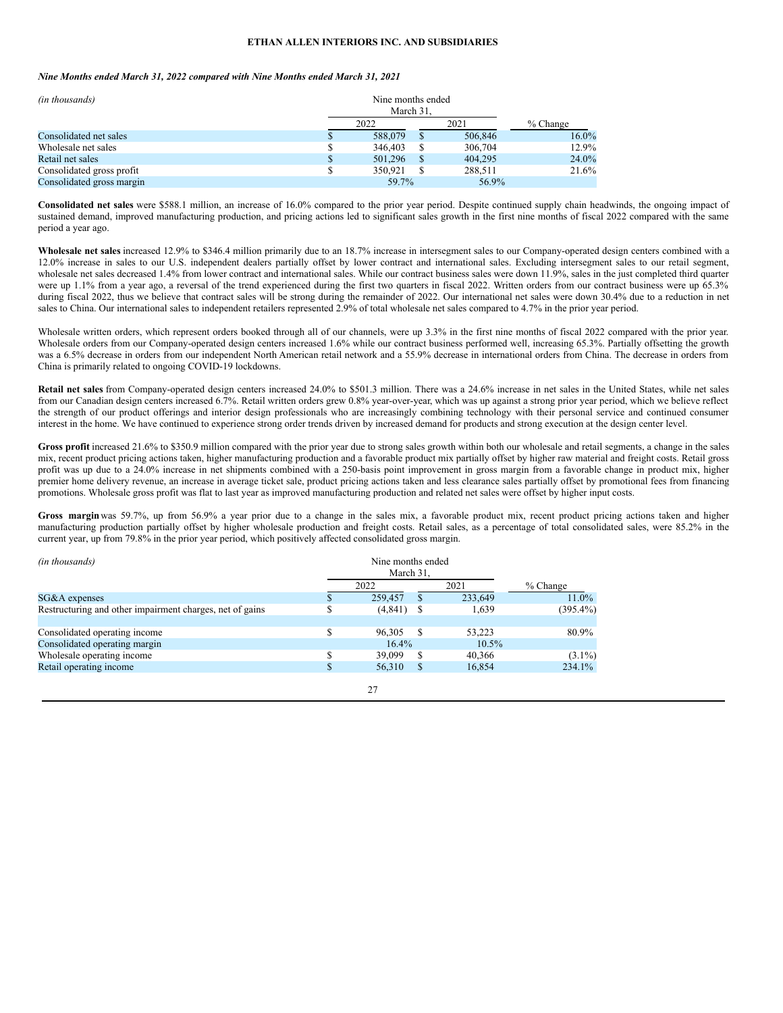### *Nine Months ended March 31, 2022 compared with Nine Months ended March 31, 2021*

| (in thousands)            |  |         |         |            |
|---------------------------|--|---------|---------|------------|
|                           |  | 2022    | 2021    | $%$ Change |
| Consolidated net sales    |  | 588,079 | 506,846 | $16.0\%$   |
| Wholesale net sales       |  | 346,403 | 306,704 | 12.9%      |
| Retail net sales          |  | 501.296 | 404.295 | 24.0%      |
| Consolidated gross profit |  | 350.921 | 288.511 | 21.6%      |
| Consolidated gross margin |  | 59.7%   | 56.9%   |            |

**Consolidated net sales** were \$588.1 million, an increase of 16.0% compared to the prior year period. Despite continued supply chain headwinds, the ongoing impact of sustained demand, improved manufacturing production, and pricing actions led to significant sales growth in the first nine months of fiscal 2022 compared with the same period a year ago.

**Wholesale net sales** increased 12.9% to \$346.4 million primarily due to an 18.7% increase in intersegment sales to our Company-operated design centers combined with a 12.0% increase in sales to our U.S. independent dealers partially offset by lower contract and international sales. Excluding intersegment sales to our retail segment, wholesale net sales decreased 1.4% from lower contract and international sales. While our contract business sales were down 11.9%, sales in the just completed third quarter were up 1.1% from a year ago, a reversal of the trend experienced during the first two quarters in fiscal 2022. Written orders from our contract business were up 65.3% during fiscal 2022, thus we believe that contract sales will be strong during the remainder of 2022. Our international net sales were down 30.4% due to a reduction in net sales to China. Our international sales to independent retailers represented 2.9% of total wholesale net sales compared to 4.7% in the prior year period.

Wholesale written orders, which represent orders booked through all of our channels, were up 3.3% in the first nine months of fiscal 2022 compared with the prior year. Wholesale orders from our Company-operated design centers increased 1.6% while our contract business performed well, increasing 65.3%. Partially offsetting the growth was a 6.5% decrease in orders from our independent North American retail network and a 55.9% decrease in international orders from China. The decrease in orders from China is primarily related to ongoing COVID-19 lockdowns.

**Retail net sales** from Company-operated design centers increased 24.0% to \$501.3 million. There was a 24.6% increase in net sales in the United States, while net sales from our Canadian design centers increased 6.7%. Retail written orders grew 0.8% year-over-year, which was up against a strong prior year period, which we believe reflect the strength of our product offerings and interior design professionals who are increasingly combining technology with their personal service and continued consumer interest in the home. We have continued to experience strong order trends driven by increased demand for products and strong execution at the design center level.

Gross profit increased 21.6% to \$350.9 million compared with the prior year due to strong sales growth within both our wholesale and retail segments, a change in the sales mix, recent product pricing actions taken, higher manufacturing production and a favorable product mix partially offset by higher raw material and freight costs. Retail gross profit was up due to a 24.0% increase in net shipments combined with a 250-basis point improvement in gross margin from a favorable change in product mix, higher premier home delivery revenue, an increase in average ticket sale, product pricing actions taken and less clearance sales partially offset by promotional fees from financing promotions. Wholesale gross profit was flat to last year as improved manufacturing production and related net sales were offset by higher input costs.

Gross margin was 59.7%, up from 56.9% a year prior due to a change in the sales mix, a favorable product mix, recent product pricing actions taken and higher manufacturing production partially offset by higher wholesale production and freight costs. Retail sales, as a percentage of total consolidated sales, were 85.2% in the current year, up from 79.8% in the prior year period, which positively affected consolidated gross margin.

| (in thousands)                                           |  |           |   |          |             |
|----------------------------------------------------------|--|-----------|---|----------|-------------|
|                                                          |  | March 31, |   |          |             |
|                                                          |  | 2022      |   | 2021     | $%$ Change  |
| SG&A expenses                                            |  | 259,457   | S | 233,649  | $11.0\%$    |
| Restructuring and other impairment charges, net of gains |  | (4,841)   | S | 1,639    | $(395.4\%)$ |
|                                                          |  |           |   |          |             |
| Consolidated operating income                            |  | 96.305    |   | 53.223   | 80.9%       |
| Consolidated operating margin                            |  | 16.4%     |   | $10.5\%$ |             |
| Wholesale operating income                               |  | 39,099    | S | 40,366   | $(3.1\%)$   |
| Retail operating income                                  |  | 56,310    | S | 16,854   | 234.1%      |
|                                                          |  |           |   |          |             |
|                                                          |  |           |   |          |             |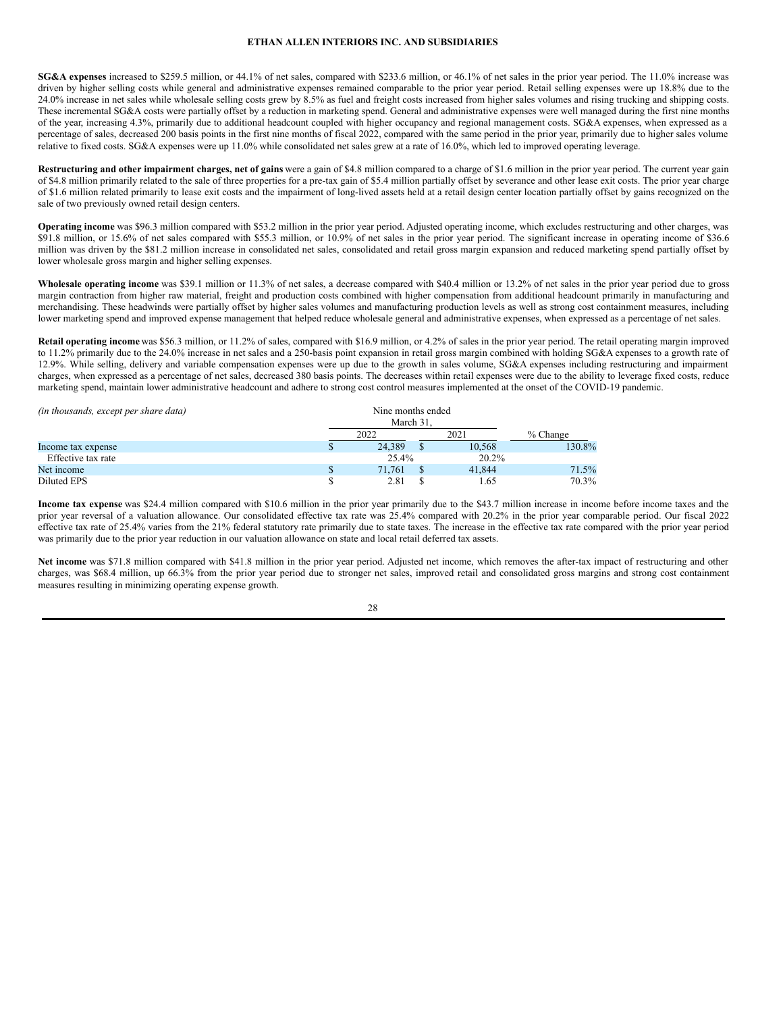**SG&A expenses** increased to \$259.5 million, or 44.1% of net sales, compared with \$233.6 million, or 46.1% of net sales in the prior year period. The 11.0% increase was driven by higher selling costs while general and administrative expenses remained comparable to the prior year period. Retail selling expenses were up 18.8% due to the 24.0% increase in net sales while wholesale selling costs grew by 8.5% as fuel and freight costs increased from higher sales volumes and rising trucking and shipping costs. These incremental SG&A costs were partially offset by a reduction in marketing spend. General and administrative expenses were well managed during the first nine months of the year, increasing 4.3%, primarily due to additional headcount coupled with higher occupancy and regional management costs. SG&A expenses, when expressed as a percentage of sales, decreased 200 basis points in the first nine months of fiscal 2022, compared with the same period in the prior year, primarily due to higher sales volume relative to fixed costs. SG&A expenses were up 11.0% while consolidated net sales grew at a rate of 16.0%, which led to improved operating leverage.

Restructuring and other impairment charges, net of gains were a gain of \$4.8 million compared to a charge of \$1.6 million in the prior year period. The current year gain of \$4.8 million primarily related to the sale of three properties for a pre-tax gain of \$5.4 million partially offset by severance and other lease exit costs. The prior year charge of \$1.6 million related primarily to lease exit costs and the impairment of long-lived assets held at a retail design center location partially offset by gains recognized on the sale of two previously owned retail design centers.

**Operating income** was \$96.3 million compared with \$53.2 million in the prior year period. Adjusted operating income, which excludes restructuring and other charges, was \$91.8 million, or 15.6% of net sales compared with \$55.3 million, or 10.9% of net sales in the prior year period. The significant increase in operating income of \$36.6 million was driven by the \$81.2 million increase in consolidated net sales, consolidated and retail gross margin expansion and reduced marketing spend partially offset by lower wholesale gross margin and higher selling expenses.

**Wholesale operating income** was \$39.1 million or 11.3% of net sales, a decrease compared with \$40.4 million or 13.2% of net sales in the prior year period due to gross margin contraction from higher raw material, freight and production costs combined with higher compensation from additional headcount primarily in manufacturing and merchandising. These headwinds were partially offset by higher sales volumes and manufacturing production levels as well as strong cost containment measures, including lower marketing spend and improved expense management that helped reduce wholesale general and administrative expenses, when expressed as a percentage of net sales.

**Retail operating income** was \$56.3 million, or 11.2% of sales, compared with \$16.9 million, or 4.2% of sales in the prior year period. The retail operating margin improved to 11.2% primarily due to the 24.0% increase in net sales and a 250-basis point expansion in retail gross margin combined with holding SG&A expenses to a growth rate of 12.9%. While selling, delivery and variable compensation expenses were up due to the growth in sales volume, SG&A expenses including restructuring and impairment charges, when expressed as a percentage of net sales, decreased 380 basis points. The decreases within retail expenses were due to the ability to leverage fixed costs, reduce marketing spend, maintain lower administrative headcount and adhere to strong cost control measures implemented at the onset of the COVID-19 pandemic.

| (in thousands, except per share data) |  |        |        |            |
|---------------------------------------|--|--------|--------|------------|
|                                       |  | 2022   | 2021   | $%$ Change |
| Income tax expense                    |  | 24.389 | 10.568 | 130.8%     |
| Effective tax rate                    |  | 25.4%  | 20.2%  |            |
| Net income                            |  | 71.761 | 41,844 | 71.5%      |
| Diluted EPS                           |  | 2.81   | 1.65   | 70.3%      |

**Income tax expense** was \$24.4 million compared with \$10.6 million in the prior year primarily due to the \$43.7 million increase in income before income taxes and the prior year reversal of a valuation allowance. Our consolidated effective tax rate was 25.4% compared with 20.2% in the prior year comparable period. Our fiscal 2022 effective tax rate of 25.4% varies from the 21% federal statutory rate primarily due to state taxes. The increase in the effective tax rate compared with the prior year period was primarily due to the prior year reduction in our valuation allowance on state and local retail deferred tax assets.

Net income was \$71.8 million compared with \$41.8 million in the prior year period. Adjusted net income, which removes the after-tax impact of restructuring and other charges, was \$68.4 million, up 66.3% from the prior year period due to stronger net sales, improved retail and consolidated gross margins and strong cost containment measures resulting in minimizing operating expense growth.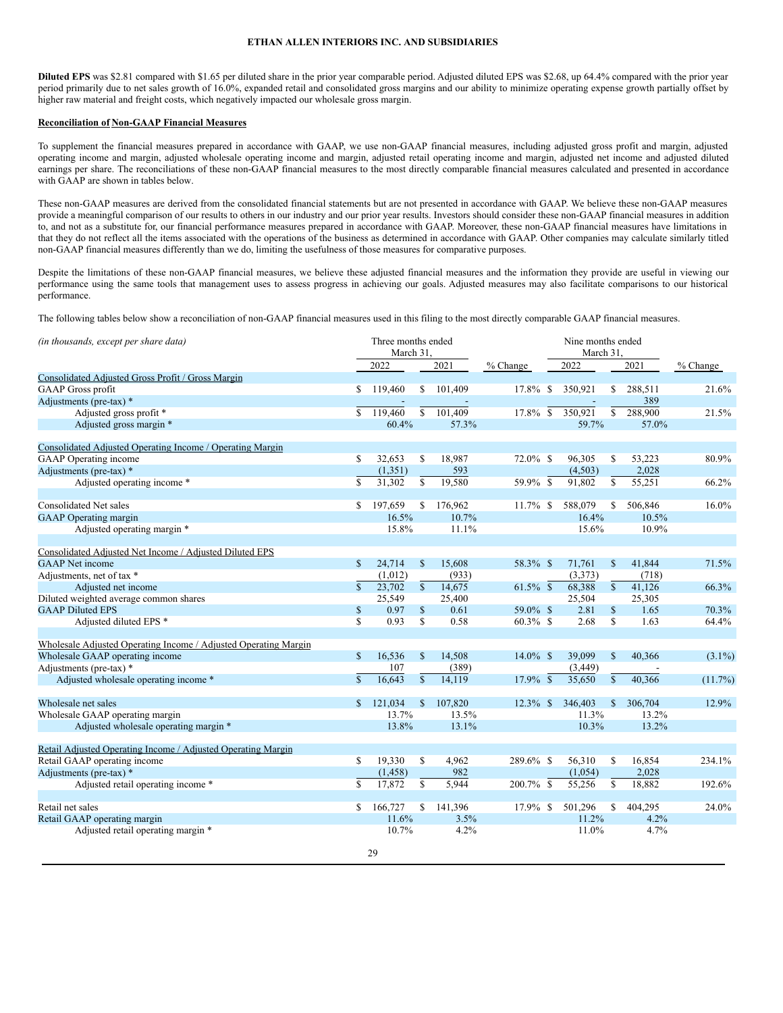**Diluted EPS** was \$2.81 compared with \$1.65 per diluted share in the prior year comparable period. Adjusted diluted EPS was \$2.68, up 64.4% compared with the prior year period primarily due to net sales growth of 16.0%, expanded retail and consolidated gross margins and our ability to minimize operating expense growth partially offset by higher raw material and freight costs, which negatively impacted our wholesale gross margin.

### **Reconciliation of Non-GAAP Financial Measures**

To supplement the financial measures prepared in accordance with GAAP, we use non-GAAP financial measures, including adjusted gross profit and margin, adjusted operating income and margin, adjusted wholesale operating income and margin, adjusted retail operating income and margin, adjusted net income and adjusted diluted earnings per share. The reconciliations of these non-GAAP financial measures to the most directly comparable financial measures calculated and presented in accordance with GAAP are shown in tables below.

These non-GAAP measures are derived from the consolidated financial statements but are not presented in accordance with GAAP. We believe these non-GAAP measures provide a meaningful comparison of our results to others in our industry and our prior year results. Investors should consider these non-GAAP financial measures in addition to, and not as a substitute for, our financial performance measures prepared in accordance with GAAP. Moreover, these non-GAAP financial measures have limitations in that they do not reflect all the items associated with the operations of the business as determined in accordance with GAAP. Other companies may calculate similarly titled non-GAAP financial measures differently than we do, limiting the usefulness of those measures for comparative purposes.

Despite the limitations of these non-GAAP financial measures, we believe these adjusted financial measures and the information they provide are useful in viewing our performance using the same tools that management uses to assess progress in achieving our goals. Adjusted measures may also facilitate comparisons to our historical performance.

The following tables below show a reconciliation of non-GAAP financial measures used in this filing to the most directly comparable GAAP financial measures.

| (in thousands, except per share data)                           |              | Three months ended<br>March 31. |              |           | Nine months ended<br>March 31. |          |               |         |            |
|-----------------------------------------------------------------|--------------|---------------------------------|--------------|-----------|--------------------------------|----------|---------------|---------|------------|
|                                                                 |              | 2022                            |              | 2021      | $%$ Change                     | 2022     |               | 2021    | $%$ Change |
| Consolidated Adjusted Gross Profit / Gross Margin               |              |                                 |              |           |                                |          |               |         |            |
| GAAP Gross profit                                               | S.           | 119,460                         | \$           | 101,409   | 17.8% \$                       | 350,921  | \$            | 288,511 | 21.6%      |
| Adjustments (pre-tax) *                                         |              |                                 |              |           |                                |          |               | 389     |            |
| Adjusted gross profit *                                         | S.           | 119,460                         | $\mathbf S$  | 101,409   | $17.8\%$ \$                    | 350.921  | \$            | 288,900 | 21.5%      |
| Adjusted gross margin *                                         |              | 60.4%                           |              | 57.3%     |                                | 59.7%    |               | 57.0%   |            |
| Consolidated Adjusted Operating Income / Operating Margin       |              |                                 |              |           |                                |          |               |         |            |
| GAAP Operating income                                           | S.           | 32.653                          | \$           | 18,987    | 72.0% \$                       | 96,305   | \$            | 53,223  | 80.9%      |
| Adjustments (pre-tax) *                                         |              | (1,351)                         |              | 593       |                                | (4,503)  |               | 2,028   |            |
| Adjusted operating income *                                     | S            | 31,302                          | \$           | 19,580    | 59.9% \$                       | 91,802   | S.            | 55,251  | 66.2%      |
|                                                                 |              |                                 |              |           |                                |          |               |         |            |
| <b>Consolidated Net sales</b>                                   | $\mathbb{S}$ | 197,659                         | $\mathbb{S}$ | 176,962   | $11.7\%$ \$                    | 588,079  | \$            | 506,846 | 16.0%      |
| <b>GAAP</b> Operating margin                                    |              | $16.5\%$                        |              | 10.7%     |                                | 16.4%    |               | 10.5%   |            |
| Adjusted operating margin *                                     |              | 15.8%                           |              | 11.1%     |                                | 15.6%    |               | 10.9%   |            |
|                                                                 |              |                                 |              |           |                                |          |               |         |            |
| Consolidated Adjusted Net Income / Adjusted Diluted EPS         |              |                                 |              |           |                                |          |               |         |            |
| <b>GAAP</b> Net income                                          | $\mathbb{S}$ | 24,714                          | $\mathbb{S}$ | 15,608    | 58.3% \$                       | 71,761   | \$            | 41,844  | 71.5%      |
| Adjustments, net of tax *                                       |              | (1,012)                         |              | (933)     |                                | (3,373)  |               | (718)   |            |
| Adjusted net income                                             | $\mathbb{S}$ | 23,702                          | S            | 14,675    | $61.5\%$ \$                    | 68,388   | $\mathbb{S}$  | 41,126  | 66.3%      |
| Diluted weighted average common shares                          |              | 25,549                          |              | 25,400    |                                | 25,504   |               | 25,305  |            |
| <b>GAAP Diluted EPS</b>                                         | $\mathbb{S}$ | 0.97                            | $\mathbb{S}$ | 0.61      | 59.0% \$                       | 2.81     | \$            | 1.65    | 70.3%      |
| Adjusted diluted EPS <sup>*</sup>                               | \$           | 0.93                            | S.           | 0.58      | $60.3\%$ \$                    | 2.68     | \$            | 1.63    | 64.4%      |
|                                                                 |              |                                 |              |           |                                |          |               |         |            |
| Wholesale Adjusted Operating Income / Adjusted Operating Margin |              |                                 |              |           |                                |          |               |         |            |
| Wholesale GAAP operating income                                 | $\mathbb{S}$ | 16,536                          | $\mathbb{S}$ | 14,508    | 14.0% \$                       | 39,099   | \$            | 40,366  | $(3.1\%)$  |
| Adjustments (pre-tax) *                                         |              | 107                             |              | (389)     |                                | (3, 449) |               |         |            |
| Adjusted wholesale operating income *                           | $\mathbb{S}$ | 16.643                          | $\mathbb{S}$ | 14,119    | 17.9% \$                       | 35,650   | $\mathbb{S}$  | 40,366  | $(11.7\%)$ |
|                                                                 |              | 121.034                         |              | 107.820   |                                | 346,403  |               | 306,704 |            |
| Wholesale net sales                                             | $\mathbb{S}$ | 13.7%                           | $\mathbb{S}$ |           | $12.3\%$ \$                    |          | $\mathbb{S}$  |         | 12.9%      |
| Wholesale GAAP operating margin                                 |              | 13.8%                           |              | 13.5%     |                                | 11.3%    |               | 13.2%   |            |
| Adjusted wholesale operating margin *                           |              |                                 |              | 13.1%     |                                | 10.3%    |               | 13.2%   |            |
| Retail Adjusted Operating Income / Adjusted Operating Margin    |              |                                 |              |           |                                |          |               |         |            |
| Retail GAAP operating income                                    | S            | 19,330                          | \$           | 4,962     | 289.6% \$                      | 56,310   | \$            | 16,854  | 234.1%     |
| Adjustments (pre-tax) *                                         |              | (1, 458)                        |              | 982       |                                | (1,054)  |               | 2,028   |            |
| Adjusted retail operating income *                              | S            | 17,872                          | S.           | 5,944     | 200.7% \$                      | 55,256   | <sup>\$</sup> | 18,882  | 192.6%     |
|                                                                 |              |                                 |              |           |                                |          |               |         |            |
| Retail net sales                                                | S.           | 166,727                         |              | \$141,396 | $17.9\%$ \$                    | 501,296  | \$            | 404,295 | 24.0%      |
| Retail GAAP operating margin                                    |              | 11.6%                           |              | 3.5%      |                                | 11.2%    |               | 4.2%    |            |
| Adjusted retail operating margin *                              |              | 10.7%                           |              | 4.2%      |                                | 11.0%    |               | 4.7%    |            |
|                                                                 |              | 29                              |              |           |                                |          |               |         |            |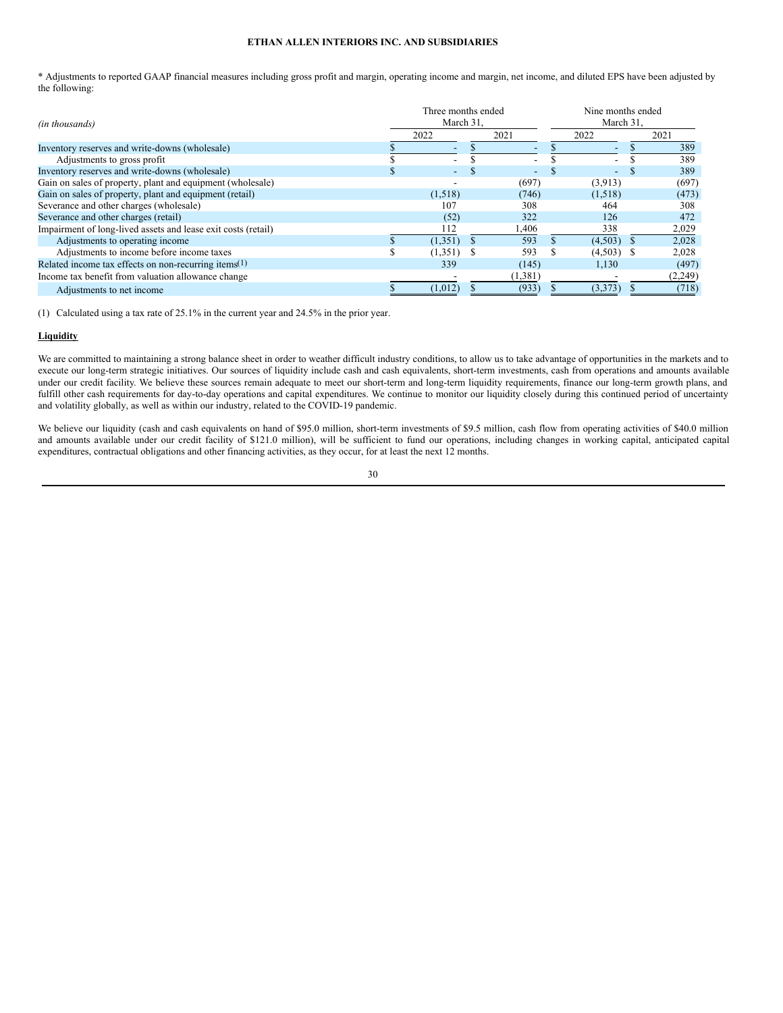\* Adjustments to reported GAAP financial measures including gross profit and margin, operating income and margin, net income, and diluted EPS have been adjusted by the following:

| (in thousands)                                                | Three months ended<br>March 31. | Nine months ended<br>March 31. |          |  |                          |  |         |
|---------------------------------------------------------------|---------------------------------|--------------------------------|----------|--|--------------------------|--|---------|
|                                                               | 2022                            |                                | 2021     |  | 2022                     |  | 2021    |
| Inventory reserves and write-downs (wholesale)                |                                 |                                | -        |  |                          |  | 389     |
| Adjustments to gross profit                                   |                                 |                                |          |  |                          |  | 389     |
| Inventory reserves and write-downs (wholesale)                | $\overline{\phantom{a}}$        |                                |          |  | $\overline{\phantom{a}}$ |  | 389     |
| Gain on sales of property, plant and equipment (wholesale)    |                                 |                                | (697)    |  | (3,913)                  |  | (697)   |
| Gain on sales of property, plant and equipment (retail)       | (1,518)                         |                                | (746)    |  | (1,518)                  |  | (473)   |
| Severance and other charges (wholesale)                       | 107                             |                                | 308      |  | 464                      |  | 308     |
| Severance and other charges (retail)                          | (52)                            |                                | 322      |  | 126                      |  | 472     |
| Impairment of long-lived assets and lease exit costs (retail) | 112                             |                                | 1,406    |  | 338                      |  | 2,029   |
| Adjustments to operating income                               | (1,351)                         |                                | 593      |  | (4,503)                  |  | 2,028   |
| Adjustments to income before income taxes                     | (1,351)                         | ъ                              | 593      |  | $(4,503)$ \$             |  | 2,028   |
| Related income tax effects on non-recurring items $(1)$       | 339                             |                                | (145)    |  | 1,130                    |  | (497)   |
| Income tax benefit from valuation allowance change            |                                 |                                | (1, 381) |  |                          |  | (2,249) |
| Adjustments to net income                                     | (1,012)                         |                                | (933)    |  | (3,373)                  |  | (718)   |

(1) Calculated using a tax rate of 25.1% in the current year and 24.5% in the prior year.

## **Liquidity**

We are committed to maintaining a strong balance sheet in order to weather difficult industry conditions, to allow us to take advantage of opportunities in the markets and to execute our long-term strategic initiatives. Our sources of liquidity include cash and cash equivalents, short-term investments, cash from operations and amounts available under our credit facility. We believe these sources remain adequate to meet our short-term and long-term liquidity requirements, finance our long-term growth plans, and fulfill other cash requirements for day-to-day operations and capital expenditures. We continue to monitor our liquidity closely during this continued period of uncertainty and volatility globally, as well as within our industry, related to the COVID-19 pandemic.

We believe our liquidity (cash and cash equivalents on hand of \$95.0 million, short-term investments of \$9.5 million, cash flow from operating activities of \$40.0 million and amounts available under our credit facility of \$121.0 million), will be sufficient to fund our operations, including changes in working capital, anticipated capital expenditures, contractual obligations and other financing activities, as they occur, for at least the next 12 months.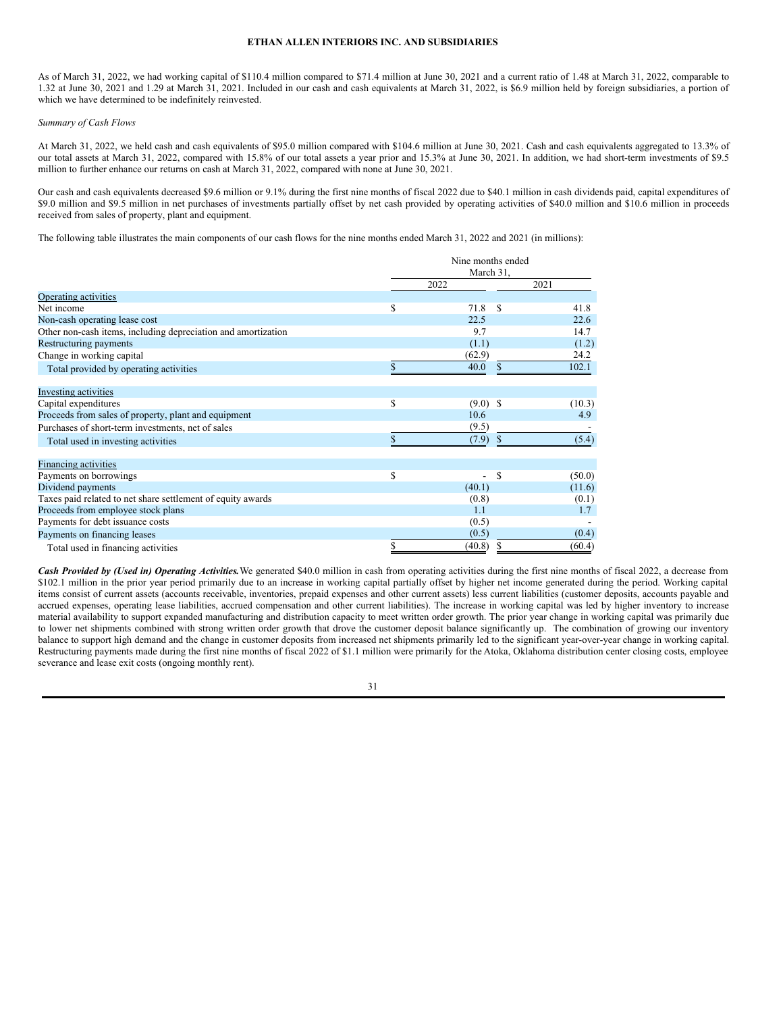As of March 31, 2022, we had working capital of \$110.4 million compared to \$71.4 million at June 30, 2021 and a current ratio of 1.48 at March 31, 2022, comparable to 1.32 at June 30, 2021 and 1.29 at March 31, 2021. Included in our cash and cash equivalents at March 31, 2022, is \$6.9 million held by foreign subsidiaries, a portion of which we have determined to be indefinitely reinvested.

### *Summary of Cash Flows*

At March 31, 2022, we held cash and cash equivalents of \$95.0 million compared with \$104.6 million at June 30, 2021. Cash and cash equivalents aggregated to 13.3% of our total assets at March 31, 2022, compared with 15.8% of our total assets a year prior and 15.3% at June 30, 2021. In addition, we had short-term investments of \$9.5 million to further enhance our returns on cash at March 31, 2022, compared with none at June 30, 2021.

Our cash and cash equivalents decreased \$9.6 million or 9.1% during the first nine months of fiscal 2022 due to \$40.1 million in cash dividends paid, capital expenditures of \$9.0 million and \$9.5 million in net purchases of investments partially offset by net cash provided by operating activities of \$40.0 million and \$10.6 million in proceeds received from sales of property, plant and equipment.

The following table illustrates the main components of our cash flows for the nine months ended March 31, 2022 and 2021 (in millions):

|                                                               | Nine months ended              |   |        |  |  |  |
|---------------------------------------------------------------|--------------------------------|---|--------|--|--|--|
|                                                               | March 31,                      |   |        |  |  |  |
|                                                               | 2022                           |   | 2021   |  |  |  |
| Operating activities                                          |                                |   |        |  |  |  |
| Net income                                                    | \$<br>71.8                     | S | 41.8   |  |  |  |
| Non-cash operating lease cost                                 | 22.5                           |   | 22.6   |  |  |  |
| Other non-cash items, including depreciation and amortization | 9.7                            |   | 14.7   |  |  |  |
| Restructuring payments                                        | (1.1)                          |   | (1.2)  |  |  |  |
| Change in working capital                                     | (62.9)                         |   | 24.2   |  |  |  |
| Total provided by operating activities                        | 40.0                           |   | 102.1  |  |  |  |
| Investing activities                                          |                                |   |        |  |  |  |
| Capital expenditures                                          | \$<br>$(9.0)$ \$               |   | (10.3) |  |  |  |
| Proceeds from sales of property, plant and equipment          | 10.6                           |   | 4.9    |  |  |  |
| Purchases of short-term investments, net of sales             | (9.5)                          |   |        |  |  |  |
| Total used in investing activities                            | (7.9)                          | S | (5.4)  |  |  |  |
| Financing activities                                          |                                |   |        |  |  |  |
| Payments on borrowings                                        | \$<br>$\overline{\phantom{a}}$ | S | (50.0) |  |  |  |
| Dividend payments                                             | (40.1)                         |   | (11.6) |  |  |  |
| Taxes paid related to net share settlement of equity awards   | (0.8)                          |   | (0.1)  |  |  |  |
| Proceeds from employee stock plans                            | 1.1                            |   | 1.7    |  |  |  |
| Payments for debt issuance costs                              | (0.5)                          |   |        |  |  |  |
| Payments on financing leases                                  | (0.5)                          |   | (0.4)  |  |  |  |
| Total used in financing activities                            | (40.8)                         |   | (60.4) |  |  |  |

*Cash Provided by (Used in) Operating Activities.*We generated \$40.0 million in cash from operating activities during the first nine months of fiscal 2022, a decrease from \$102.1 million in the prior year period primarily due to an increase in working capital partially offset by higher net income generated during the period. Working capital items consist of current assets (accounts receivable, inventories, prepaid expenses and other current assets) less current liabilities (customer deposits, accounts payable and accrued expenses, operating lease liabilities, accrued compensation and other current liabilities). The increase in working capital was led by higher inventory to increase material availability to support expanded manufacturing and distribution capacity to meet written order growth. The prior year change in working capital was primarily due to lower net shipments combined with strong written order growth that drove the customer deposit balance significantly up. The combination of growing our inventory balance to support high demand and the change in customer deposits from increased net shipments primarily led to the significant year-over-year change in working capital. Restructuring payments made during the first nine months of fiscal 2022 of \$1.1 million were primarily for the Atoka, Oklahoma distribution center closing costs, employee severance and lease exit costs (ongoing monthly rent).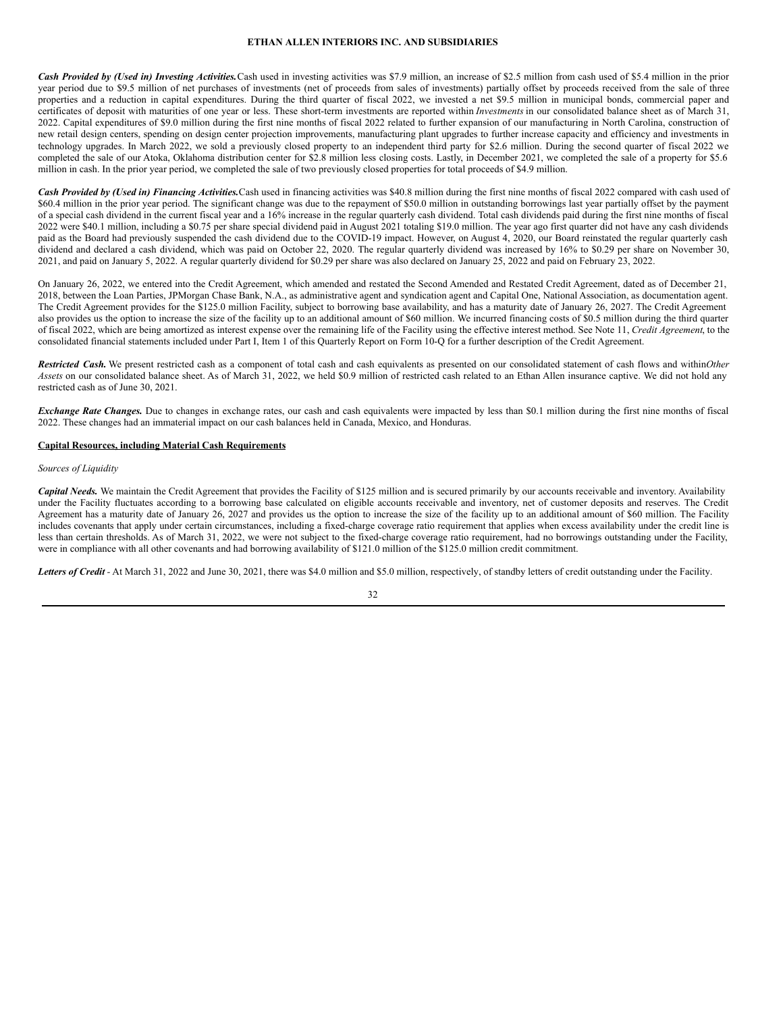*Cash Provided by (Used in) Investing Activities.*Cash used in investing activities was \$7.9 million, an increase of \$2.5 million from cash used of \$5.4 million in the prior year period due to \$9.5 million of net purchases of investments (net of proceeds from sales of investments) partially offset by proceeds received from the sale of three properties and a reduction in capital expenditures. During the third quarter of fiscal 2022, we invested a net \$9.5 million in municipal bonds, commercial paper and certificates of deposit with maturities of one year or less. These short-term investments are reported within *Investments* in our consolidated balance sheet as of March 31, 2022. Capital expenditures of \$9.0 million during the first nine months of fiscal 2022 related to further expansion of our manufacturing in North Carolina, construction of new retail design centers, spending on design center projection improvements, manufacturing plant upgrades to further increase capacity and efficiency and investments in technology upgrades. In March 2022, we sold a previously closed property to an independent third party for \$2.6 million. During the second quarter of fiscal 2022 we completed the sale of our Atoka, Oklahoma distribution center for \$2.8 million less closing costs. Lastly, in December 2021, we completed the sale of a property for \$5.6 million in cash. In the prior year period, we completed the sale of two previously closed properties for total proceeds of \$4.9 million.

*Cash Provided by (Used in) Financing Activities.*Cash used in financing activities was \$40.8 million during the first nine months of fiscal 2022 compared with cash used of \$60.4 million in the prior year period. The significant change was due to the repayment of \$50.0 million in outstanding borrowings last year partially offset by the payment of a special cash dividend in the current fiscal year and a 16% increase in the regular quarterly cash dividend. Total cash dividends paid during the first nine months of fiscal 2022 were \$40.1 million, including a \$0.75 per share special dividend paid in August 2021 totaling \$19.0 million. The year ago first quarter did not have any cash dividends paid as the Board had previously suspended the cash dividend due to the COVID-19 impact. However, on August 4, 2020, our Board reinstated the regular quarterly cash dividend and declared a cash dividend, which was paid on October 22, 2020. The regular quarterly dividend was increased by 16% to \$0.29 per share on November 30, 2021, and paid on January 5, 2022. A regular quarterly dividend for \$0.29 per share was also declared on January 25, 2022 and paid on February 23, 2022.

On January 26, 2022, we entered into the Credit Agreement, which amended and restated the Second Amended and Restated Credit Agreement, dated as of December 21, 2018, between the Loan Parties, JPMorgan Chase Bank, N.A., as administrative agent and syndication agent and Capital One, National Association, as documentation agent. The Credit Agreement provides for the \$125.0 million Facility, subject to borrowing base availability, and has a maturity date of January 26, 2027. The Credit Agreement also provides us the option to increase the size of the facility up to an additional amount of \$60 million. We incurred financing costs of \$0.5 million during the third quarter of fiscal 2022, which are being amortized as interest expense over the remaining life of the Facility using the effective interest method. See Note 11, *Credit Agreement*, to the consolidated financial statements included under Part I, Item 1 of this Quarterly Report on Form 10-Q for a further description of the Credit Agreement.

*Restricted Cash.* We present restricted cash as a component of total cash and cash equivalents as presented on our consolidated statement of cash flows and within*Other Assets* on our consolidated balance sheet. As of March 31, 2022, we held \$0.9 million of restricted cash related to an Ethan Allen insurance captive. We did not hold any restricted cash as of June 30, 2021.

*Exchange Rate Changes.* Due to changes in exchange rates, our cash and cash equivalents were impacted by less than \$0.1 million during the first nine months of fiscal 2022. These changes had an immaterial impact on our cash balances held in Canada, Mexico, and Honduras.

### **Capital Resources, including Material Cash Requirements**

# *Sources of Liquidity*

*Capital Needs.* We maintain the Credit Agreement that provides the Facility of \$125 million and is secured primarily by our accounts receivable and inventory. Availability under the Facility fluctuates according to a borrowing base calculated on eligible accounts receivable and inventory, net of customer deposits and reserves. The Credit Agreement has a maturity date of January 26, 2027 and provides us the option to increase the size of the facility up to an additional amount of \$60 million. The Facility includes covenants that apply under certain circumstances, including a fixed-charge coverage ratio requirement that applies when excess availability under the credit line is less than certain thresholds. As of March 31, 2022, we were not subject to the fixed-charge coverage ratio requirement, had no borrowings outstanding under the Facility, were in compliance with all other covenants and had borrowing availability of \$121.0 million of the \$125.0 million credit commitment.

Letters of Credit - At March 31, 2022 and June 30, 2021, there was \$4.0 million and \$5.0 million, respectively, of standby letters of credit outstanding under the Facility.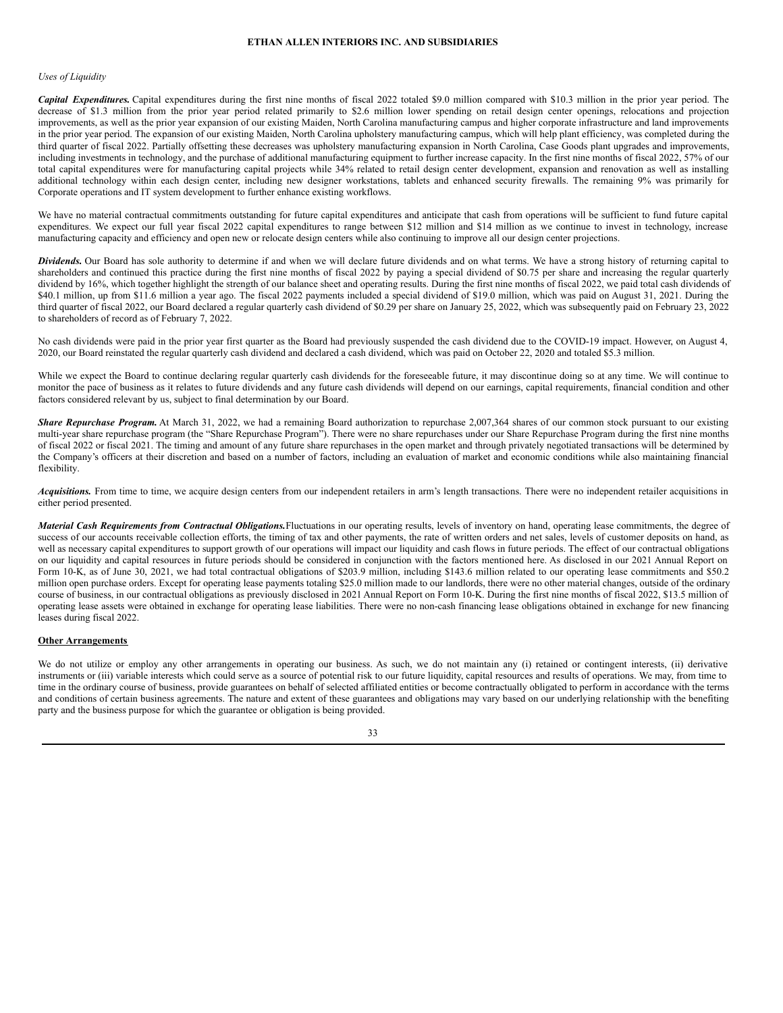### *Uses of Liquidity*

*Capital Expenditures.* Capital expenditures during the first nine months of fiscal 2022 totaled \$9.0 million compared with \$10.3 million in the prior year period. The decrease of \$1.3 million from the prior year period related primarily to \$2.6 million lower spending on retail design center openings, relocations and projection improvements, as well as the prior year expansion of our existing Maiden, North Carolina manufacturing campus and higher corporate infrastructure and land improvements in the prior year period. The expansion of our existing Maiden, North Carolina upholstery manufacturing campus, which will help plant efficiency, was completed during the third quarter of fiscal 2022. Partially offsetting these decreases was upholstery manufacturing expansion in North Carolina, Case Goods plant upgrades and improvements, including investments in technology, and the purchase of additional manufacturing equipment to further increase capacity. In the first nine months of fiscal 2022, 57% of our total capital expenditures were for manufacturing capital projects while 34% related to retail design center development, expansion and renovation as well as installing additional technology within each design center, including new designer workstations, tablets and enhanced security firewalls. The remaining 9% was primarily for Corporate operations and IT system development to further enhance existing workflows.

We have no material contractual commitments outstanding for future capital expenditures and anticipate that cash from operations will be sufficient to fund future capital expenditures. We expect our full year fiscal 2022 capital expenditures to range between \$12 million and \$14 million as we continue to invest in technology, increase manufacturing capacity and efficiency and open new or relocate design centers while also continuing to improve all our design center projections.

*Dividends.* Our Board has sole authority to determine if and when we will declare future dividends and on what terms. We have a strong history of returning capital to shareholders and continued this practice during the first nine months of fiscal 2022 by paying a special dividend of \$0.75 per share and increasing the regular quarterly dividend by 16%, which together highlight the strength of our balance sheet and operating results. During the first nine months of fiscal 2022, we paid total cash dividends of \$40.1 million, up from \$11.6 million a year ago. The fiscal 2022 payments included a special dividend of \$19.0 million, which was paid on August 31, 2021. During the third quarter of fiscal 2022, our Board declared a regular quarterly cash dividend of \$0.29 per share on January 25, 2022, which was subsequently paid on February 23, 2022 to shareholders of record as of February 7, 2022.

No cash dividends were paid in the prior year first quarter as the Board had previously suspended the cash dividend due to the COVID-19 impact. However, on August 4, 2020, our Board reinstated the regular quarterly cash dividend and declared a cash dividend, which was paid on October 22, 2020 and totaled \$5.3 million.

While we expect the Board to continue declaring regular quarterly cash dividends for the foreseeable future, it may discontinue doing so at any time. We will continue to monitor the pace of business as it relates to future dividends and any future cash dividends will depend on our earnings, capital requirements, financial condition and other factors considered relevant by us, subject to final determination by our Board.

*Share Repurchase Program.* At March 31, 2022, we had a remaining Board authorization to repurchase 2,007,364 shares of our common stock pursuant to our existing multi-year share repurchase program (the "Share Repurchase Program"). There were no share repurchases under our Share Repurchase Program during the first nine months of fiscal 2022 or fiscal 2021. The timing and amount of any future share repurchases in the open market and through privately negotiated transactions will be determined by the Company's officers at their discretion and based on a number of factors, including an evaluation of market and economic conditions while also maintaining financial flexibility.

*Acquisitions.* From time to time, we acquire design centers from our independent retailers in arm's length transactions. There were no independent retailer acquisitions in either period presented.

*Material Cash Requirements from Contractual Obligations.*Fluctuations in our operating results, levels of inventory on hand, operating lease commitments, the degree of success of our accounts receivable collection efforts, the timing of tax and other payments, the rate of written orders and net sales, levels of customer deposits on hand, as well as necessary capital expenditures to support growth of our operations will impact our liquidity and cash flows in future periods. The effect of our contractual obligations on our liquidity and capital resources in future periods should be considered in conjunction with the factors mentioned here. As disclosed in our 2021 Annual Report on Form 10-K, as of June 30, 2021, we had total contractual obligations of \$203.9 million, including \$143.6 million related to our operating lease commitments and \$50.2 million open purchase orders. Except for operating lease payments totaling \$25.0 million made to our landlords, there were no other material changes, outside of the ordinary course of business, in our contractual obligations as previously disclosed in 2021 Annual Report on Form 10-K. During the first nine months of fiscal 2022, \$13.5 million of operating lease assets were obtained in exchange for operating lease liabilities. There were no non-cash financing lease obligations obtained in exchange for new financing leases during fiscal 2022.

### **Other Arrangements**

We do not utilize or employ any other arrangements in operating our business. As such, we do not maintain any (i) retained or contingent interests, (ii) derivative instruments or (iii) variable interests which could serve as a source of potential risk to our future liquidity, capital resources and results of operations. We may, from time to time in the ordinary course of business, provide guarantees on behalf of selected affiliated entities or become contractually obligated to perform in accordance with the terms and conditions of certain business agreements. The nature and extent of these guarantees and obligations may vary based on our underlying relationship with the benefiting party and the business purpose for which the guarantee or obligation is being provided.

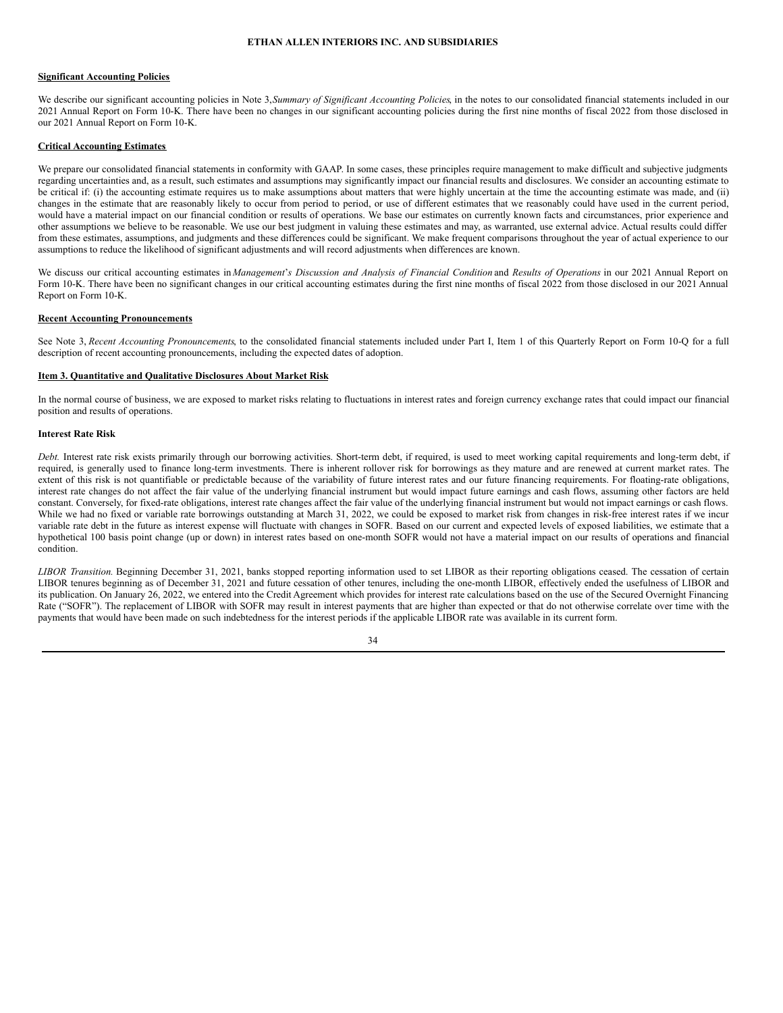## **Significant Accounting Policies**

We describe our significant accounting policies in Note 3, Summary of Significant Accounting Policies, in the notes to our consolidated financial statements included in our 2021 Annual Report on Form 10-K. There have been no changes in our significant accounting policies during the first nine months of fiscal 2022 from those disclosed in our 2021 Annual Report on Form 10-K.

## **Critical Accounting Estimates**

We prepare our consolidated financial statements in conformity with GAAP. In some cases, these principles require management to make difficult and subjective judgments regarding uncertainties and, as a result, such estimates and assumptions may significantly impact our financial results and disclosures. We consider an accounting estimate to be critical if: (i) the accounting estimate requires us to make assumptions about matters that were highly uncertain at the time the accounting estimate was made, and (ii) changes in the estimate that are reasonably likely to occur from period to period, or use of different estimates that we reasonably could have used in the current period, would have a material impact on our financial condition or results of operations. We base our estimates on currently known facts and circumstances, prior experience and other assumptions we believe to be reasonable. We use our best judgment in valuing these estimates and may, as warranted, use external advice. Actual results could differ from these estimates, assumptions, and judgments and these differences could be significant. We make frequent comparisons throughout the year of actual experience to our assumptions to reduce the likelihood of significant adjustments and will record adjustments when differences are known.

We discuss our critical accounting estimates in Management's Discussion and Analysis of Financial Condition and Results of Operations in our 2021 Annual Report on Form 10-K. There have been no significant changes in our critical accounting estimates during the first nine months of fiscal 2022 from those disclosed in our 2021 Annual Report on Form 10-K.

#### **Recent Accounting Pronouncements**

See Note 3, *Recent Accounting Pronouncements*, to the consolidated financial statements included under Part I, Item 1 of this Quarterly Report on Form 10-Q for a full description of recent accounting pronouncements, including the expected dates of adoption.

#### **Item 3. Quantitative and Qualitative Disclosures About Market Risk**

In the normal course of business, we are exposed to market risks relating to fluctuations in interest rates and foreign currency exchange rates that could impact our financial position and results of operations.

#### **Interest Rate Risk**

*Debt.* Interest rate risk exists primarily through our borrowing activities. Short-term debt, if required, is used to meet working capital requirements and long-term debt, if required, is generally used to finance long-term investments. There is inherent rollover risk for borrowings as they mature and are renewed at current market rates. The extent of this risk is not quantifiable or predictable because of the variability of future interest rates and our future financing requirements. For floating-rate obligations, interest rate changes do not affect the fair value of the underlying financial instrument but would impact future earnings and cash flows, assuming other factors are held constant. Conversely, for fixed-rate obligations, interest rate changes affect the fair value of the underlying financial instrument but would not impact earnings or cash flows. While we had no fixed or variable rate borrowings outstanding at March 31, 2022, we could be exposed to market risk from changes in risk-free interest rates if we incur variable rate debt in the future as interest expense will fluctuate with changes in SOFR. Based on our current and expected levels of exposed liabilities, we estimate that a hypothetical 100 basis point change (up or down) in interest rates based on one-month SOFR would not have a material impact on our results of operations and financial condition.

*LIBOR Transition.* Beginning December 31, 2021, banks stopped reporting information used to set LIBOR as their reporting obligations ceased. The cessation of certain LIBOR tenures beginning as of December 31, 2021 and future cessation of other tenures, including the one-month LIBOR, effectively ended the usefulness of LIBOR and its publication. On January 26, 2022, we entered into the Credit Agreement which provides for interest rate calculations based on the use of the Secured Overnight Financing Rate ("SOFR"). The replacement of LIBOR with SOFR may result in interest payments that are higher than expected or that do not otherwise correlate over time with the payments that would have been made on such indebtedness for the interest periods if the applicable LIBOR rate was available in its current form.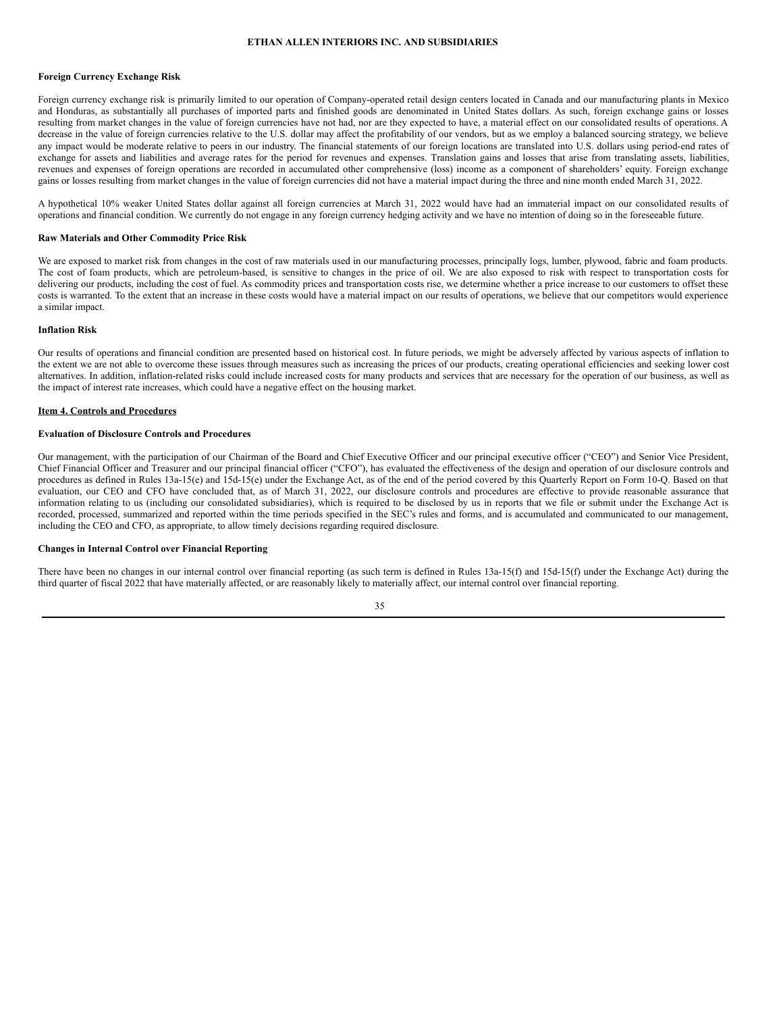### **Foreign Currency Exchange Risk**

Foreign currency exchange risk is primarily limited to our operation of Company-operated retail design centers located in Canada and our manufacturing plants in Mexico and Honduras, as substantially all purchases of imported parts and finished goods are denominated in United States dollars. As such, foreign exchange gains or losses resulting from market changes in the value of foreign currencies have not had, nor are they expected to have, a material effect on our consolidated results of operations. A decrease in the value of foreign currencies relative to the U.S. dollar may affect the profitability of our vendors, but as we employ a balanced sourcing strategy, we believe any impact would be moderate relative to peers in our industry. The financial statements of our foreign locations are translated into U.S. dollars using period-end rates of exchange for assets and liabilities and average rates for the period for revenues and expenses. Translation gains and losses that arise from translating assets, liabilities, revenues and expenses of foreign operations are recorded in accumulated other comprehensive (loss) income as a component of shareholders' equity. Foreign exchange gains or losses resulting from market changes in the value of foreign currencies did not have a material impact during the three and nine month ended March 31, 2022.

A hypothetical 10% weaker United States dollar against all foreign currencies at March 31, 2022 would have had an immaterial impact on our consolidated results of operations and financial condition. We currently do not engage in any foreign currency hedging activity and we have no intention of doing so in the foreseeable future.

### **Raw Materials and Other Commodity Price Risk**

We are exposed to market risk from changes in the cost of raw materials used in our manufacturing processes, principally logs, lumber, plywood, fabric and foam products. The cost of foam products, which are petroleum-based, is sensitive to changes in the price of oil. We are also exposed to risk with respect to transportation costs for delivering our products, including the cost of fuel. As commodity prices and transportation costs rise, we determine whether a price increase to our customers to offset these costs is warranted. To the extent that an increase in these costs would have a material impact on our results of operations, we believe that our competitors would experience a similar impact.

### **Inflation Risk**

Our results of operations and financial condition are presented based on historical cost. In future periods, we might be adversely affected by various aspects of inflation to the extent we are not able to overcome these issues through measures such as increasing the prices of our products, creating operational efficiencies and seeking lower cost alternatives. In addition, inflation-related risks could include increased costs for many products and services that are necessary for the operation of our business, as well as the impact of interest rate increases, which could have a negative effect on the housing market.

#### **Item 4. Controls and Procedures**

### **Evaluation of Disclosure Controls and Procedures**

Our management, with the participation of our Chairman of the Board and Chief Executive Officer and our principal executive officer ("CEO") and Senior Vice President, Chief Financial Officer and Treasurer and our principal financial officer ("CFO"), has evaluated the effectiveness of the design and operation of our disclosure controls and procedures as defined in Rules 13a-15(e) and 15d-15(e) under the Exchange Act, as of the end of the period covered by this Quarterly Report on Form 10-Q. Based on that evaluation, our CEO and CFO have concluded that, as of March 31, 2022, our disclosure controls and procedures are effective to provide reasonable assurance that information relating to us (including our consolidated subsidiaries), which is required to be disclosed by us in reports that we file or submit under the Exchange Act is recorded, processed, summarized and reported within the time periods specified in the SEC's rules and forms, and is accumulated and communicated to our management, including the CEO and CFO, as appropriate, to allow timely decisions regarding required disclosure.

### **Changes in Internal Control over Financial Reporting**

There have been no changes in our internal control over financial reporting (as such term is defined in Rules 13a-15(f) and 15d-15(f) under the Exchange Act) during the third quarter of fiscal 2022 that have materially affected, or are reasonably likely to materially affect, our internal control over financial reporting.

| I |  |
|---|--|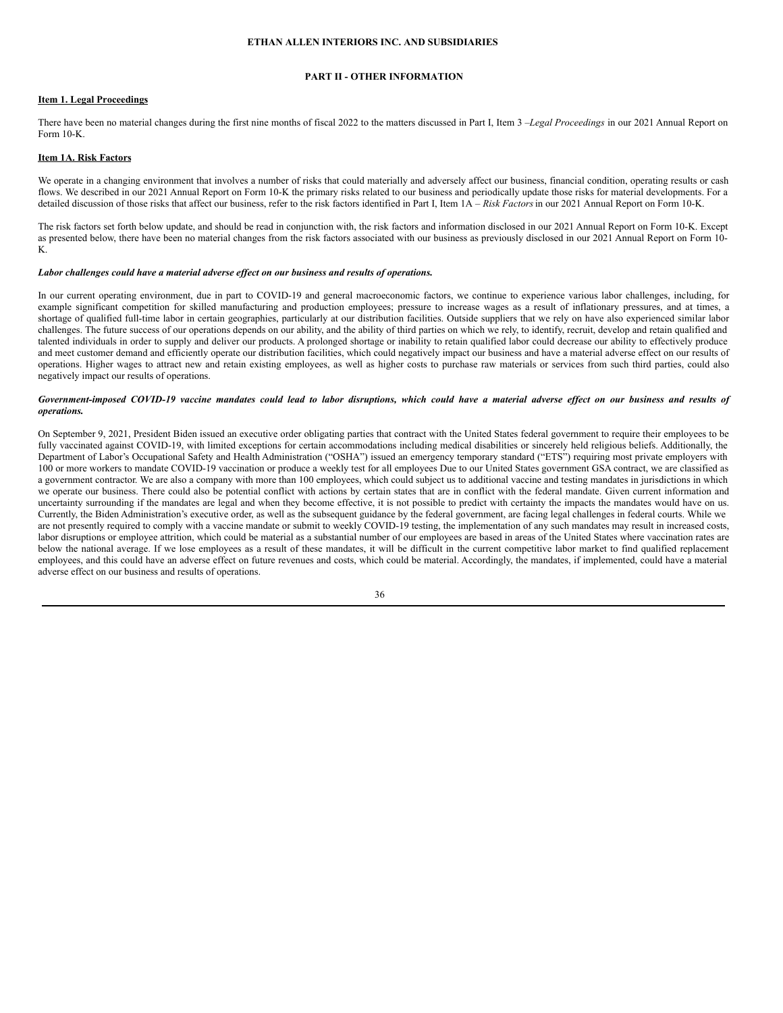## **PART II - OTHER INFORMATION**

### **Item 1. Legal Proceedings**

There have been no material changes during the first nine months of fiscal 2022 to the matters discussed in Part I, Item 3 –*Legal Proceedings* in our 2021 Annual Report on Form 10-K.

#### **Item 1A. Risk Factors**

We operate in a changing environment that involves a number of risks that could materially and adversely affect our business, financial condition, operating results or cash flows. We described in our 2021 Annual Report on Form 10-K the primary risks related to our business and periodically update those risks for material developments. For a detailed discussion of those risks that affect our business, refer to the risk factors identified in Part I, Item 1A – *Risk Factors*in our 2021 Annual Report on Form 10-K.

The risk factors set forth below update, and should be read in conjunction with, the risk factors and information disclosed in our 2021 Annual Report on Form 10-K. Except as presented below, there have been no material changes from the risk factors associated with our business as previously disclosed in our 2021 Annual Report on Form 10- K.

## *Labor challenges could have a material adverse ef ect on our business and results of operations.*

In our current operating environment, due in part to COVID-19 and general macroeconomic factors, we continue to experience various labor challenges, including, for example significant competition for skilled manufacturing and production employees; pressure to increase wages as a result of inflationary pressures, and at times, a shortage of qualified full-time labor in certain geographies, particularly at our distribution facilities. Outside suppliers that we rely on have also experienced similar labor challenges. The future success of our operations depends on our ability, and the ability of third parties on which we rely, to identify, recruit, develop and retain qualified and talented individuals in order to supply and deliver our products. A prolonged shortage or inability to retain qualified labor could decrease our ability to effectively produce and meet customer demand and efficiently operate our distribution facilities, which could negatively impact our business and have a material adverse effect on our results of operations. Higher wages to attract new and retain existing employees, as well as higher costs to purchase raw materials or services from such third parties, could also negatively impact our results of operations.

### Government-imposed COVID-19 vaccine mandates could lead to labor disruptions, which could have a material adverse effect on our business and results of *operations.*

On September 9, 2021, President Biden issued an executive order obligating parties that contract with the United States federal government to require their employees to be fully vaccinated against COVID-19, with limited exceptions for certain accommodations including medical disabilities or sincerely held religious beliefs. Additionally, the Department of Labor's Occupational Safety and Health Administration ("OSHA") issued an emergency temporary standard ("ETS") requiring most private employers with 100 or more workers to mandate COVID-19 vaccination or produce a weekly test for all employees Due to our United States government GSA contract, we are classified as a government contractor. We are also a company with more than 100 employees, which could subject us to additional vaccine and testing mandates in jurisdictions in which we operate our business. There could also be potential conflict with actions by certain states that are in conflict with the federal mandate. Given current information and uncertainty surrounding if the mandates are legal and when they become effective, it is not possible to predict with certainty the impacts the mandates would have on us. Currently, the Biden Administration's executive order, as well as the subsequent guidance by the federal government, are facing legal challenges in federal courts. While we are not presently required to comply with a vaccine mandate or submit to weekly COVID-19 testing, the implementation of any such mandates may result in increased costs, labor disruptions or employee attrition, which could be material as a substantial number of our employees are based in areas of the United States where vaccination rates are below the national average. If we lose employees as a result of these mandates, it will be difficult in the current competitive labor market to find qualified replacement employees, and this could have an adverse effect on future revenues and costs, which could be material. Accordingly, the mandates, if implemented, could have a material adverse effect on our business and results of operations.

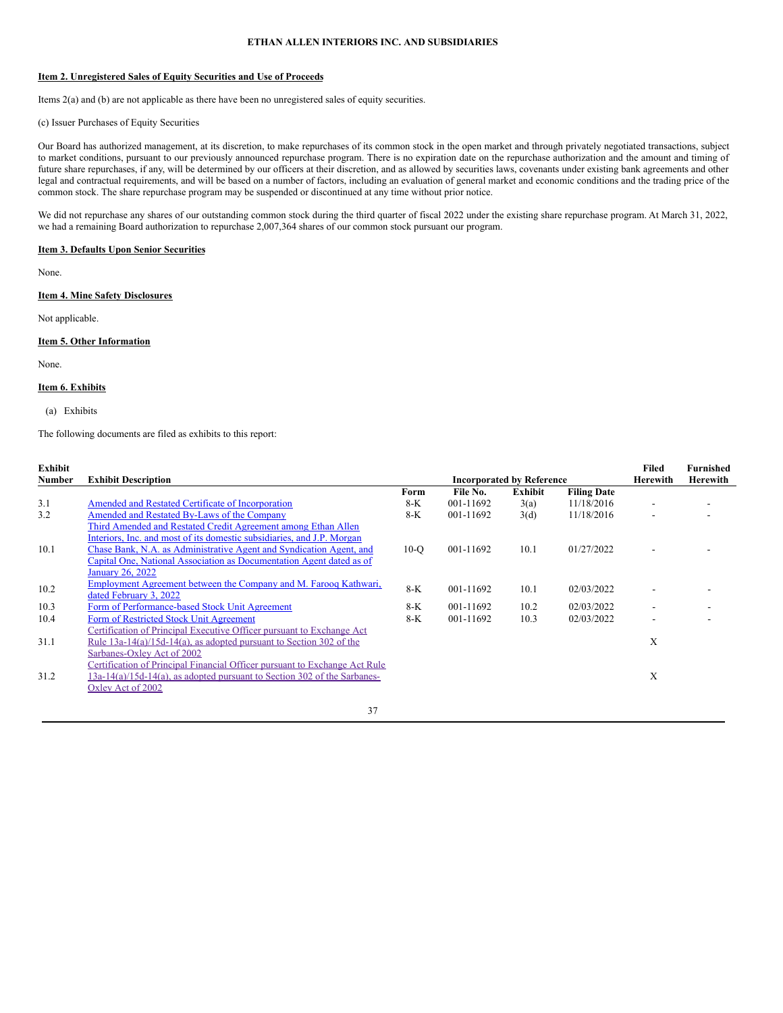## **Item 2. Unregistered Sales of Equity Securities and Use of Proceeds**

Items 2(a) and (b) are not applicable as there have been no unregistered sales of equity securities.

(c) Issuer Purchases of Equity Securities

Our Board has authorized management, at its discretion, to make repurchases of its common stock in the open market and through privately negotiated transactions, subject to market conditions, pursuant to our previously announced repurchase program. There is no expiration date on the repurchase authorization and the amount and timing of future share repurchases, if any, will be determined by our officers at their discretion, and as allowed by securities laws, covenants under existing bank agreements and other legal and contractual requirements, and will be based on a number of factors, including an evaluation of general market and economic conditions and the trading price of the common stock. The share repurchase program may be suspended or discontinued at any time without prior notice.

We did not repurchase any shares of our outstanding common stock during the third quarter of fiscal 2022 under the existing share repurchase program. At March 31, 2022, we had a remaining Board authorization to repurchase 2,007,364 shares of our common stock pursuant our program.

#### **Item 3. Defaults Upon Senior Securities**

None.

### **Item 4. Mine Safety Disclosures**

Not applicable.

# **Item 5. Other Information**

None.

# **Item 6. Exhibits**

(a) Exhibits

The following documents are filed as exhibits to this report:

| Exhibit |                                                                            |                                  |           |         |                    | Filed           | <b>Furnished</b> |
|---------|----------------------------------------------------------------------------|----------------------------------|-----------|---------|--------------------|-----------------|------------------|
| Number  | <b>Exhibit Description</b>                                                 | <b>Incorporated by Reference</b> |           |         |                    | <b>Herewith</b> | <b>Herewith</b>  |
|         |                                                                            | Form                             | File No.  | Exhibit | <b>Filing Date</b> |                 |                  |
| 3.1     | Amended and Restated Certificate of Incorporation                          | $8-K$                            | 001-11692 | 3(a)    | 11/18/2016         |                 |                  |
| 3.2     | Amended and Restated By-Laws of the Company                                | $8-K$                            | 001-11692 | 3(d)    | 11/18/2016         |                 |                  |
|         | Third Amended and Restated Credit Agreement among Ethan Allen              |                                  |           |         |                    |                 |                  |
|         | Interiors, Inc. and most of its domestic subsidiaries, and J.P. Morgan     |                                  |           |         |                    |                 |                  |
| 10.1    | Chase Bank, N.A. as Administrative Agent and Syndication Agent, and        | $10-Q$                           | 001-11692 | 10.1    | 01/27/2022         |                 |                  |
|         | Capital One, National Association as Documentation Agent dated as of       |                                  |           |         |                    |                 |                  |
|         | January 26, 2022                                                           |                                  |           |         |                    |                 |                  |
| 10.2    | Employment Agreement between the Company and M. Farooq Kathwari,           | $8-K$                            | 001-11692 | 10.1    | 02/03/2022         |                 |                  |
|         | dated February 3, 2022                                                     |                                  |           |         |                    |                 |                  |
| 10.3    | Form of Performance-based Stock Unit Agreement                             | $8-K$                            | 001-11692 | 10.2    | 02/03/2022         |                 |                  |
| 10.4    | Form of Restricted Stock Unit Agreement                                    | $8-K$                            | 001-11692 | 10.3    | 02/03/2022         |                 |                  |
|         | Certification of Principal Executive Officer pursuant to Exchange Act      |                                  |           |         |                    |                 |                  |
| 31.1    | Rule $13a-14(a)/15d-14(a)$ , as adopted pursuant to Section 302 of the     |                                  |           |         |                    | X               |                  |
|         | Sarbanes-Oxley Act of 2002                                                 |                                  |           |         |                    |                 |                  |
|         | Certification of Principal Financial Officer pursuant to Exchange Act Rule |                                  |           |         |                    |                 |                  |
| 31.2    | 13a-14(a)/15d-14(a), as adopted pursuant to Section 302 of the Sarbanes-   |                                  |           |         |                    | X               |                  |
|         | Oxley Act of 2002                                                          |                                  |           |         |                    |                 |                  |
|         |                                                                            |                                  |           |         |                    |                 |                  |
|         | 37                                                                         |                                  |           |         |                    |                 |                  |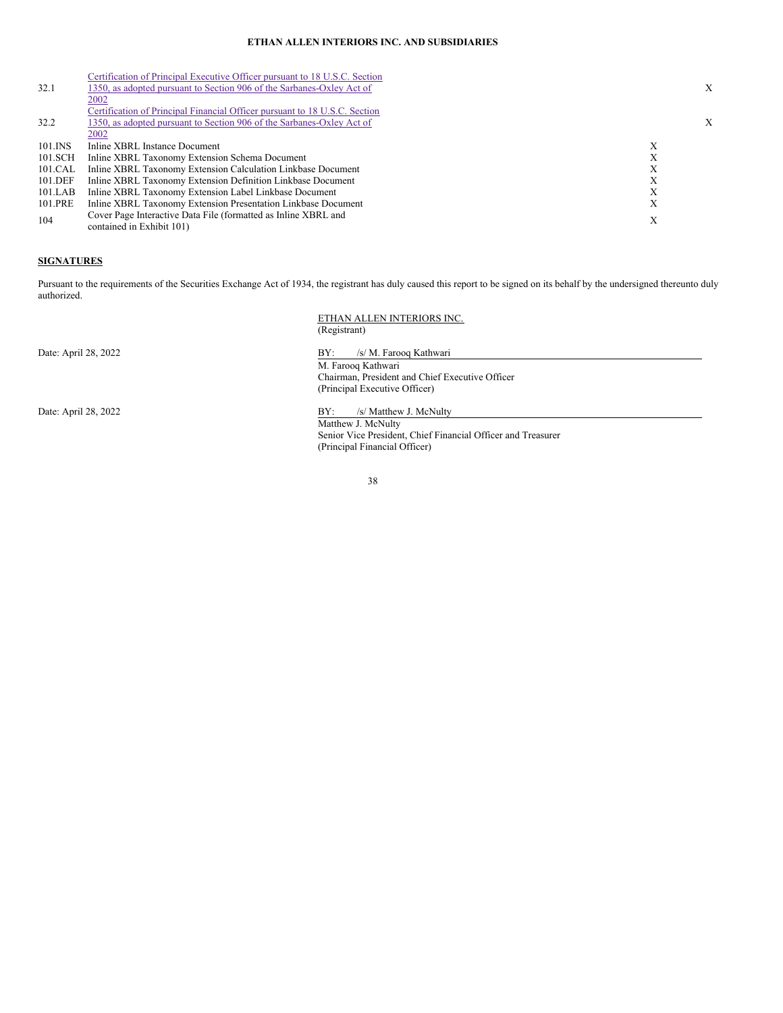|            | Certification of Principal Executive Officer pursuant to 18 U.S.C. Section |   |
|------------|----------------------------------------------------------------------------|---|
| 32.1       | 1350, as adopted pursuant to Section 906 of the Sarbanes-Oxley Act of      |   |
|            | 2002                                                                       |   |
|            | Certification of Principal Financial Officer pursuant to 18 U.S.C. Section |   |
| 32.2       | 1350, as adopted pursuant to Section 906 of the Sarbanes-Oxley Act of      |   |
|            | 2002                                                                       |   |
| 101.INS    | Inline XBRL Instance Document                                              | Χ |
| 101.SCH    | Inline XBRL Taxonomy Extension Schema Document                             | Х |
| 101.CAL    | Inline XBRL Taxonomy Extension Calculation Linkbase Document               | X |
| 101.DEF    | Inline XBRL Taxonomy Extension Definition Linkbase Document                | Х |
| $101$ .LAB | Inline XBRL Taxonomy Extension Label Linkbase Document                     | Χ |
| 101.PRE    | Inline XBRL Taxonomy Extension Presentation Linkbase Document              | Χ |
| 104        | Cover Page Interactive Data File (formatted as Inline XBRL and             | X |
|            | contained in Exhibit 101)                                                  |   |
|            |                                                                            |   |

# **SIGNATURES**

Pursuant to the requirements of the Securities Exchange Act of 1934, the registrant has duly caused this report to be signed on its behalf by the undersigned thereunto duly authorized.

ETHAN ALLEN INTERIORS INC. (Registrant)

Date: April 28, 2022 BY: /s/ M. Farooq Kathwari M. Farooq Kathwari Chairman, President and Chief Executive Officer (Principal Executive Officer)

Date: April 28, 2022 BY: /s/ Matthew J. McNulty Matthew J. McNulty Senior Vice President, Chief Financial Officer and Treasurer (Principal Financial Officer)

 $\mathbf X$ 

 $\mathbf X$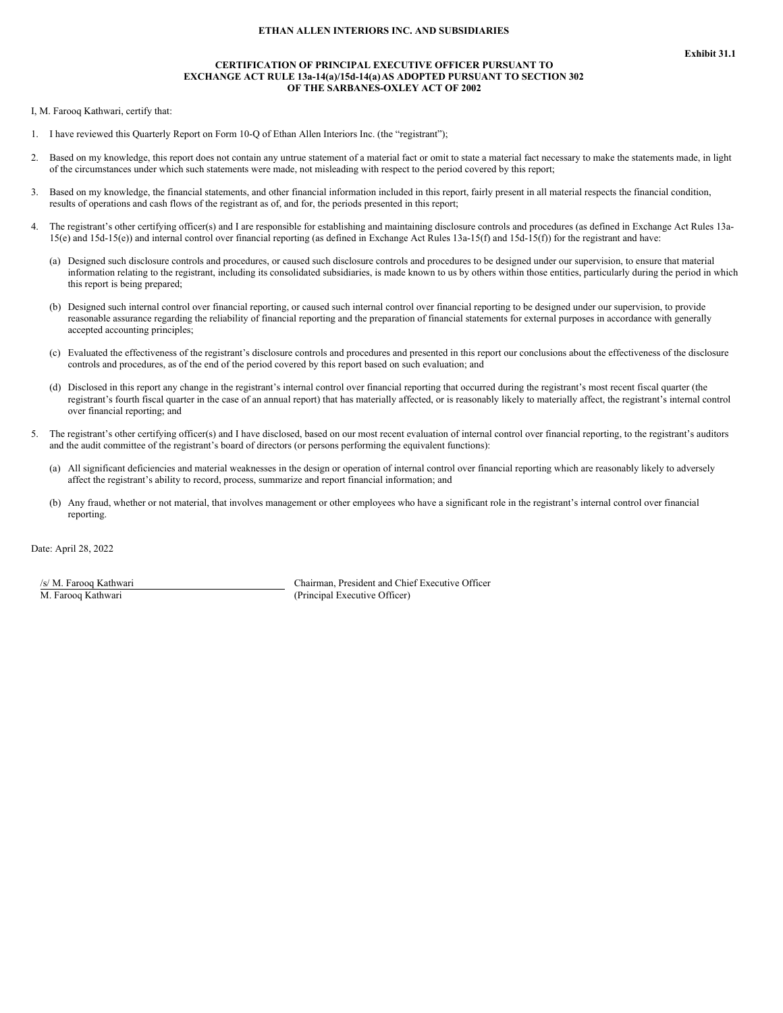## **CERTIFICATION OF PRINCIPAL EXECUTIVE OFFICER PURSUANT TO EXCHANGE ACT RULE 13a-14(a)/15d-14(a)AS ADOPTED PURSUANT TO SECTION 302 OF THE SARBANES-OXLEY ACT OF 2002**

<span id="page-39-0"></span>I, M. Farooq Kathwari, certify that:

- 1. I have reviewed this Quarterly Report on Form 10-Q of Ethan Allen Interiors Inc. (the "registrant");
- 2. Based on my knowledge, this report does not contain any untrue statement of a material fact or omit to state a material fact necessary to make the statements made, in light of the circumstances under which such statements were made, not misleading with respect to the period covered by this report;
- 3. Based on my knowledge, the financial statements, and other financial information included in this report, fairly present in all material respects the financial condition, results of operations and cash flows of the registrant as of, and for, the periods presented in this report;
- 4. The registrant's other certifying officer(s) and I are responsible for establishing and maintaining disclosure controls and procedures (as defined in Exchange Act Rules 13a-15(e) and 15d-15(e)) and internal control over financial reporting (as defined in Exchange Act Rules 13a-15(f) and 15d-15(f)) for the registrant and have:
	- (a) Designed such disclosure controls and procedures, or caused such disclosure controls and procedures to be designed under our supervision, to ensure that material information relating to the registrant, including its consolidated subsidiaries, is made known to us by others within those entities, particularly during the period in which this report is being prepared;
	- (b) Designed such internal control over financial reporting, or caused such internal control over financial reporting to be designed under our supervision, to provide reasonable assurance regarding the reliability of financial reporting and the preparation of financial statements for external purposes in accordance with generally accepted accounting principles;
	- (c) Evaluated the effectiveness of the registrant's disclosure controls and procedures and presented in this report our conclusions about the effectiveness of the disclosure controls and procedures, as of the end of the period covered by this report based on such evaluation; and
	- (d) Disclosed in this report any change in the registrant's internal control over financial reporting that occurred during the registrant's most recent fiscal quarter (the registrant's fourth fiscal quarter in the case of an annual report) that has materially affected, or is reasonably likely to materially affect, the registrant's internal control over financial reporting; and
- 5. The registrant's other certifying officer(s) and I have disclosed, based on our most recent evaluation of internal control over financial reporting, to the registrant's auditors and the audit committee of the registrant's board of directors (or persons performing the equivalent functions):
	- (a) All significant deficiencies and material weaknesses in the design or operation of internal control over financial reporting which are reasonably likely to adversely affect the registrant's ability to record, process, summarize and report financial information; and
	- (b) Any fraud, whether or not material, that involves management or other employees who have a significant role in the registrant's internal control over financial reporting.

Date: April 28, 2022

/s/ M. Farooq Kathwari Chairman, President and Chief Executive Officer M. Farooq Kathwari (Principal Executive Officer)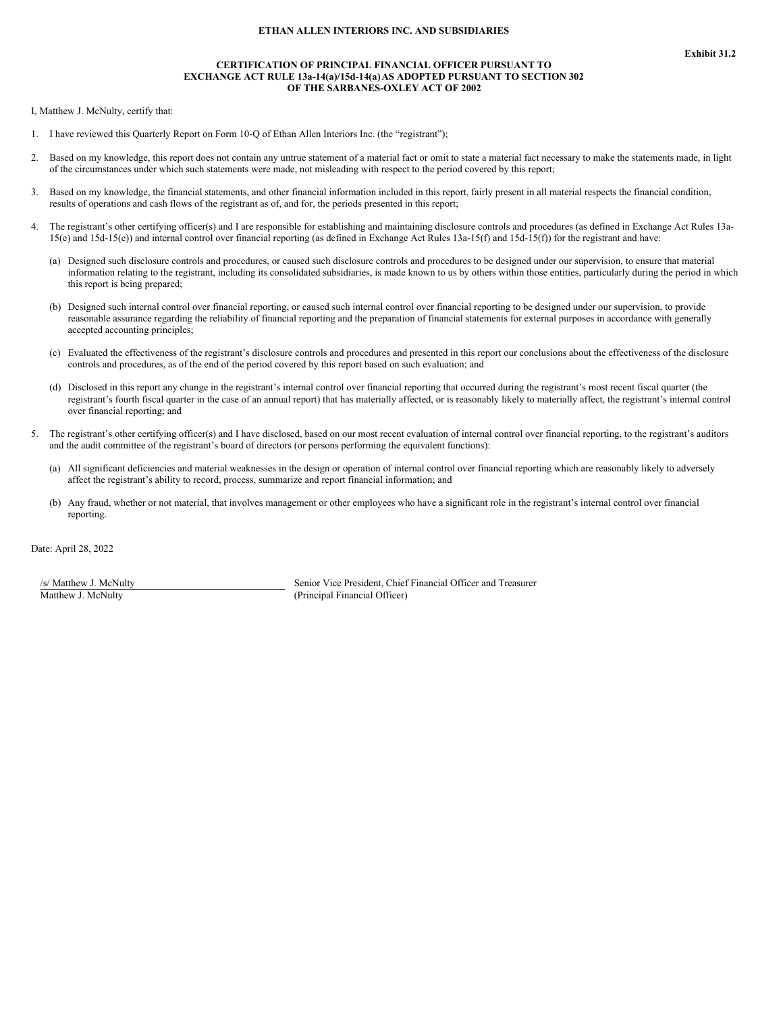## **CERTIFICATION OF PRINCIPAL FINANCIAL OFFICER PURSUANT TO EXCHANGE ACT RULE 13a-14(a)/15d-14(a)AS ADOPTED PURSUANT TO SECTION 302 OF THE SARBANES-OXLEY ACT OF 2002**

<span id="page-40-0"></span>I, Matthew J. McNulty, certify that:

- 1. I have reviewed this Quarterly Report on Form 10-Q of Ethan Allen Interiors Inc. (the "registrant");
- 2. Based on my knowledge, this report does not contain any untrue statement of a material fact or omit to state a material fact necessary to make the statements made, in light of the circumstances under which such statements were made, not misleading with respect to the period covered by this report;
- 3. Based on my knowledge, the financial statements, and other financial information included in this report, fairly present in all material respects the financial condition, results of operations and cash flows of the registrant as of, and for, the periods presented in this report;
- 4. The registrant's other certifying officer(s) and I are responsible for establishing and maintaining disclosure controls and procedures (as defined in Exchange Act Rules 13a-15(e) and 15d-15(e)) and internal control over financial reporting (as defined in Exchange Act Rules 13a-15(f) and 15d-15(f)) for the registrant and have:
	- (a) Designed such disclosure controls and procedures, or caused such disclosure controls and procedures to be designed under our supervision, to ensure that material information relating to the registrant, including its consolidated subsidiaries, is made known to us by others within those entities, particularly during the period in which this report is being prepared;
	- (b) Designed such internal control over financial reporting, or caused such internal control over financial reporting to be designed under our supervision, to provide reasonable assurance regarding the reliability of financial reporting and the preparation of financial statements for external purposes in accordance with generally accepted accounting principles;
	- (c) Evaluated the effectiveness of the registrant's disclosure controls and procedures and presented in this report our conclusions about the effectiveness of the disclosure controls and procedures, as of the end of the period covered by this report based on such evaluation; and
	- (d) Disclosed in this report any change in the registrant's internal control over financial reporting that occurred during the registrant's most recent fiscal quarter (the registrant's fourth fiscal quarter in the case of an annual report) that has materially affected, or is reasonably likely to materially affect, the registrant's internal control over financial reporting; and
- 5. The registrant's other certifying officer(s) and I have disclosed, based on our most recent evaluation of internal control over financial reporting, to the registrant's auditors and the audit committee of the registrant's board of directors (or persons performing the equivalent functions):
	- (a) All significant deficiencies and material weaknesses in the design or operation of internal control over financial reporting which are reasonably likely to adversely affect the registrant's ability to record, process, summarize and report financial information; and
	- (b) Any fraud, whether or not material, that involves management or other employees who have a significant role in the registrant's internal control over financial reporting.

Date: April 28, 2022

/s/ Matthew J. McNulty Senior Vice President, Chief Financial Officer and Treasurer Matthew J. McNulty (Principal Financial Officer)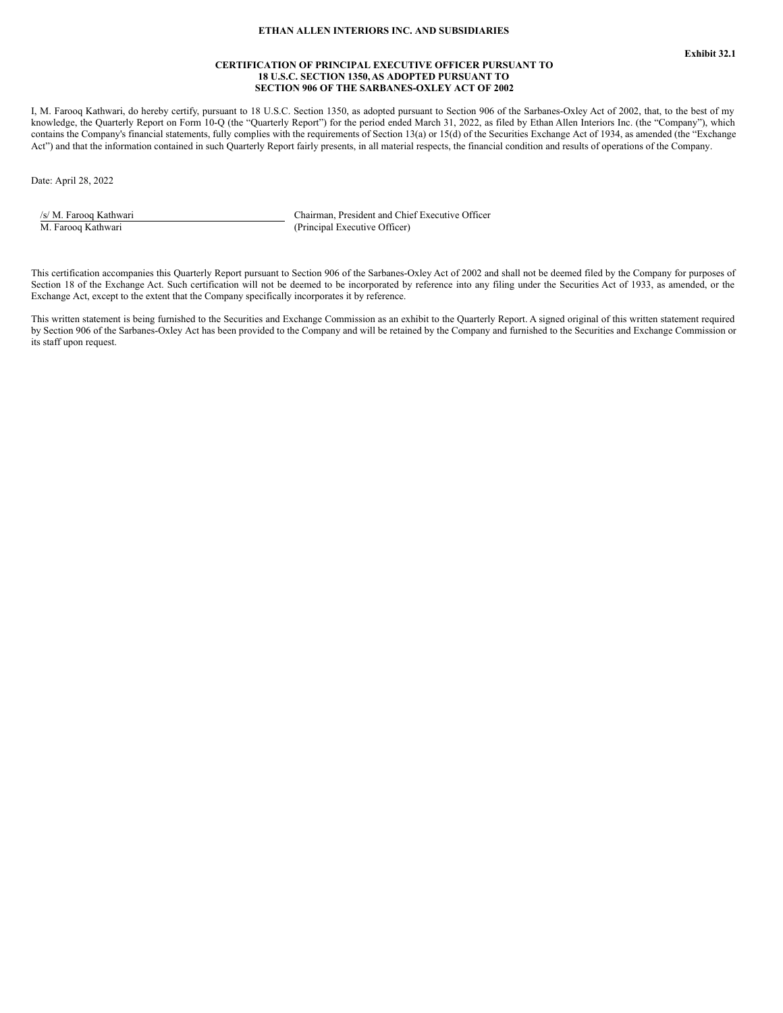## **CERTIFICATION OF PRINCIPAL EXECUTIVE OFFICER PURSUANT TO 18 U.S.C. SECTION 1350, AS ADOPTED PURSUANT TO SECTION 906 OF THE SARBANES-OXLEY ACT OF 2002**

<span id="page-41-0"></span>I, M. Farooq Kathwari, do hereby certify, pursuant to 18 U.S.C. Section 1350, as adopted pursuant to Section 906 of the Sarbanes-Oxley Act of 2002, that, to the best of my knowledge, the Quarterly Report on Form 10-Q (the "Quarterly Report") for the period ended March 31, 2022, as filed by Ethan Allen Interiors Inc. (the "Company"), which contains the Company's financial statements, fully complies with the requirements of Section 13(a) or 15(d) of the Securities Exchange Act of 1934, as amended (the "Exchange Act") and that the information contained in such Quarterly Report fairly presents, in all material respects, the financial condition and results of operations of the Company.

Date: April 28, 2022

/s/ M. Farooq Kathwari Chairman, President and Chief Executive Officer M. Farooq Kathwari (Principal Executive Officer)

This certification accompanies this Quarterly Report pursuant to Section 906 of the Sarbanes-Oxley Act of 2002 and shall not be deemed filed by the Company for purposes of Section 18 of the Exchange Act. Such certification will not be deemed to be incorporated by reference into any filing under the Securities Act of 1933, as amended, or the Exchange Act, except to the extent that the Company specifically incorporates it by reference.

This written statement is being furnished to the Securities and Exchange Commission as an exhibit to the Quarterly Report. A signed original of this written statement required by Section 906 of the Sarbanes-Oxley Act has been provided to the Company and will be retained by the Company and furnished to the Securities and Exchange Commission or its staff upon request.